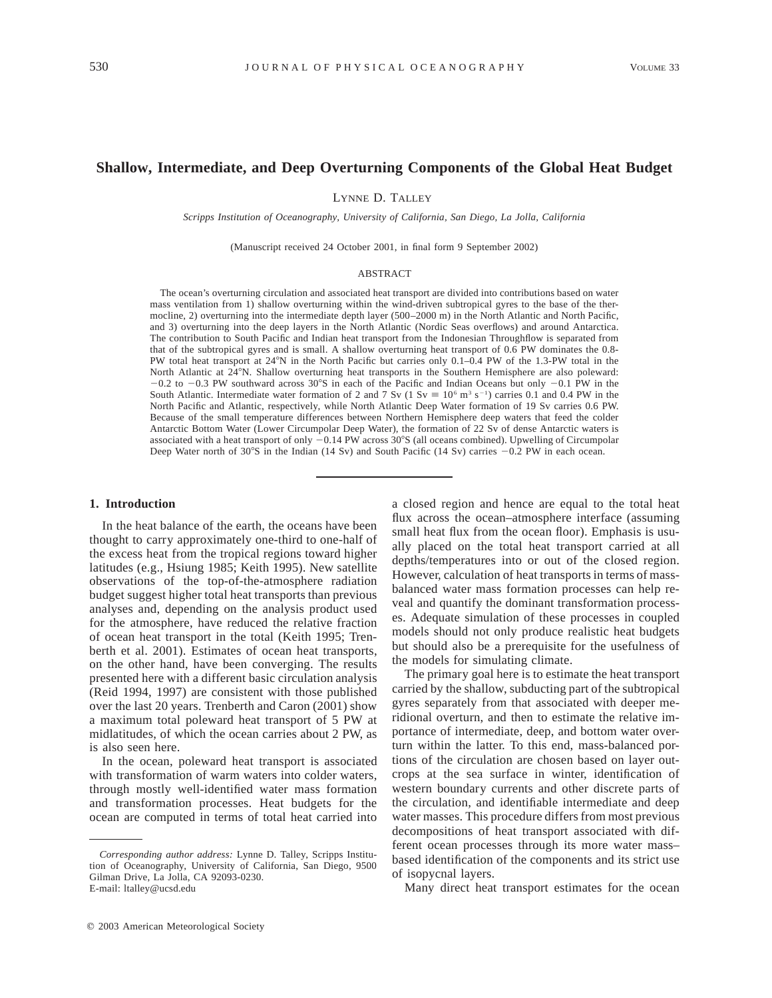# **Shallow, Intermediate, and Deep Overturning Components of the Global Heat Budget**

LYNNE D. TALLEY

*Scripps Institution of Oceanography, University of California, San Diego, La Jolla, California*

(Manuscript received 24 October 2001, in final form 9 September 2002)

#### ABSTRACT

The ocean's overturning circulation and associated heat transport are divided into contributions based on water mass ventilation from 1) shallow overturning within the wind-driven subtropical gyres to the base of the thermocline, 2) overturning into the intermediate depth layer (500–2000 m) in the North Atlantic and North Pacific, and 3) overturning into the deep layers in the North Atlantic (Nordic Seas overflows) and around Antarctica. The contribution to South Pacific and Indian heat transport from the Indonesian Throughflow is separated from that of the subtropical gyres and is small. A shallow overturning heat transport of 0.6 PW dominates the 0.8- PW total heat transport at 24°N in the North Pacific but carries only 0.1–0.4 PW of the 1.3-PW total in the North Atlantic at 24°N. Shallow overturning heat transports in the Southern Hemisphere are also poleward:  $-0.2$  to  $-0.3$  PW southward across 30°S in each of the Pacific and Indian Oceans but only  $-0.1$  PW in the South Atlantic. Intermediate water formation of 2 and 7 Sv (1 Sv  $\equiv 10^6$  m<sup>3</sup> s<sup>-1</sup>) carries 0.1 and 0.4 PW in the North Pacific and Atlantic, respectively, while North Atlantic Deep Water formation of 19 Sv carries 0.6 PW. Because of the small temperature differences between Northern Hemisphere deep waters that feed the colder Antarctic Bottom Water (Lower Circumpolar Deep Water), the formation of 22 Sv of dense Antarctic waters is associated with a heat transport of only  $-0.14$  PW across  $30^{\circ}$ S (all oceans combined). Upwelling of Circumpolar Deep Water north of  $30^{\circ}$ S in the Indian (14 Sv) and South Pacific (14 Sv) carries  $-0.2$  PW in each ocean.

#### **1. Introduction**

In the heat balance of the earth, the oceans have been thought to carry approximately one-third to one-half of the excess heat from the tropical regions toward higher latitudes (e.g., Hsiung 1985; Keith 1995). New satellite observations of the top-of-the-atmosphere radiation budget suggest higher total heat transports than previous analyses and, depending on the analysis product used for the atmosphere, have reduced the relative fraction of ocean heat transport in the total (Keith 1995; Trenberth et al. 2001). Estimates of ocean heat transports, on the other hand, have been converging. The results presented here with a different basic circulation analysis (Reid 1994, 1997) are consistent with those published over the last 20 years. Trenberth and Caron (2001) show a maximum total poleward heat transport of 5 PW at midlatitudes, of which the ocean carries about 2 PW, as is also seen here.

In the ocean, poleward heat transport is associated with transformation of warm waters into colder waters, through mostly well-identified water mass formation and transformation processes. Heat budgets for the ocean are computed in terms of total heat carried into

a closed region and hence are equal to the total heat flux across the ocean–atmosphere interface (assuming small heat flux from the ocean floor). Emphasis is usually placed on the total heat transport carried at all depths/temperatures into or out of the closed region. However, calculation of heat transports in terms of massbalanced water mass formation processes can help reveal and quantify the dominant transformation processes. Adequate simulation of these processes in coupled models should not only produce realistic heat budgets but should also be a prerequisite for the usefulness of the models for simulating climate.

The primary goal here is to estimate the heat transport carried by the shallow, subducting part of the subtropical gyres separately from that associated with deeper meridional overturn, and then to estimate the relative importance of intermediate, deep, and bottom water overturn within the latter. To this end, mass-balanced portions of the circulation are chosen based on layer outcrops at the sea surface in winter, identification of western boundary currents and other discrete parts of the circulation, and identifiable intermediate and deep water masses. This procedure differs from most previous decompositions of heat transport associated with different ocean processes through its more water mass– based identification of the components and its strict use of isopycnal layers.

Many direct heat transport estimates for the ocean

*Corresponding author address:* Lynne D. Talley, Scripps Institution of Oceanography, University of California, San Diego, 9500 Gilman Drive, La Jolla, CA 92093-0230. E-mail: ltalley@ucsd.edu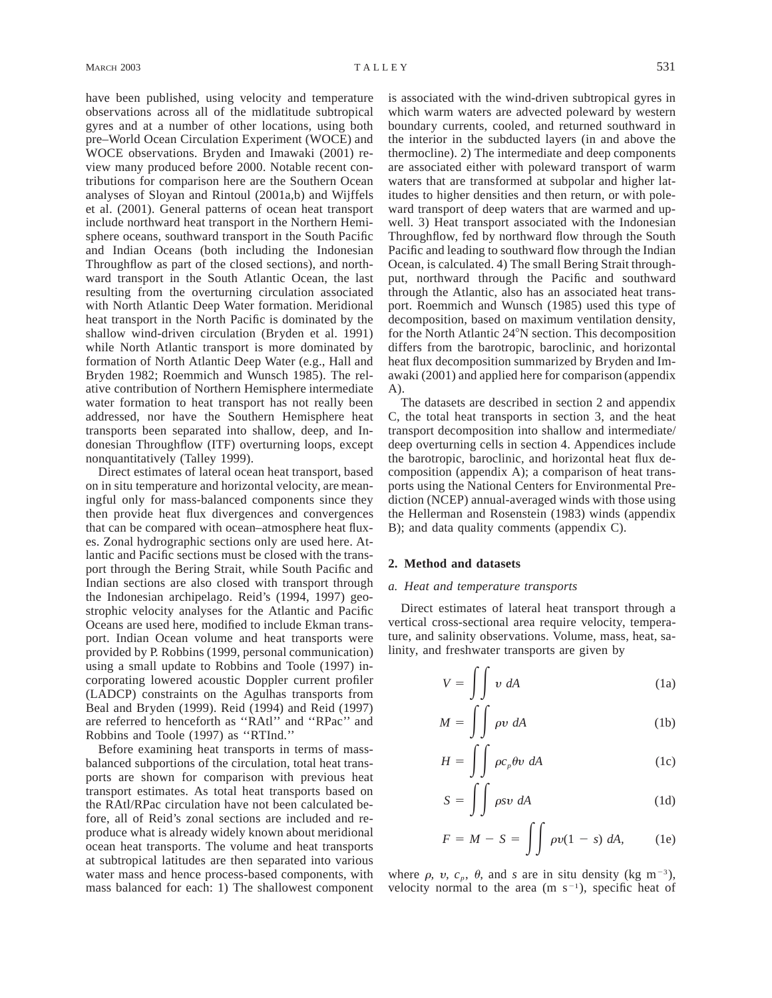have been published, using velocity and temperature observations across all of the midlatitude subtropical gyres and at a number of other locations, using both pre–World Ocean Circulation Experiment (WOCE) and WOCE observations. Bryden and Imawaki (2001) review many produced before 2000. Notable recent contributions for comparison here are the Southern Ocean analyses of Sloyan and Rintoul (2001a,b) and Wijffels et al. (2001). General patterns of ocean heat transport include northward heat transport in the Northern Hemisphere oceans, southward transport in the South Pacific and Indian Oceans (both including the Indonesian Throughflow as part of the closed sections), and northward transport in the South Atlantic Ocean, the last resulting from the overturning circulation associated with North Atlantic Deep Water formation. Meridional heat transport in the North Pacific is dominated by the shallow wind-driven circulation (Bryden et al. 1991) while North Atlantic transport is more dominated by formation of North Atlantic Deep Water (e.g., Hall and Bryden 1982; Roemmich and Wunsch 1985). The relative contribution of Northern Hemisphere intermediate water formation to heat transport has not really been addressed, nor have the Southern Hemisphere heat transports been separated into shallow, deep, and Indonesian Throughflow (ITF) overturning loops, except nonquantitatively (Talley 1999).

Direct estimates of lateral ocean heat transport, based on in situ temperature and horizontal velocity, are meaningful only for mass-balanced components since they then provide heat flux divergences and convergences that can be compared with ocean–atmosphere heat fluxes. Zonal hydrographic sections only are used here. Atlantic and Pacific sections must be closed with the transport through the Bering Strait, while South Pacific and Indian sections are also closed with transport through the Indonesian archipelago. Reid's (1994, 1997) geostrophic velocity analyses for the Atlantic and Pacific Oceans are used here, modified to include Ekman transport. Indian Ocean volume and heat transports were provided by P. Robbins (1999, personal communication) using a small update to Robbins and Toole (1997) incorporating lowered acoustic Doppler current profiler (LADCP) constraints on the Agulhas transports from Beal and Bryden (1999). Reid (1994) and Reid (1997) are referred to henceforth as ''RAtl'' and ''RPac'' and Robbins and Toole (1997) as ''RTInd.''

Before examining heat transports in terms of massbalanced subportions of the circulation, total heat transports are shown for comparison with previous heat transport estimates. As total heat transports based on the RAtl/RPac circulation have not been calculated before, all of Reid's zonal sections are included and reproduce what is already widely known about meridional ocean heat transports. The volume and heat transports at subtropical latitudes are then separated into various water mass and hence process-based components, with mass balanced for each: 1) The shallowest component is associated with the wind-driven subtropical gyres in which warm waters are advected poleward by western boundary currents, cooled, and returned southward in the interior in the subducted layers (in and above the thermocline). 2) The intermediate and deep components are associated either with poleward transport of warm waters that are transformed at subpolar and higher latitudes to higher densities and then return, or with poleward transport of deep waters that are warmed and upwell. 3) Heat transport associated with the Indonesian Throughflow, fed by northward flow through the South Pacific and leading to southward flow through the Indian Ocean, is calculated. 4) The small Bering Strait throughput, northward through the Pacific and southward through the Atlantic, also has an associated heat transport. Roemmich and Wunsch (1985) used this type of decomposition, based on maximum ventilation density, for the North Atlantic 24°N section. This decomposition differs from the barotropic, baroclinic, and horizontal heat flux decomposition summarized by Bryden and Imawaki (2001) and applied here for comparison (appendix A).

The datasets are described in section 2 and appendix C, the total heat transports in section 3, and the heat transport decomposition into shallow and intermediate/ deep overturning cells in section 4. Appendices include the barotropic, baroclinic, and horizontal heat flux decomposition (appendix A); a comparison of heat transports using the National Centers for Environmental Prediction (NCEP) annual-averaged winds with those using the Hellerman and Rosenstein (1983) winds (appendix B); and data quality comments (appendix C).

## **2. Method and datasets**

### *a. Heat and temperature transports*

Direct estimates of lateral heat transport through a vertical cross-sectional area require velocity, temperature, and salinity observations. Volume, mass, heat, salinity, and freshwater transports are given by

$$
V = \iint v \, dA \tag{1a}
$$

$$
M = \iint \rho v \, dA \tag{1b}
$$

$$
H = \int \int \rho c_p \theta v \, dA \tag{1c}
$$

$$
S = \iint \rho s v \, dA \tag{1d}
$$

$$
F = M - S = \iint \rho v (1 - s) \, dA, \qquad \text{(1e)}
$$

where  $\rho$ ,  $v$ ,  $c_p$ ,  $\theta$ , and *s* are in situ density (kg m<sup>-3</sup>), velocity normal to the area  $(m s<sup>-1</sup>)$ , specific heat of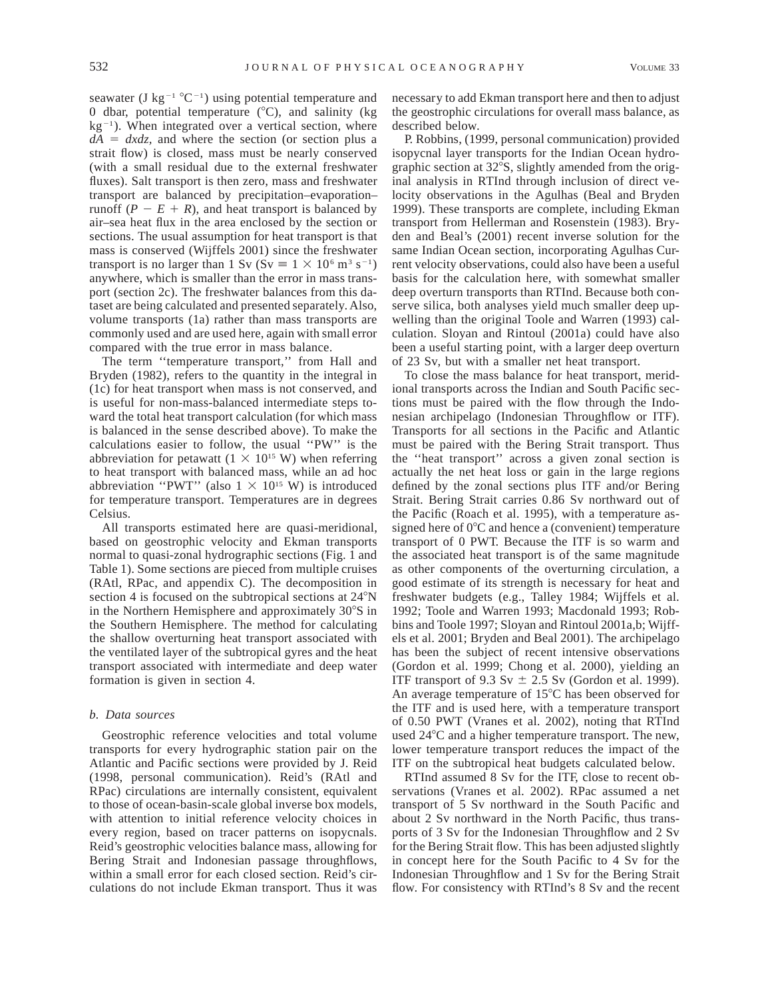seawater (J kg<sup>-1 °</sup>C<sup>-1</sup>) using potential temperature and 0 dbar, potential temperature  $(^{\circ}C)$ , and salinity (kg)  $kg^{-1}$ ). When integrated over a vertical section, where  $dA = dxdz$ , and where the section (or section plus a strait flow) is closed, mass must be nearly conserved (with a small residual due to the external freshwater fluxes). Salt transport is then zero, mass and freshwater transport are balanced by precipitation–evaporation– runoff  $(P - E + R)$ , and heat transport is balanced by air–sea heat flux in the area enclosed by the section or sections. The usual assumption for heat transport is that mass is conserved (Wijffels 2001) since the freshwater transport is no larger than 1 Sv (Sv  $\equiv 1 \times 10^6$  m<sup>3</sup> s<sup>-1</sup>) anywhere, which is smaller than the error in mass transport (section 2c). The freshwater balances from this dataset are being calculated and presented separately. Also, volume transports (1a) rather than mass transports are commonly used and are used here, again with small error compared with the true error in mass balance.

The term "temperature transport," from Hall and Bryden (1982), refers to the quantity in the integral in (1c) for heat transport when mass is not conserved, and is useful for non-mass-balanced intermediate steps toward the total heat transport calculation (for which mass is balanced in the sense described above). To make the calculations easier to follow, the usual ''PW'' is the abbreviation for petawatt  $(1 \times 10^{15} \text{ W})$  when referring to heat transport with balanced mass, while an ad hoc abbreviation "PWT" (also  $1 \times 10^{15}$  W) is introduced for temperature transport. Temperatures are in degrees Celsius.

All transports estimated here are quasi-meridional, based on geostrophic velocity and Ekman transports normal to quasi-zonal hydrographic sections (Fig. 1 and Table 1). Some sections are pieced from multiple cruises (RAtl, RPac, and appendix C). The decomposition in section 4 is focused on the subtropical sections at 24°N in the Northern Hemisphere and approximately  $30^{\circ}$ S in the Southern Hemisphere. The method for calculating the shallow overturning heat transport associated with the ventilated layer of the subtropical gyres and the heat transport associated with intermediate and deep water formation is given in section 4.

## *b. Data sources*

Geostrophic reference velocities and total volume transports for every hydrographic station pair on the Atlantic and Pacific sections were provided by J. Reid (1998, personal communication). Reid's (RAtl and RPac) circulations are internally consistent, equivalent to those of ocean-basin-scale global inverse box models, with attention to initial reference velocity choices in every region, based on tracer patterns on isopycnals. Reid's geostrophic velocities balance mass, allowing for Bering Strait and Indonesian passage throughflows, within a small error for each closed section. Reid's circulations do not include Ekman transport. Thus it was

necessary to add Ekman transport here and then to adjust the geostrophic circulations for overall mass balance, as described below.

P. Robbins, (1999, personal communication) provided isopycnal layer transports for the Indian Ocean hydrographic section at  $32^{\circ}$ S, slightly amended from the original analysis in RTInd through inclusion of direct velocity observations in the Agulhas (Beal and Bryden 1999). These transports are complete, including Ekman transport from Hellerman and Rosenstein (1983). Bryden and Beal's (2001) recent inverse solution for the same Indian Ocean section, incorporating Agulhas Current velocity observations, could also have been a useful basis for the calculation here, with somewhat smaller deep overturn transports than RTInd. Because both conserve silica, both analyses yield much smaller deep upwelling than the original Toole and Warren (1993) calculation. Sloyan and Rintoul (2001a) could have also been a useful starting point, with a larger deep overturn of 23 Sv, but with a smaller net heat transport.

To close the mass balance for heat transport, meridional transports across the Indian and South Pacific sections must be paired with the flow through the Indonesian archipelago (Indonesian Throughflow or ITF). Transports for all sections in the Pacific and Atlantic must be paired with the Bering Strait transport. Thus the ''heat transport'' across a given zonal section is actually the net heat loss or gain in the large regions defined by the zonal sections plus ITF and/or Bering Strait. Bering Strait carries 0.86 Sv northward out of the Pacific (Roach et al. 1995), with a temperature assigned here of  $0^{\circ}$ C and hence a (convenient) temperature transport of 0 PWT. Because the ITF is so warm and the associated heat transport is of the same magnitude as other components of the overturning circulation, a good estimate of its strength is necessary for heat and freshwater budgets (e.g., Talley 1984; Wijffels et al. 1992; Toole and Warren 1993; Macdonald 1993; Robbins and Toole 1997; Sloyan and Rintoul 2001a,b; Wijffels et al. 2001; Bryden and Beal 2001). The archipelago has been the subject of recent intensive observations (Gordon et al. 1999; Chong et al. 2000), yielding an ITF transport of 9.3 Sv  $\pm$  2.5 Sv (Gordon et al. 1999). An average temperature of  $15^{\circ}$ C has been observed for the ITF and is used here, with a temperature transport of 0.50 PWT (Vranes et al. 2002), noting that RTInd used  $24^{\circ}$ C and a higher temperature transport. The new, lower temperature transport reduces the impact of the ITF on the subtropical heat budgets calculated below.

RTInd assumed 8 Sv for the ITF, close to recent observations (Vranes et al. 2002). RPac assumed a net transport of 5 Sv northward in the South Pacific and about 2 Sv northward in the North Pacific, thus transports of 3 Sv for the Indonesian Throughflow and 2 Sv for the Bering Strait flow. This has been adjusted slightly in concept here for the South Pacific to 4 Sv for the Indonesian Throughflow and 1 Sv for the Bering Strait flow. For consistency with RTInd's 8 Sv and the recent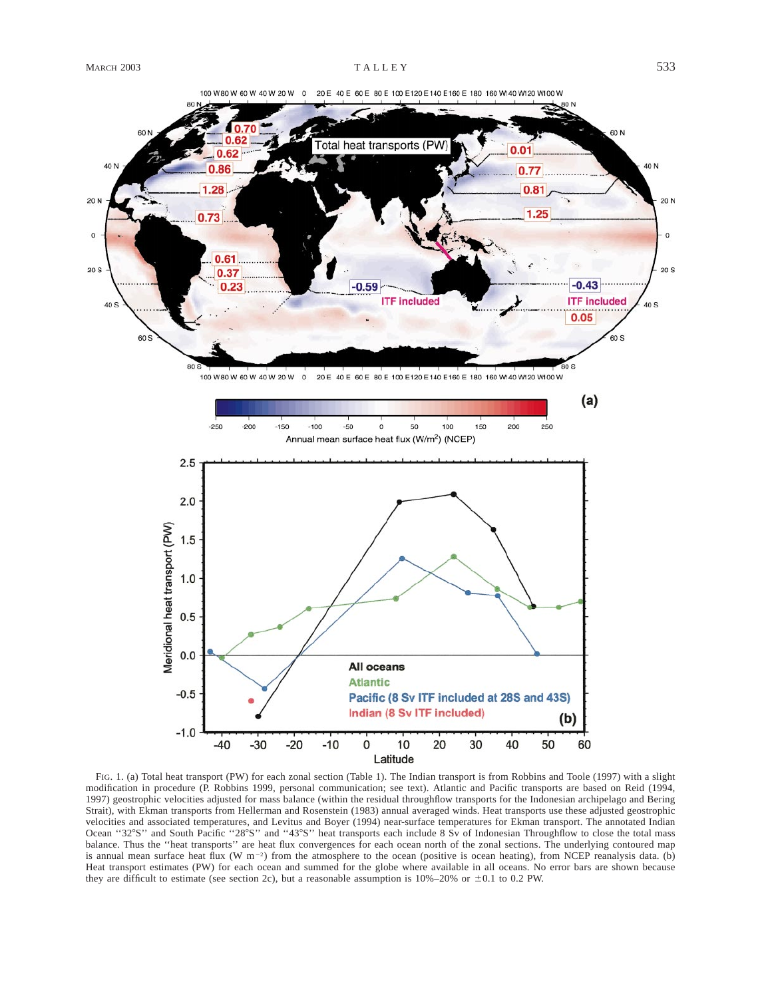

FIG. 1. (a) Total heat transport (PW) for each zonal section (Table 1). The Indian transport is from Robbins and Toole (1997) with a slight modification in procedure (P. Robbins 1999, personal communication; see text). Atlantic and Pacific transports are based on Reid (1994, 1997) geostrophic velocities adjusted for mass balance (within the residual throughflow transports for the Indonesian archipelago and Bering Strait), with Ekman transports from Hellerman and Rosenstein (1983) annual averaged winds. Heat transports use these adjusted geostrophic velocities and associated temperatures, and Levitus and Boyer (1994) near-surface temperatures for Ekman transport. The annotated Indian Ocean "32°S" and South Pacific "28°S" and "43°S" heat transports each include 8 Sv of Indonesian Throughflow to close the total mass balance. Thus the ''heat transports'' are heat flux convergences for each ocean north of the zonal sections. The underlying contoured map is annual mean surface heat flux (W m<sup>-2</sup>) from the atmosphere to the ocean (positive is ocean heating), from NCEP reanalysis data. (b) Heat transport estimates (PW) for each ocean and summed for the globe where available in all oceans. No error bars are shown because they are difficult to estimate (see section 2c), but a reasonable assumption is 10%–20% or  $\pm 0.1$  to 0.2 PW.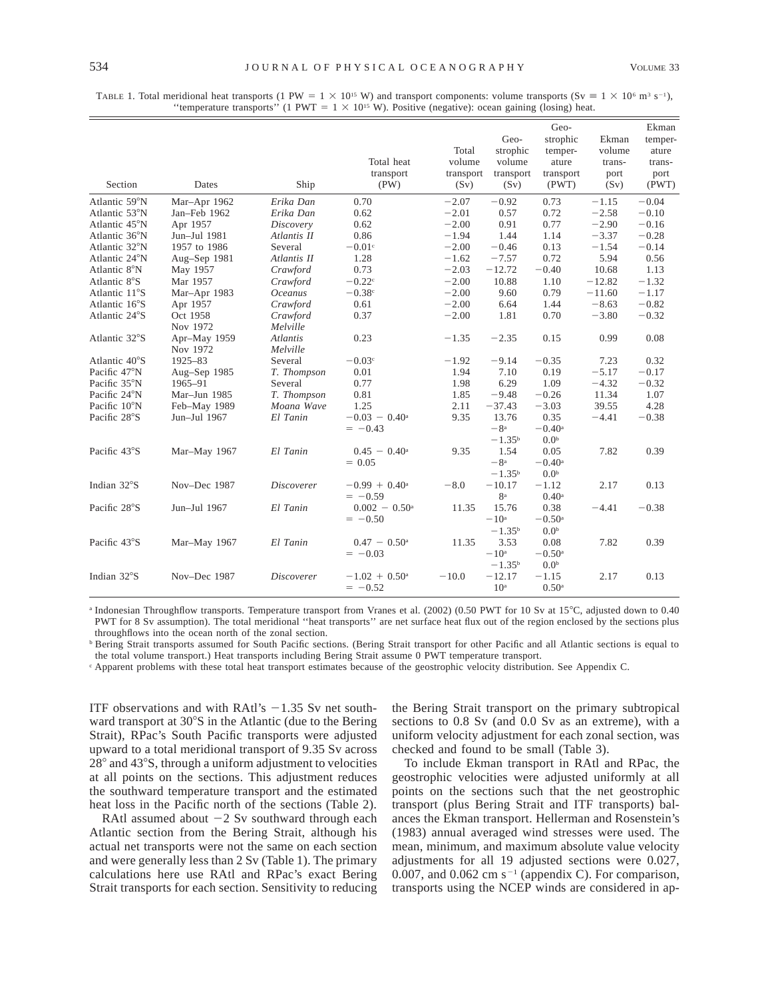| Section       | Dates                    | Ship                        | Total heat<br>transport<br>(PW)         | Total<br>volume<br>transport<br>(Sv) | Geo-<br>strophic<br>volume<br>transport<br>(Sv) | Geo-<br>strophic<br>temper-<br>ature<br>transport<br>(PWT) | Ekman<br>volume<br>trans-<br>port<br>(Sv) | Ekman<br>temper-<br>ature<br>trans-<br>port<br>(PWT) |
|---------------|--------------------------|-----------------------------|-----------------------------------------|--------------------------------------|-------------------------------------------------|------------------------------------------------------------|-------------------------------------------|------------------------------------------------------|
| Atlantic 59°N | Mar-Apr 1962             | Erika Dan                   | 0.70                                    | $-2.07$                              | $-0.92$                                         | 0.73                                                       | $-1.15$                                   | $-0.04$                                              |
| Atlantic 53°N | Jan-Feb 1962             | Erika Dan                   | 0.62                                    | $-2.01$                              | 0.57                                            | 0.72                                                       | $-2.58$                                   | $-0.10$                                              |
| Atlantic 45°N | Apr 1957                 | Discovery                   | 0.62                                    | $-2.00$                              | 0.91                                            | 0.77                                                       | $-2.90$                                   | $-0.16$                                              |
| Atlantic 36°N | Jun-Jul 1981             | Atlantis II                 | 0.86                                    | $-1.94$                              | 1.44                                            | 1.14                                                       | $-3.37$                                   | $-0.28$                                              |
| Atlantic 32°N | 1957 to 1986             | Several                     | $-0.01c$                                | $-2.00$                              | $-0.46$                                         | 0.13                                                       | $-1.54$                                   | $-0.14$                                              |
| Atlantic 24°N | Aug-Sep 1981             | Atlantis II                 | 1.28                                    | $-1.62$                              | $-7.57$                                         | 0.72                                                       | 5.94                                      | 0.56                                                 |
| Atlantic 8°N  | May 1957                 | Crawford                    | 0.73                                    | $-2.03$                              | $-12.72$                                        | $-0.40$                                                    | 10.68                                     | 1.13                                                 |
| Atlantic 8°S  | Mar 1957                 | Crawford                    | $-0.22^{\circ}$                         | $-2.00$                              | 10.88                                           | 1.10                                                       | $-12.82$                                  | $-1.32$                                              |
| Atlantic 11°S | Mar-Apr 1983             | <b>Oceanus</b>              | $-0.38c$                                | $-2.00$                              | 9.60                                            | 0.79                                                       | $-11.60$                                  | $-1.17$                                              |
| Atlantic 16°S | Apr 1957                 | Crawford                    | 0.61                                    | $-2.00$                              | 6.64                                            | 1.44                                                       | $-8.63$                                   | $-0.82$                                              |
| Atlantic 24°S | Oct 1958<br>Nov 1972     | Crawford<br>Melville        | 0.37                                    | $-2.00$                              | 1.81                                            | 0.70                                                       | $-3.80$                                   | $-0.32$                                              |
| Atlantic 32°S | Apr-May 1959<br>Nov 1972 | <b>Atlantis</b><br>Melville | 0.23                                    | $-1.35$                              | $-2.35$                                         | 0.15                                                       | 0.99                                      | 0.08                                                 |
| Atlantic 40°S | 1925-83                  | Several                     | $-0.03c$                                | $-1.92$                              | $-9.14$                                         | $-0.35$                                                    | 7.23                                      | 0.32                                                 |
| Pacific 47°N  | Aug-Sep 1985             | T. Thompson                 | 0.01                                    | 1.94                                 | 7.10                                            | 0.19                                                       | $-5.17$                                   | $-0.17$                                              |
| Pacific 35°N  | 1965-91                  | Several                     | 0.77                                    | 1.98                                 | 6.29                                            | 1.09                                                       | $-4.32$                                   | $-0.32$                                              |
| Pacific 24°N  | Mar-Jun 1985             | T. Thompson                 | 0.81                                    | 1.85                                 | $-9.48$                                         | $-0.26$                                                    | 11.34                                     | 1.07                                                 |
| Pacific 10°N  | Feb-May 1989             | Moana Wave                  | 1.25                                    | 2.11                                 | $-37.43$                                        | $-3.03$                                                    | 39.55                                     | 4.28                                                 |
| Pacific 28°S  | Jun-Jul 1967             | El Tanin                    | $-0.03 - 0.40^{\circ}$<br>$= -0.43$     | 9.35                                 | 13.76<br>$-8a$                                  | 0.35<br>$-0.40^{\rm a}$                                    | $-4.41$                                   | $-0.38$                                              |
|               |                          |                             |                                         |                                      | $-1.35^{\rm b}$                                 | 0.0 <sup>b</sup>                                           |                                           |                                                      |
| Pacific 43°S  | Mar-May 1967             | El Tanin                    | $0.45 - 0.40^{\circ}$<br>$= 0.05$       | 9.35                                 | 1.54<br>$-8a$<br>$-1.35^{\rm b}$                | 0.05<br>$-0.40^{\rm a}$<br>0.0 <sup>b</sup>                | 7.82                                      | 0.39                                                 |
| Indian 32°S   | Nov-Dec 1987             | Discoverer                  | $-0.99 + 0.40^{\circ}$<br>$=-0.59$      | $-8.0$                               | $-10.17$<br>8 <sup>a</sup>                      | $-1.12$<br>$0.40$ <sup>a</sup>                             | 2.17                                      | 0.13                                                 |
| Pacific 28°S  | Jun-Jul 1967             | El Tanin                    | $0.002 - 0.50$ <sup>a</sup><br>$=-0.50$ | 11.35                                | 15.76<br>$-10^{\rm a}$<br>$-1.35^{\rm b}$       | 0.38<br>$-0.50^{\circ}$<br>0.0 <sup>b</sup>                | $-4.41$                                   | $-0.38$                                              |
| Pacific 43°S  | Mar-May 1967             | El Tanin                    | $0.47 - 0.50$ <sup>a</sup><br>$=-0.03$  | 11.35                                | 3.53<br>$-10^{\rm a}$<br>$-1.35^{\rm b}$        | 0.08<br>$-0.50$ <sup>a</sup><br>0.0 <sup>b</sup>           | 7.82                                      | 0.39                                                 |
| Indian 32°S   | Nov-Dec 1987             | Discoverer                  | $-1.02 + 0.50^{\circ}$<br>$=-0.52$      | $-10.0$                              | $-12.17$<br>10 <sup>a</sup>                     | $-1.15$<br>$0.50$ <sup>a</sup>                             | 2.17                                      | 0.13                                                 |

TABLE 1. Total meridional heat transports (1 PW =  $1 \times 10^{15}$  W) and transport components: volume transports (Sv =  $1 \times 10^{6}$  m<sup>3</sup> s<sup>-1</sup>), "temperature transports" (1 PWT =  $1 \times 10^{15}$  W). Positive (negative): ocean gaining (losing) heat.

<sup>a</sup> Indonesian Throughflow transports. Temperature transport from Vranes et al. (2002) (0.50 PWT for 10 Sv at 15°C, adjusted down to 0.40 PWT for 8 Sv assumption). The total meridional ''heat transports'' are net surface heat flux out of the region enclosed by the sections plus throughflows into the ocean north of the zonal section.

<sup>b</sup> Bering Strait transports assumed for South Pacific sections. (Bering Strait transport for other Pacific and all Atlantic sections is equal to the total volume transport.) Heat transports including Bering Strait assume 0 PWT temperature transport.

<sup>c</sup> Apparent problems with these total heat transport estimates because of the geostrophic velocity distribution. See Appendix C.

ITF observations and with RAtl's  $-1.35$  Sv net southward transport at  $30^{\circ}$ S in the Atlantic (due to the Bering Strait), RPac's South Pacific transports were adjusted upward to a total meridional transport of 9.35 Sv across  $28^{\circ}$  and  $43^{\circ}$ S, through a uniform adjustment to velocities at all points on the sections. This adjustment reduces the southward temperature transport and the estimated heat loss in the Pacific north of the sections (Table 2).

RAtl assumed about  $-2$  Sv southward through each Atlantic section from the Bering Strait, although his actual net transports were not the same on each section and were generally less than 2 Sv (Table 1). The primary calculations here use RAtl and RPac's exact Bering Strait transports for each section. Sensitivity to reducing

the Bering Strait transport on the primary subtropical sections to 0.8 Sv (and 0.0 Sv as an extreme), with a uniform velocity adjustment for each zonal section, was checked and found to be small (Table 3).

To include Ekman transport in RAtl and RPac, the geostrophic velocities were adjusted uniformly at all points on the sections such that the net geostrophic transport (plus Bering Strait and ITF transports) balances the Ekman transport. Hellerman and Rosenstein's (1983) annual averaged wind stresses were used. The mean, minimum, and maximum absolute value velocity adjustments for all 19 adjusted sections were 0.027, 0.007, and 0.062 cm  $s^{-1}$  (appendix C). For comparison, transports using the NCEP winds are considered in ap-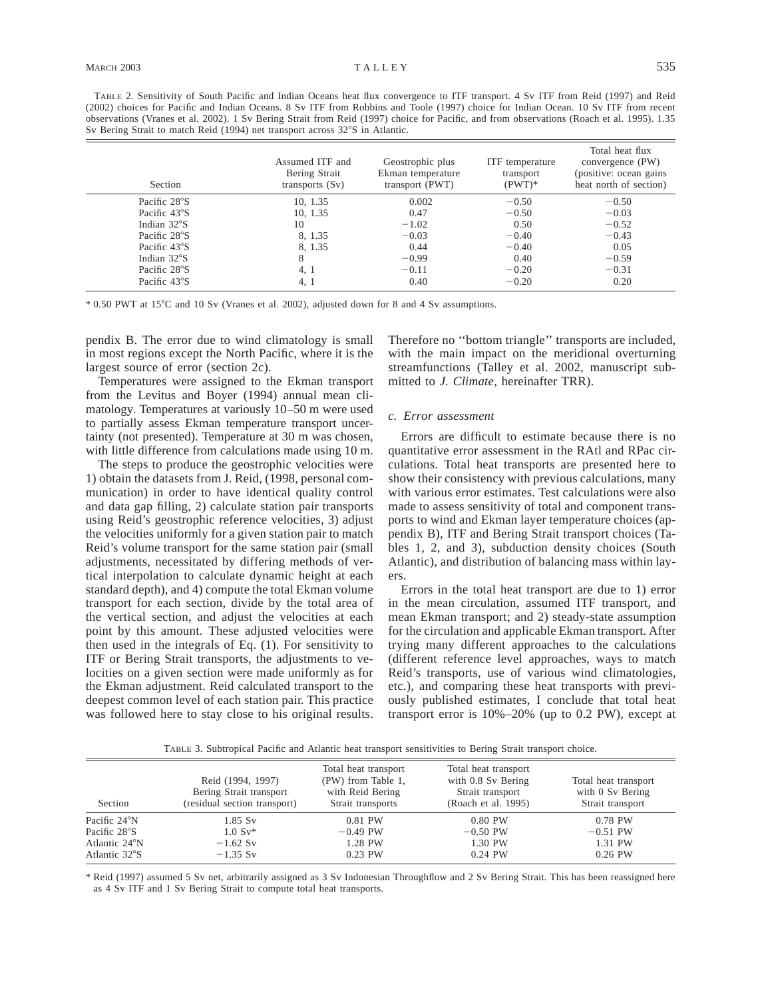TABLE 2. Sensitivity of South Pacific and Indian Oceans heat flux convergence to ITF transport. 4 Sv ITF from Reid (1997) and Reid (2002) choices for Pacific and Indian Oceans. 8 Sv ITF from Robbins and Toole (1997) choice for Indian Ocean. 10 Sv ITF from recent observations (Vranes et al. 2002). 1 Sv Bering Strait from Reid (1997) choice for Pacific, and from observations (Roach et al. 1995). 1.35 Sv Bering Strait to match Reid (1994) net transport across  $32^{\circ}$ S in Atlantic.

| Section                | Assumed ITF and<br>Bering Strait<br>transports $(Sv)$ | Geostrophic plus<br>Ekman temperature<br>transport (PWT) | ITF temperature<br>transport<br>$(PWT)*$ | Total heat flux<br>convergence (PW)<br>(positive: ocean gains<br>heat north of section) |
|------------------------|-------------------------------------------------------|----------------------------------------------------------|------------------------------------------|-----------------------------------------------------------------------------------------|
| Pacific 28°S           | 10, 1.35                                              | 0.002                                                    | $-0.50$                                  | $-0.50$                                                                                 |
| Pacific 43°S           | 10.1.35                                               | 0.47                                                     | $-0.50$                                  | $-0.03$                                                                                 |
| Indian $32^\circ$ S    | 10                                                    | $-1.02$                                                  | 0.50                                     | $-0.52$                                                                                 |
| Pacific 28°S           | 8, 1.35                                               | $-0.03$                                                  | $-0.40$                                  | $-0.43$                                                                                 |
| Pacific $43^{\circ}$ S | 8, 1.35                                               | 0.44                                                     | $-0.40$                                  | 0.05                                                                                    |
| Indian $32^\circ$ S    | 8                                                     | $-0.99$                                                  | 0.40                                     | $-0.59$                                                                                 |
| Pacific 28°S           | 4, 1                                                  | $-0.11$                                                  | $-0.20$                                  | $-0.31$                                                                                 |
| Pacific $43^{\circ}$ S | 4, 1                                                  | 0.40                                                     | $-0.20$                                  | 0.20                                                                                    |

\* 0.50 PWT at 15°C and 10 Sv (Vranes et al. 2002), adjusted down for 8 and 4 Sv assumptions.

pendix B. The error due to wind climatology is small in most regions except the North Pacific, where it is the largest source of error (section 2c).

Temperatures were assigned to the Ekman transport from the Levitus and Boyer (1994) annual mean climatology. Temperatures at variously 10–50 m were used to partially assess Ekman temperature transport uncertainty (not presented). Temperature at 30 m was chosen, with little difference from calculations made using 10 m.

The steps to produce the geostrophic velocities were 1) obtain the datasets from J. Reid, (1998, personal communication) in order to have identical quality control and data gap filling, 2) calculate station pair transports using Reid's geostrophic reference velocities, 3) adjust the velocities uniformly for a given station pair to match Reid's volume transport for the same station pair (small adjustments, necessitated by differing methods of vertical interpolation to calculate dynamic height at each standard depth), and 4) compute the total Ekman volume transport for each section, divide by the total area of the vertical section, and adjust the velocities at each point by this amount. These adjusted velocities were then used in the integrals of Eq. (1). For sensitivity to ITF or Bering Strait transports, the adjustments to velocities on a given section were made uniformly as for the Ekman adjustment. Reid calculated transport to the deepest common level of each station pair. This practice was followed here to stay close to his original results.

Therefore no ''bottom triangle'' transports are included, with the main impact on the meridional overturning streamfunctions (Talley et al. 2002, manuscript submitted to *J. Climate,* hereinafter TRR).

#### *c. Error assessment*

Errors are difficult to estimate because there is no quantitative error assessment in the RAtl and RPac circulations. Total heat transports are presented here to show their consistency with previous calculations, many with various error estimates. Test calculations were also made to assess sensitivity of total and component transports to wind and Ekman layer temperature choices (appendix B), ITF and Bering Strait transport choices (Tables 1, 2, and 3), subduction density choices (South Atlantic), and distribution of balancing mass within layers.

Errors in the total heat transport are due to 1) error in the mean circulation, assumed ITF transport, and mean Ekman transport; and 2) steady-state assumption for the circulation and applicable Ekman transport. After trying many different approaches to the calculations (different reference level approaches, ways to match Reid's transports, use of various wind climatologies, etc.), and comparing these heat transports with previously published estimates, I conclude that total heat transport error is 10%–20% (up to 0.2 PW), except at

| TABLE 3. Subtropical Pacific and Atlantic heat transport sensitivities to Bering Strait transport choice. |  |  |  |
|-----------------------------------------------------------------------------------------------------------|--|--|--|
|                                                                                                           |  |  |  |

| Section                                                                     | Reid (1994, 1997)<br>Bering Strait transport<br>(residual section transport) | Total heat transport<br>(PW) from Table 1,<br>with Reid Bering<br>Strait transports | Total heat transport<br>with 0.8 Sv Bering<br>Strait transport<br>(Roach et al. 1995) | Total heat transport<br>with 0 Sv Bering<br>Strait transport |
|-----------------------------------------------------------------------------|------------------------------------------------------------------------------|-------------------------------------------------------------------------------------|---------------------------------------------------------------------------------------|--------------------------------------------------------------|
| Pacific 24°N<br>Pacific 28°S<br>Atlantic 24 <sup>°</sup> N<br>Atlantic 32°S | $1.85$ Sv<br>$1.0 Sv^*$<br>$-1.62$ Sv<br>$-1.35$ Sv                          | $0.81$ PW<br>$-0.49$ PW<br>1.28 PW<br>$0.23$ PW                                     | $0.80$ PW<br>$-0.50$ PW<br>1.30 PW<br>$0.24$ PW                                       | 0.78 PW<br>$-0.51$ PW<br>1.31 PW<br>0.26 PW                  |

\* Reid (1997) assumed 5 Sv net, arbitrarily assigned as 3 Sv Indonesian Throughflow and 2 Sv Bering Strait. This has been reassigned here as 4 Sv ITF and 1 Sv Bering Strait to compute total heat transports.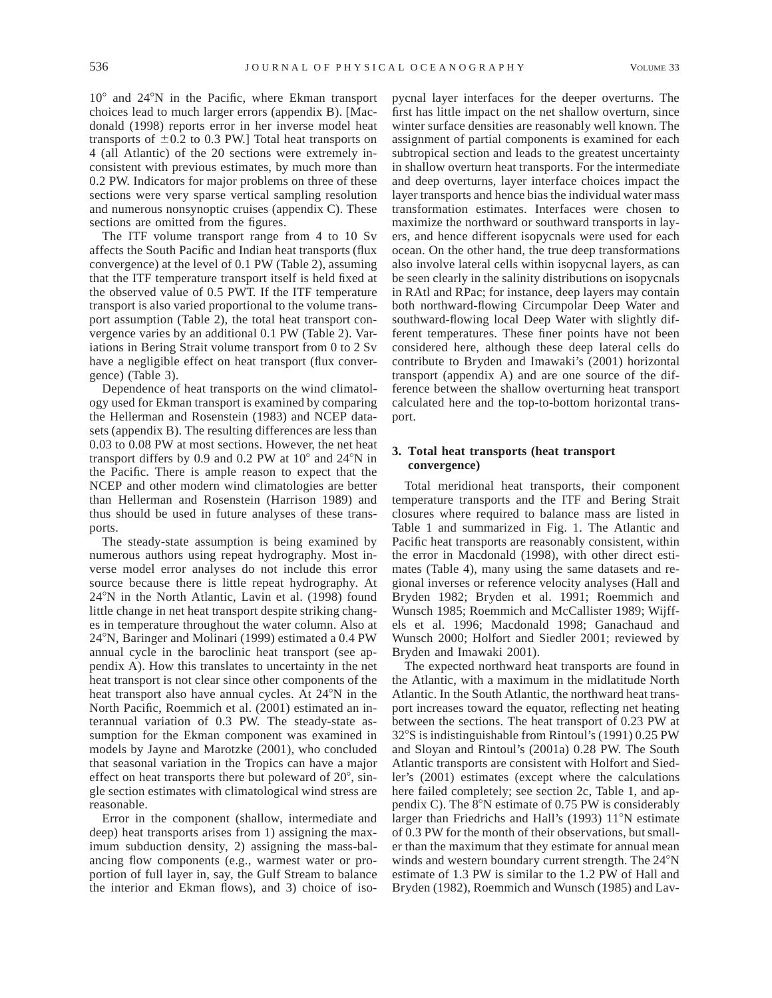$10^{\circ}$  and  $24^{\circ}$ N in the Pacific, where Ekman transport choices lead to much larger errors (appendix B). [Macdonald (1998) reports error in her inverse model heat transports of  $\pm 0.2$  to 0.3 PW.] Total heat transports on 4 (all Atlantic) of the 20 sections were extremely inconsistent with previous estimates, by much more than 0.2 PW. Indicators for major problems on three of these sections were very sparse vertical sampling resolution and numerous nonsynoptic cruises (appendix C). These sections are omitted from the figures.

The ITF volume transport range from 4 to 10 Sv affects the South Pacific and Indian heat transports (flux convergence) at the level of 0.1 PW (Table 2), assuming that the ITF temperature transport itself is held fixed at the observed value of 0.5 PWT. If the ITF temperature transport is also varied proportional to the volume transport assumption (Table 2), the total heat transport convergence varies by an additional 0.1 PW (Table 2). Variations in Bering Strait volume transport from 0 to 2 Sv have a negligible effect on heat transport (flux convergence) (Table 3).

Dependence of heat transports on the wind climatology used for Ekman transport is examined by comparing the Hellerman and Rosenstein (1983) and NCEP datasets (appendix B). The resulting differences are less than 0.03 to 0.08 PW at most sections. However, the net heat transport differs by  $0.9$  and  $0.2$  PW at  $10^{\circ}$  and  $24^{\circ}$ N in the Pacific. There is ample reason to expect that the NCEP and other modern wind climatologies are better than Hellerman and Rosenstein (Harrison 1989) and thus should be used in future analyses of these transports.

The steady-state assumption is being examined by numerous authors using repeat hydrography. Most inverse model error analyses do not include this error source because there is little repeat hydrography. At 24°N in the North Atlantic, Lavin et al. (1998) found little change in net heat transport despite striking changes in temperature throughout the water column. Also at 24°N, Baringer and Molinari (1999) estimated a 0.4 PW annual cycle in the baroclinic heat transport (see appendix A). How this translates to uncertainty in the net heat transport is not clear since other components of the heat transport also have annual cycles. At  $24^{\circ}$ N in the North Pacific, Roemmich et al. (2001) estimated an interannual variation of 0.3 PW. The steady-state assumption for the Ekman component was examined in models by Jayne and Marotzke (2001), who concluded that seasonal variation in the Tropics can have a major effect on heat transports there but poleward of  $20^{\circ}$ , single section estimates with climatological wind stress are reasonable.

Error in the component (shallow, intermediate and deep) heat transports arises from 1) assigning the maximum subduction density, 2) assigning the mass-balancing flow components (e.g., warmest water or proportion of full layer in, say, the Gulf Stream to balance the interior and Ekman flows), and 3) choice of isopycnal layer interfaces for the deeper overturns. The first has little impact on the net shallow overturn, since winter surface densities are reasonably well known. The assignment of partial components is examined for each subtropical section and leads to the greatest uncertainty in shallow overturn heat transports. For the intermediate and deep overturns, layer interface choices impact the layer transports and hence bias the individual water mass transformation estimates. Interfaces were chosen to maximize the northward or southward transports in layers, and hence different isopycnals were used for each ocean. On the other hand, the true deep transformations also involve lateral cells within isopycnal layers, as can be seen clearly in the salinity distributions on isopycnals in RAtl and RPac; for instance, deep layers may contain both northward-flowing Circumpolar Deep Water and southward-flowing local Deep Water with slightly different temperatures. These finer points have not been considered here, although these deep lateral cells do contribute to Bryden and Imawaki's (2001) horizontal transport (appendix A) and are one source of the difference between the shallow overturning heat transport calculated here and the top-to-bottom horizontal transport.

## **3. Total heat transports (heat transport convergence)**

Total meridional heat transports, their component temperature transports and the ITF and Bering Strait closures where required to balance mass are listed in Table 1 and summarized in Fig. 1. The Atlantic and Pacific heat transports are reasonably consistent, within the error in Macdonald (1998), with other direct estimates (Table 4), many using the same datasets and regional inverses or reference velocity analyses (Hall and Bryden 1982; Bryden et al. 1991; Roemmich and Wunsch 1985; Roemmich and McCallister 1989; Wijffels et al. 1996; Macdonald 1998; Ganachaud and Wunsch 2000; Holfort and Siedler 2001; reviewed by Bryden and Imawaki 2001).

The expected northward heat transports are found in the Atlantic, with a maximum in the midlatitude North Atlantic. In the South Atlantic, the northward heat transport increases toward the equator, reflecting net heating between the sections. The heat transport of 0.23 PW at 32°S is indistinguishable from Rintoul's (1991) 0.25 PW and Sloyan and Rintoul's (2001a) 0.28 PW. The South Atlantic transports are consistent with Holfort and Siedler's (2001) estimates (except where the calculations here failed completely; see section 2c, Table 1, and appendix C). The  $8^\circ$ N estimate of 0.75 PW is considerably larger than Friedrichs and Hall's  $(1993)$   $11^{\circ}N$  estimate of 0.3 PW for the month of their observations, but smaller than the maximum that they estimate for annual mean winds and western boundary current strength. The 24<sup>o</sup>N estimate of 1.3 PW is similar to the 1.2 PW of Hall and Bryden (1982), Roemmich and Wunsch (1985) and Lav-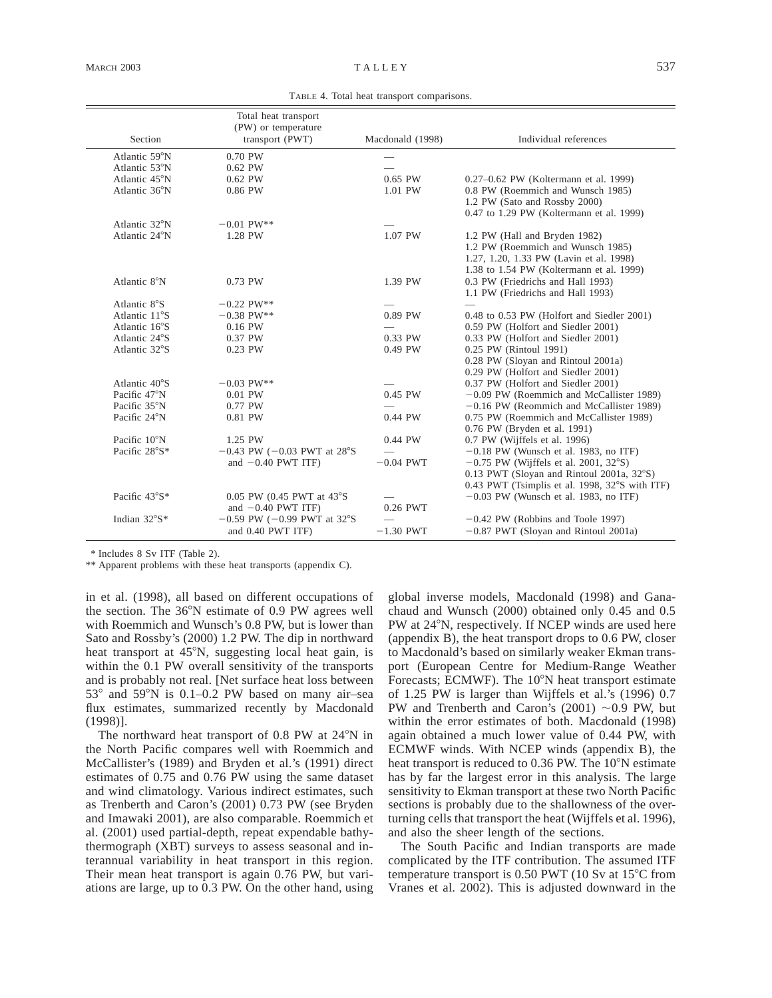|               | Total heat transport<br>(PW) or temperature           |                  |                                                                                                                                                           |
|---------------|-------------------------------------------------------|------------------|-----------------------------------------------------------------------------------------------------------------------------------------------------------|
| Section       | transport (PWT)                                       | Macdonald (1998) | Individual references                                                                                                                                     |
| Atlantic 59°N | 0.70 PW                                               |                  |                                                                                                                                                           |
| Atlantic 53°N | 0.62 PW                                               |                  |                                                                                                                                                           |
| Atlantic 45°N | 0.62 PW                                               | 0.65 PW          | 0.27-0.62 PW (Koltermann et al. 1999)                                                                                                                     |
| Atlantic 36°N | 0.86 PW                                               | 1.01 PW          | 0.8 PW (Roemmich and Wunsch 1985)<br>1.2 PW (Sato and Rossby 2000)<br>0.47 to 1.29 PW (Koltermann et al. 1999)                                            |
| Atlantic 32°N | $-0.01$ PW**                                          |                  |                                                                                                                                                           |
| Atlantic 24°N | 1.28 PW                                               | 1.07 PW          | 1.2 PW (Hall and Bryden 1982)<br>1.2 PW (Roemmich and Wunsch 1985)<br>1.27, 1.20, 1.33 PW (Lavin et al. 1998)<br>1.38 to 1.54 PW (Koltermann et al. 1999) |
| Atlantic 8°N  | 0.73 PW                                               | 1.39 PW          | 0.3 PW (Friedrichs and Hall 1993)<br>1.1 PW (Friedrichs and Hall 1993)                                                                                    |
| Atlantic 8°S  | $-0.22$ PW**                                          |                  |                                                                                                                                                           |
| Atlantic 11°S | $-0.38$ PW**                                          | 0.89 PW          | 0.48 to 0.53 PW (Holfort and Siedler 2001)                                                                                                                |
| Atlantic 16°S | 0.16 PW                                               |                  | 0.59 PW (Holfort and Siedler 2001)                                                                                                                        |
| Atlantic 24°S | 0.37 PW                                               | 0.33 PW          | 0.33 PW (Holfort and Siedler 2001)                                                                                                                        |
| Atlantic 32°S | 0.23 PW                                               | 0.49 PW          | 0.25 PW (Rintoul 1991)<br>0.28 PW (Sloyan and Rintoul 2001a)<br>0.29 PW (Holfort and Siedler 2001)                                                        |
| Atlantic 40°S | $-0.03$ PW**                                          |                  | 0.37 PW (Holfort and Siedler 2001)                                                                                                                        |
| Pacific 47°N  | $0.01$ PW                                             | 0.45 PW          | $-0.09$ PW (Roemmich and McCallister 1989)                                                                                                                |
| Pacific 35°N  | 0.77 PW                                               |                  | $-0.16$ PW (Reommich and McCallister 1989)                                                                                                                |
| Pacific 24°N  | 0.81 PW                                               | 0.44 PW          | 0.75 PW (Roemmich and McCallister 1989)<br>0.76 PW (Bryden et al. 1991)                                                                                   |
| Pacific 10°N  | 1.25 PW                                               | 0.44 PW          | 0.7 PW (Wijffels et al. 1996)                                                                                                                             |
| Pacific 28°S* | $-0.43$ PW ( $-0.03$ PWT at 28°S                      |                  | $-0.18$ PW (Wunsch et al. 1983, no ITF)                                                                                                                   |
|               | and $-0.40$ PWT ITF)                                  | $-0.04$ PWT      | $-0.75$ PW (Wijffels et al. 2001, 32°S)<br>0.13 PWT (Sloyan and Rintoul 2001a, 32°S)<br>0.43 PWT (Tsimplis et al. 1998, 32°S with ITF)                    |
| Pacific 43°S* | 0.05 PW (0.45 PWT at 43°S)<br>and $-0.40$ PWT ITF)    | 0.26 PWT         | $-0.03$ PW (Wunsch et al. 1983, no ITF)                                                                                                                   |
| Indian 32°S*  | $-0.59$ PW ( $-0.99$ PWT at 32°S<br>and 0.40 PWT ITF) | $-1.30$ PWT      | $-0.42$ PW (Robbins and Toole 1997)<br>$-0.87$ PWT (Slovan and Rintoul 2001a)                                                                             |

\* Includes 8 Sv ITF (Table 2).

\*\* Apparent problems with these heat transports (appendix C).

in et al. (1998), all based on different occupations of the section. The 36°N estimate of 0.9 PW agrees well with Roemmich and Wunsch's 0.8 PW, but is lower than Sato and Rossby's (2000) 1.2 PW. The dip in northward heat transport at  $45^{\circ}$ N, suggesting local heat gain, is within the 0.1 PW overall sensitivity of the transports and is probably not real. [Net surface heat loss between  $53^{\circ}$  and  $59^{\circ}$ N is 0.1–0.2 PW based on many air–sea flux estimates, summarized recently by Macdonald (1998)].

The northward heat transport of  $0.8$  PW at  $24^{\circ}$ N in the North Pacific compares well with Roemmich and McCallister's (1989) and Bryden et al.'s (1991) direct estimates of 0.75 and 0.76 PW using the same dataset and wind climatology. Various indirect estimates, such as Trenberth and Caron's (2001) 0.73 PW (see Bryden and Imawaki 2001), are also comparable. Roemmich et al. (2001) used partial-depth, repeat expendable bathythermograph (XBT) surveys to assess seasonal and interannual variability in heat transport in this region. Their mean heat transport is again 0.76 PW, but variations are large, up to 0.3 PW. On the other hand, using

global inverse models, Macdonald (1998) and Ganachaud and Wunsch (2000) obtained only 0.45 and 0.5 PW at 24°N, respectively. If NCEP winds are used here (appendix B), the heat transport drops to 0.6 PW, closer to Macdonald's based on similarly weaker Ekman transport (European Centre for Medium-Range Weather Forecasts; ECMWF). The 10°N heat transport estimate of 1.25 PW is larger than Wijffels et al.'s (1996) 0.7 PW and Trenberth and Caron's  $(2001)$  ~0.9 PW, but within the error estimates of both. Macdonald (1998) again obtained a much lower value of 0.44 PW, with ECMWF winds. With NCEP winds (appendix B), the heat transport is reduced to 0.36 PW. The 10°N estimate has by far the largest error in this analysis. The large sensitivity to Ekman transport at these two North Pacific sections is probably due to the shallowness of the overturning cells that transport the heat (Wijffels et al. 1996), and also the sheer length of the sections.

The South Pacific and Indian transports are made complicated by the ITF contribution. The assumed ITF temperature transport is  $0.50$  PWT (10 Sv at 15 $\degree$ C from Vranes et al. 2002). This is adjusted downward in the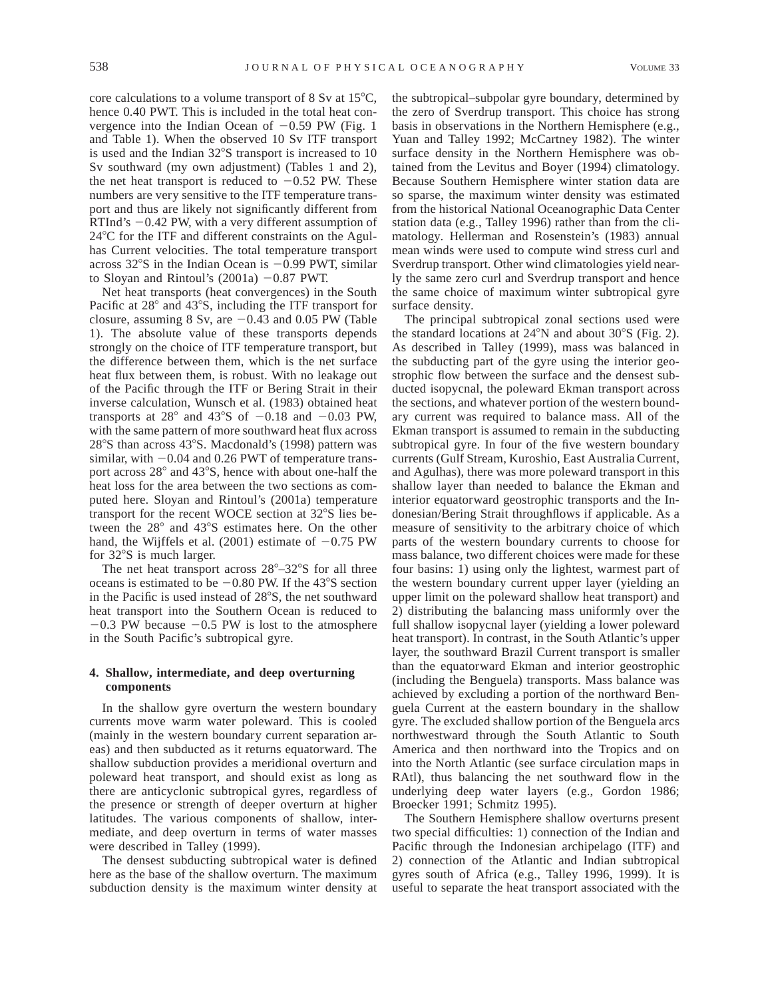core calculations to a volume transport of 8 Sv at  $15^{\circ}$ C, hence 0.40 PWT. This is included in the total heat convergence into the Indian Ocean of  $-0.59$  PW (Fig. 1) and Table 1). When the observed 10 Sv ITF transport is used and the Indian  $32^{\circ}$ S transport is increased to 10 Sv southward (my own adjustment) (Tables 1 and 2), the net heat transport is reduced to  $-0.52$  PW. These numbers are very sensitive to the ITF temperature transport and thus are likely not significantly different from RTInd's  $-0.42$  PW, with a very different assumption of  $24^{\circ}$ C for the ITF and different constraints on the Agulhas Current velocities. The total temperature transport across  $32^{\circ}$ S in the Indian Ocean is  $-0.99$  PWT, similar to Sloyan and Rintoul's  $(2001a) -0.87$  PWT.

Net heat transports (heat convergences) in the South Pacific at  $28^\circ$  and  $43^\circ$ S, including the ITF transport for closure, assuming 8 Sv, are  $-0.43$  and 0.05 PW (Table 1). The absolute value of these transports depends strongly on the choice of ITF temperature transport, but the difference between them, which is the net surface heat flux between them, is robust. With no leakage out of the Pacific through the ITF or Bering Strait in their inverse calculation, Wunsch et al. (1983) obtained heat transports at  $28^{\circ}$  and  $43^{\circ}$ S of  $-0.18$  and  $-0.03$  PW, with the same pattern of more southward heat flux across  $28^{\circ}$ S than across 43 $^{\circ}$ S. Macdonald's (1998) pattern was similar, with  $-0.04$  and 0.26 PWT of temperature transport across  $28^{\circ}$  and  $43^{\circ}$ S, hence with about one-half the heat loss for the area between the two sections as computed here. Sloyan and Rintoul's (2001a) temperature transport for the recent WOCE section at 32°S lies between the  $28^{\circ}$  and  $43^{\circ}$ S estimates here. On the other hand, the Wijffels et al. (2001) estimate of  $-0.75$  PW for  $32^{\circ}$ S is much larger.

The net heat transport across  $28^{\circ} - 32^{\circ}$ S for all three oceans is estimated to be  $-0.80$  PW. If the 43°S section in the Pacific is used instead of 28°S, the net southward heat transport into the Southern Ocean is reduced to  $-0.3$  PW because  $-0.5$  PW is lost to the atmosphere in the South Pacific's subtropical gyre.

### **4. Shallow, intermediate, and deep overturning components**

In the shallow gyre overturn the western boundary currents move warm water poleward. This is cooled (mainly in the western boundary current separation areas) and then subducted as it returns equatorward. The shallow subduction provides a meridional overturn and poleward heat transport, and should exist as long as there are anticyclonic subtropical gyres, regardless of the presence or strength of deeper overturn at higher latitudes. The various components of shallow, intermediate, and deep overturn in terms of water masses were described in Talley (1999).

The densest subducting subtropical water is defined here as the base of the shallow overturn. The maximum subduction density is the maximum winter density at

the subtropical–subpolar gyre boundary, determined by the zero of Sverdrup transport. This choice has strong basis in observations in the Northern Hemisphere (e.g., Yuan and Talley 1992; McCartney 1982). The winter surface density in the Northern Hemisphere was obtained from the Levitus and Boyer (1994) climatology. Because Southern Hemisphere winter station data are so sparse, the maximum winter density was estimated from the historical National Oceanographic Data Center station data (e.g., Talley 1996) rather than from the climatology. Hellerman and Rosenstein's (1983) annual mean winds were used to compute wind stress curl and Sverdrup transport. Other wind climatologies yield nearly the same zero curl and Sverdrup transport and hence the same choice of maximum winter subtropical gyre surface density.

The principal subtropical zonal sections used were the standard locations at  $24^{\circ}$ N and about  $30^{\circ}$ S (Fig. 2). As described in Talley (1999), mass was balanced in the subducting part of the gyre using the interior geostrophic flow between the surface and the densest subducted isopycnal, the poleward Ekman transport across the sections, and whatever portion of the western boundary current was required to balance mass. All of the Ekman transport is assumed to remain in the subducting subtropical gyre. In four of the five western boundary currents (Gulf Stream, Kuroshio, East Australia Current, and Agulhas), there was more poleward transport in this shallow layer than needed to balance the Ekman and interior equatorward geostrophic transports and the Indonesian/Bering Strait throughflows if applicable. As a measure of sensitivity to the arbitrary choice of which parts of the western boundary currents to choose for mass balance, two different choices were made for these four basins: 1) using only the lightest, warmest part of the western boundary current upper layer (yielding an upper limit on the poleward shallow heat transport) and 2) distributing the balancing mass uniformly over the full shallow isopycnal layer (yielding a lower poleward heat transport). In contrast, in the South Atlantic's upper layer, the southward Brazil Current transport is smaller than the equatorward Ekman and interior geostrophic (including the Benguela) transports. Mass balance was achieved by excluding a portion of the northward Benguela Current at the eastern boundary in the shallow gyre. The excluded shallow portion of the Benguela arcs northwestward through the South Atlantic to South America and then northward into the Tropics and on into the North Atlantic (see surface circulation maps in RAtl), thus balancing the net southward flow in the underlying deep water layers (e.g., Gordon 1986; Broecker 1991; Schmitz 1995).

The Southern Hemisphere shallow overturns present two special difficulties: 1) connection of the Indian and Pacific through the Indonesian archipelago (ITF) and 2) connection of the Atlantic and Indian subtropical gyres south of Africa (e.g., Talley 1996, 1999). It is useful to separate the heat transport associated with the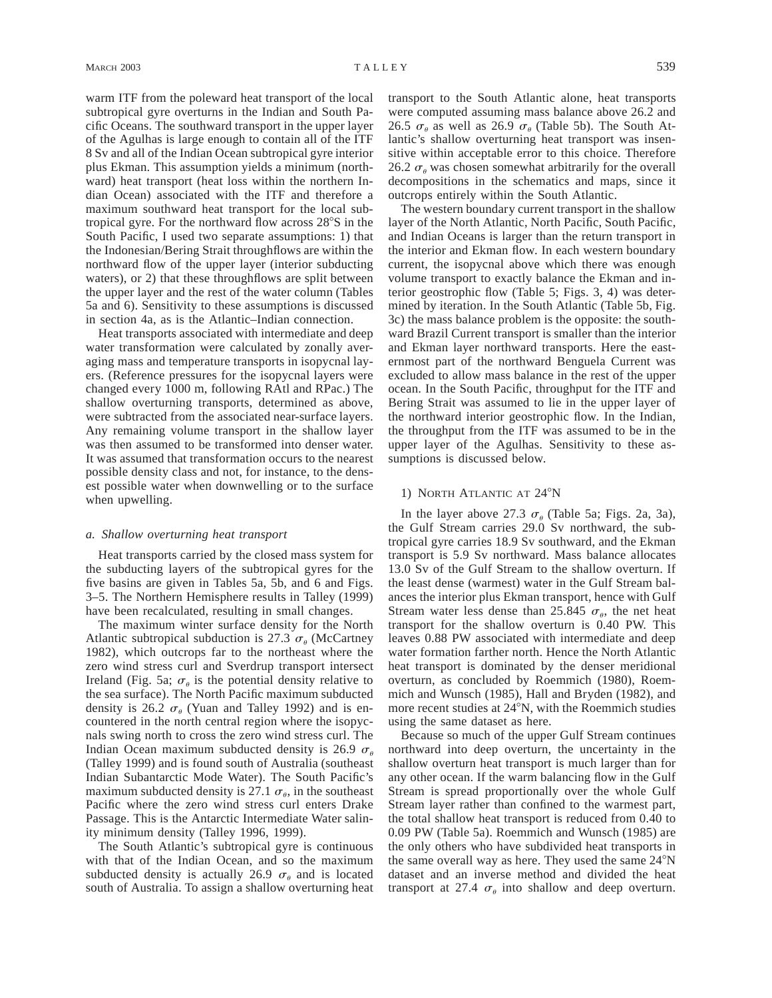warm ITF from the poleward heat transport of the local subtropical gyre overturns in the Indian and South Pacific Oceans. The southward transport in the upper layer of the Agulhas is large enough to contain all of the ITF 8 Sv and all of the Indian Ocean subtropical gyre interior plus Ekman. This assumption yields a minimum (northward) heat transport (heat loss within the northern Indian Ocean) associated with the ITF and therefore a maximum southward heat transport for the local subtropical gyre. For the northward flow across  $28^{\circ}$ S in the South Pacific, I used two separate assumptions: 1) that the Indonesian/Bering Strait throughflows are within the northward flow of the upper layer (interior subducting waters), or 2) that these throughflows are split between the upper layer and the rest of the water column (Tables 5a and 6). Sensitivity to these assumptions is discussed in section 4a, as is the Atlantic–Indian connection.

Heat transports associated with intermediate and deep water transformation were calculated by zonally averaging mass and temperature transports in isopycnal layers. (Reference pressures for the isopycnal layers were changed every 1000 m, following RAtl and RPac.) The shallow overturning transports, determined as above, were subtracted from the associated near-surface layers. Any remaining volume transport in the shallow layer was then assumed to be transformed into denser water. It was assumed that transformation occurs to the nearest possible density class and not, for instance, to the densest possible water when downwelling or to the surface when upwelling.

#### *a. Shallow overturning heat transport*

Heat transports carried by the closed mass system for the subducting layers of the subtropical gyres for the five basins are given in Tables 5a, 5b, and 6 and Figs. 3–5. The Northern Hemisphere results in Talley (1999) have been recalculated, resulting in small changes.

The maximum winter surface density for the North Atlantic subtropical subduction is 27.3  $\sigma_{\theta}$  (McCartney 1982), which outcrops far to the northeast where the zero wind stress curl and Sverdrup transport intersect Ireland (Fig. 5a;  $\sigma_{\theta}$  is the potential density relative to the sea surface). The North Pacific maximum subducted density is 26.2  $\sigma_{\theta}$  (Yuan and Talley 1992) and is encountered in the north central region where the isopycnals swing north to cross the zero wind stress curl. The Indian Ocean maximum subducted density is 26.9  $\sigma_{\theta}$ (Talley 1999) and is found south of Australia (southeast Indian Subantarctic Mode Water). The South Pacific's maximum subducted density is 27.1  $\sigma_{\theta}$ , in the southeast Pacific where the zero wind stress curl enters Drake Passage. This is the Antarctic Intermediate Water salinity minimum density (Talley 1996, 1999).

The South Atlantic's subtropical gyre is continuous with that of the Indian Ocean, and so the maximum subducted density is actually 26.9  $\sigma_{\theta}$  and is located south of Australia. To assign a shallow overturning heat transport to the South Atlantic alone, heat transports were computed assuming mass balance above 26.2 and 26.5  $\sigma_{\theta}$  as well as 26.9  $\sigma_{\theta}$  (Table 5b). The South Atlantic's shallow overturning heat transport was insensitive within acceptable error to this choice. Therefore 26.2  $\sigma_{\theta}$  was chosen somewhat arbitrarily for the overall decompositions in the schematics and maps, since it outcrops entirely within the South Atlantic.

The western boundary current transport in the shallow layer of the North Atlantic, North Pacific, South Pacific, and Indian Oceans is larger than the return transport in the interior and Ekman flow. In each western boundary current, the isopycnal above which there was enough volume transport to exactly balance the Ekman and interior geostrophic flow (Table 5; Figs. 3, 4) was determined by iteration. In the South Atlantic (Table 5b, Fig. 3c) the mass balance problem is the opposite: the southward Brazil Current transport is smaller than the interior and Ekman layer northward transports. Here the easternmost part of the northward Benguela Current was excluded to allow mass balance in the rest of the upper ocean. In the South Pacific, throughput for the ITF and Bering Strait was assumed to lie in the upper layer of the northward interior geostrophic flow. In the Indian, the throughput from the ITF was assumed to be in the upper layer of the Agulhas. Sensitivity to these assumptions is discussed below.

### 1) NORTH ATLANTIC AT 24°N

In the layer above 27.3  $\sigma_{\theta}$  (Table 5a; Figs. 2a, 3a), the Gulf Stream carries 29.0 Sv northward, the subtropical gyre carries 18.9 Sv southward, and the Ekman transport is 5.9 Sv northward. Mass balance allocates 13.0 Sv of the Gulf Stream to the shallow overturn. If the least dense (warmest) water in the Gulf Stream balances the interior plus Ekman transport, hence with Gulf Stream water less dense than 25.845  $\sigma_{\theta}$ , the net heat transport for the shallow overturn is 0.40 PW. This leaves 0.88 PW associated with intermediate and deep water formation farther north. Hence the North Atlantic heat transport is dominated by the denser meridional overturn, as concluded by Roemmich (1980), Roemmich and Wunsch (1985), Hall and Bryden (1982), and more recent studies at  $24^{\circ}$ N, with the Roemmich studies using the same dataset as here.

Because so much of the upper Gulf Stream continues northward into deep overturn, the uncertainty in the shallow overturn heat transport is much larger than for any other ocean. If the warm balancing flow in the Gulf Stream is spread proportionally over the whole Gulf Stream layer rather than confined to the warmest part, the total shallow heat transport is reduced from 0.40 to 0.09 PW (Table 5a). Roemmich and Wunsch (1985) are the only others who have subdivided heat transports in the same overall way as here. They used the same  $24^{\circ}$ N dataset and an inverse method and divided the heat transport at 27.4  $\sigma_{\theta}$  into shallow and deep overturn.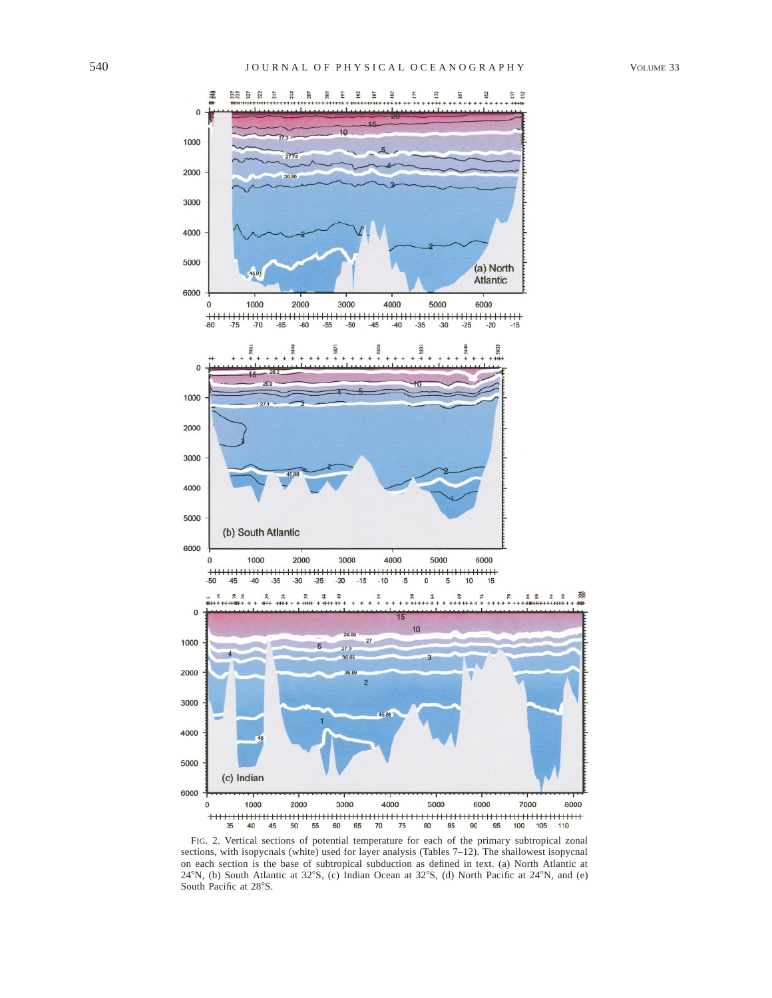

FIG. 2. Vertical sections of potential temperature for each of the primary subtropical zonal sections, with isopycnals (white) used for layer analysis (Tables 7-12). The shallowest isopycnal on each section is the base of subtropical subduction as defined in text. (a) North Atlantic at  $24^{\circ}$ N, (b) South Atlantic at  $32^{\circ}$ S, (c) Indian Ocean at  $32^{\circ}$ S, (d) North Pacific at  $24^{\circ}$ N, and (e) South Pacific at 28°S.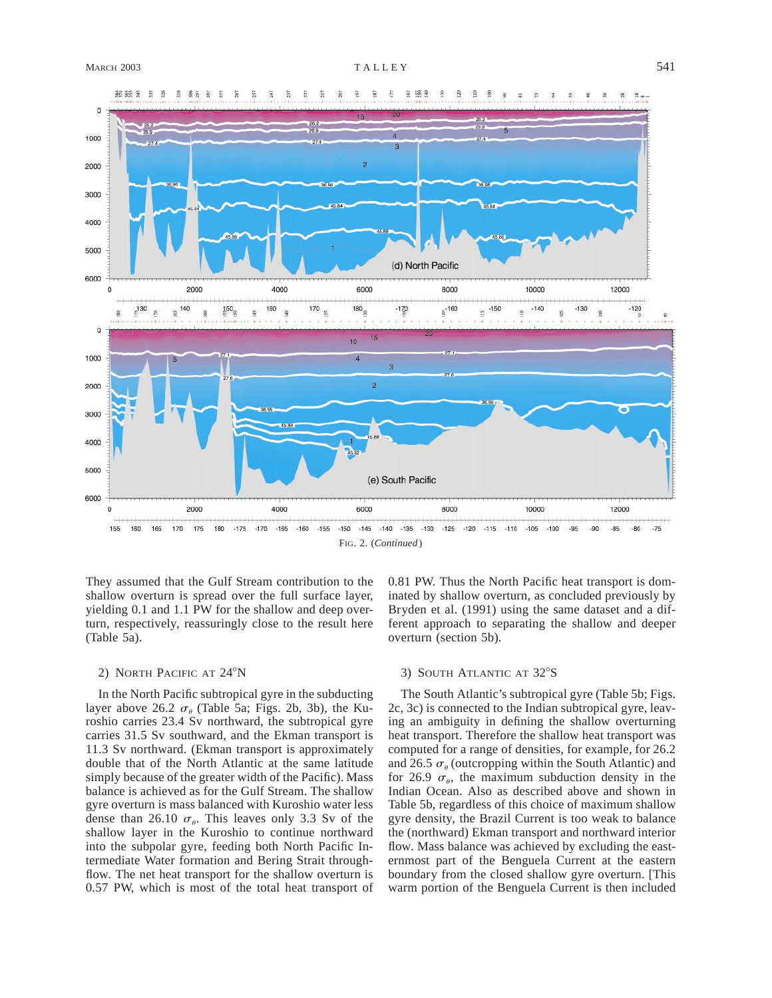

They assumed that the Gulf Stream contribution to the shallow overturn is spread over the full surface layer, yielding 0.1 and 1.1 PW for the shallow and deep overturn, respectively, reassuringly close to the result here (Table 5a).

#### 2) NORTH PACIFIC AT 24°N

In the North Pacific subtropical gyre in the subducting layer above 26.2  $\sigma_{\theta}$  (Table 5a; Figs. 2b, 3b), the Kuroshio carries 23.4 Sv northward, the subtropical gyre carries 31.5 Sv southward, and the Ekman transport is 11.3 Sv northward. (Ekman transport is approximately double that of the North Atlantic at the same latitude simply because of the greater width of the Pacific). Mass balance is achieved as for the Gulf Stream. The shallow gyre overturn is mass balanced with Kuroshio water less dense than 26.10  $\sigma_{\theta}$ . This leaves only 3.3 Sv of the shallow layer in the Kuroshio to continue northward into the subpolar gyre, feeding both North Pacific Intermediate Water formation and Bering Strait throughflow. The net heat transport for the shallow overturn is 0.57 PW, which is most of the total heat transport of

0.81 PW. Thus the North Pacific heat transport is dominated by shallow overturn, as concluded previously by Bryden et al. (1991) using the same dataset and a different approach to separating the shallow and deeper overturn (section 5b).

## 3) SOUTH ATLANTIC AT 32°S

The South Atlantic's subtropical gyre (Table 5b; Figs. 2c, 3c) is connected to the Indian subtropical gyre, leaving an ambiguity in defining the shallow overturning heat transport. Therefore the shallow heat transport was computed for a range of densities, for example, for 26.2 and 26.5  $\sigma_{\theta}$  (outcropping within the South Atlantic) and for 26.9  $\sigma_{\theta}$ , the maximum subduction density in the Indian Ocean. Also as described above and shown in Table 5b, regardless of this choice of maximum shallow gyre density, the Brazil Current is too weak to balance the (northward) Ekman transport and northward interior flow. Mass balance was achieved by excluding the easternmost part of the Benguela Current at the eastern boundary from the closed shallow gyre overturn. [This warm portion of the Benguela Current is then included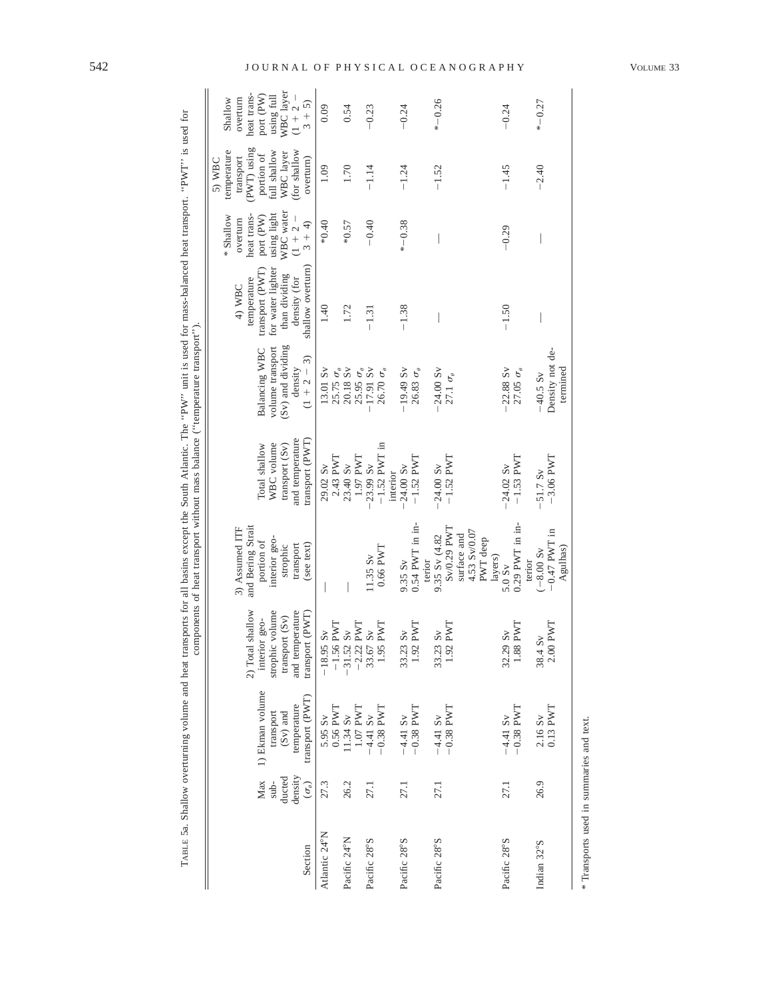|                                                                                                                                                                                                                                                              | WBC layer<br>heat trans-<br>port (PW)<br>using full<br>$(1 + 2 -$<br>overturn<br>Shallow      | $3 + 5$                                          | 0.09                                | 0.54                                | $-0.23$                                | $-0.24$                                | $* -0.26$                                                                          | $-0.24$                                | $* -0.27$                                  |
|--------------------------------------------------------------------------------------------------------------------------------------------------------------------------------------------------------------------------------------------------------------|-----------------------------------------------------------------------------------------------|--------------------------------------------------|-------------------------------------|-------------------------------------|----------------------------------------|----------------------------------------|------------------------------------------------------------------------------------|----------------------------------------|--------------------------------------------|
|                                                                                                                                                                                                                                                              | PWT) using<br>temperature<br>full shallow<br>WBC layer<br>portion of<br>transport<br>5) WBC   | (for shallow<br>overturn)                        | 1.09                                | 1.70                                | $-1.14$                                | $-1.24$                                | $-1.52$                                                                            | $-1.45$                                | $-2.40$                                    |
|                                                                                                                                                                                                                                                              | WBC water<br>using light<br>* Shallow<br>heat trans-<br>$-1$<br>$+2$<br>port (PW)<br>overturn | $3 + 4$                                          | $*0.40$                             | $*0.57$                             | $-0.40$                                | $* -0.38$                              |                                                                                    | $-0.29$                                |                                            |
|                                                                                                                                                                                                                                                              | for water lighter<br>transport (PWT)<br>than dividing<br>temperature<br>4) WBC                | shallow overturn)<br>density (for                | 1.40                                | 1.72                                | $-1.31$                                | $-1.38$                                |                                                                                    | $-1.50$                                |                                            |
|                                                                                                                                                                                                                                                              | (Sv) and dividing<br>volume transport<br>Balancing WBC                                        | $\widehat{\mathcal{E}}$<br>$(1 + 2 -$<br>density | 25.75 $\sigma_{\theta}$<br>13.01 Sv | 20.18 Sv<br>25.95 $\sigma_{\theta}$ | $-17.91 Sv$<br>26.70 $\sigma_{\theta}$ | $-19.49$ Sv<br>26.83 $\sigma_{\theta}$ | $-24.00 Sv$<br>27.1 $\sigma_{\scriptscriptstyle{\theta}}$                          | $-22.88 Sv$<br>27.05 $\sigma_{\theta}$ | Density not de-<br>termined<br>$-40.5 Sv$  |
| TABLE 5a. Shallow overturning volume and heat transports for all basins except the South Atlantic. The "PW" unit is used for mass-balanced heat transport. "PWT" is used for<br>components of heat transport without mass balance ("temperature transport"). | transport (Sv)<br>WBC volume<br>Total shallow                                                 | and temperature<br>transport (PWT)               | 2.43 PWT<br>29.02 Sv                | 1.97 PWT<br>23.40 Sv                | $-1.52$ PWT in<br>23.99 Sv<br>interior | $-1.52$ PWT<br>24.00 Sv                | $-1.52$ PWT<br>$-24.00$ S <sub>v</sub>                                             | $-1.53$ PWT<br>$-24.02$ Sv             | $-3.06$ PWT<br>51.7 Sv                     |
|                                                                                                                                                                                                                                                              | and Bering Strait<br>3) Assumed ITF<br>interior geo-<br>portion of<br>strophic                | (see text)<br>transport                          |                                     |                                     | $0.66$ PWT<br>11.35 Sv                 | $0.54$ PWT in in-<br>terior<br>9.35 Sv | Sv/0.29 PWT<br>4.53 Sv/0.07<br>9.35 Sv (4.82<br>surface and<br>PWT deep<br>layers) | $0.29$ PWT in in-<br>terior<br>5.0 Sv  | $-0.47$ PWT in<br>Agulhas)<br>$(-8.00 Sv)$ |
|                                                                                                                                                                                                                                                              | 2) Total shallow<br>strophic volume<br>transport (Sv)<br>interior geo-                        | and temperature<br>transport (PWT)               | $-1.56$ PWT<br>$-18.95 Sv$          | $-31.52$ Sv                         | $-2.22$ PWT<br>33.67 Sv<br>1.95 PWT    | 33.23 Sv<br>1.92 PWT                   | 1.92 PWT<br>33.23 Sv                                                               | $32.29 Sv$ 1.88 PWT                    | $38.4 \text{ Sv}$<br>$2.00 \text{ PWT}$    |
|                                                                                                                                                                                                                                                              | 1) Ekman volume<br>$(Sv)$ and<br>transport                                                    | transport (PWT)<br>temperature                   | 5.95 Sv<br>0.56 PWT                 | $1.07$ PW<br>11.34 Sv               | $-0.38$ PWT<br>$-4.41$ Sv              | $-4.41$ Sv<br>-0.38 PWT                | $-0.38$ PWT<br>$-4.41$ S <sub>v</sub>                                              | $-0.38$ PWT<br>$-4.41 Sv$              | $0.13$ PWT<br>2.16 Sv                      |
|                                                                                                                                                                                                                                                              | ducted<br>Max<br>sub-                                                                         | density<br>$(\sigma_{\boldsymbol{\theta}})$      | 27.3                                | 26.2                                | 27.1                                   | 27.1                                   | 27.1                                                                               | 27.1                                   | 26.9                                       |
|                                                                                                                                                                                                                                                              |                                                                                               | Section                                          | Atlantic 24°N                       | Pacific 24°N                        | Pacific 28°S                           | Pacific 28°S                           | Pacific 28°S                                                                       | Pacific 28°S                           | Indian 32°S                                |

# 542 JOURNAL OF PHYSICAL OCEANOGRAPHY

\* Transports used in summaries and text.

\* Transports used in summaries and text.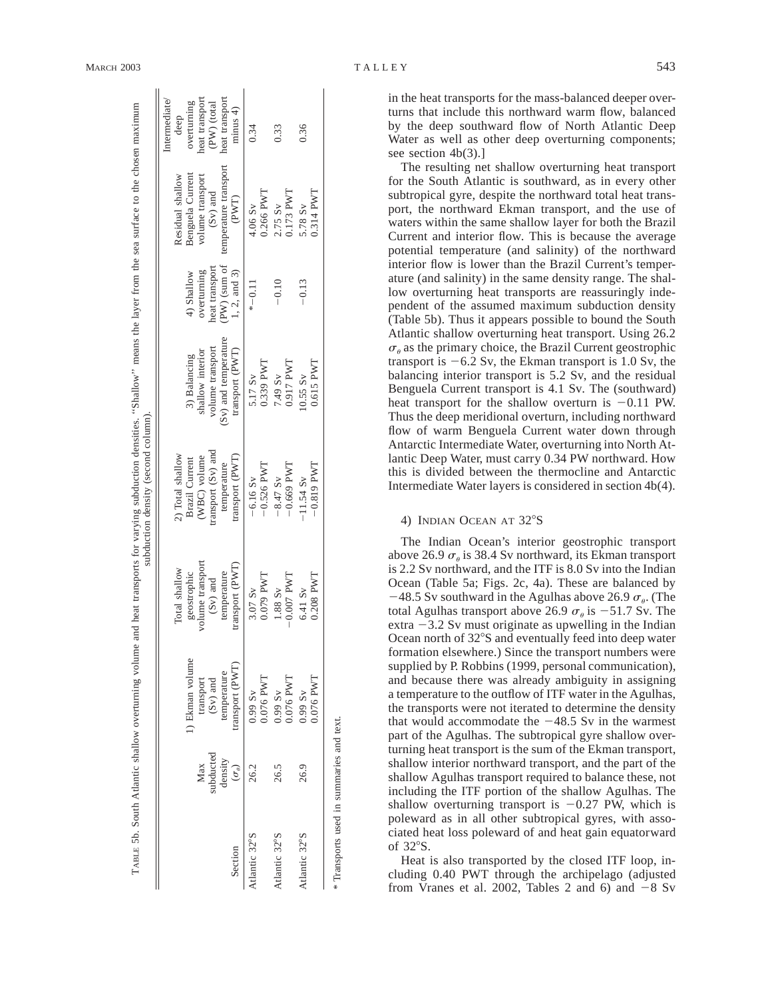|                                          |                                                                        |                                                                             |                                                                                                  | subduction density (second column).                                                                       |                                                                                                 |                                                                                 |                                                                                                          |                                                                                                    |
|------------------------------------------|------------------------------------------------------------------------|-----------------------------------------------------------------------------|--------------------------------------------------------------------------------------------------|-----------------------------------------------------------------------------------------------------------|-------------------------------------------------------------------------------------------------|---------------------------------------------------------------------------------|----------------------------------------------------------------------------------------------------------|----------------------------------------------------------------------------------------------------|
| Section                                  | subducted<br>density<br>$(\sigma_{\scriptscriptstyle{\theta}})$<br>Max | 1) Ekman volume<br>ransport (PWT)<br>temperature<br>$(Sv)$ and<br>transport | volume transport<br>transport (PWT)<br>Total shallow<br>temperature<br>geostrophic<br>$(Sv)$ and | ransport (Sv) and<br>2) Total shallow<br>(WBC) volume<br>transport (PWT)<br>Brazil Current<br>temperature | (Sv) and temperature<br>volume transport<br>transport (PWT)<br>shallow interior<br>3) Balancing | (PW) (sum of<br>$1, 2,$ and $3)$<br>heat transport<br>overturning<br>4) Shallow | temperature transport<br>Benguela Current<br>Residual shallow<br>volume transport<br>$(Sv)$ and<br>(PWT) | heat transport<br>heat transport<br>Intermediate/<br>overturning<br>(PW) (total<br>minus 4<br>deep |
| dantic 32°S                              | 26.2                                                                   | $0.076$ PWT<br>0.99 Sv                                                      | 0.079 PWT<br>3.07 Sv                                                                             | $-0.526$ PWT<br>$-6.16$ Sv                                                                                | 0.339 PWT<br>5.17 Sv                                                                            | $* - 0.11$                                                                      | 0.266 PWT<br>4.06 Sv                                                                                     | 0.34                                                                                               |
| Atlantic 32°S                            | 26.5                                                                   | 0.076 PWT<br>1.99 Sv                                                        | 0.007 PWT<br>1.88 Sv                                                                             | $-0.669$ PWT<br>$-8.47$ S <sub>v</sub>                                                                    | 7.49 Sv<br>0.917 PWT                                                                            | $-0.10$                                                                         | 1.173 PWT<br>2.75 Sv                                                                                     | 0.33                                                                                               |
| Atlantic 32°S                            | 26.9                                                                   | 0.076 PWT<br>0.99 Sv                                                        | $0.208$ PWT<br>6.41 Sv                                                                           | $-0.819$ PWT<br>11.54 Sv                                                                                  | $0.615$ PWT<br>0.55 Sv                                                                          | $-0.13$                                                                         | 0.314 PWT<br>5.78 Sv                                                                                     | 0.36                                                                                               |
| * Transports used in summaries and text. |                                                                        |                                                                             |                                                                                                  |                                                                                                           |                                                                                                 |                                                                                 |                                                                                                          |                                                                                                    |

TABLE 5b. South Atlantic shallow overturning volume and heat transports for varying subduction densities. ''Shallow'' means the layer from the sea surface to the chosen maximum

TABLE 5b. South Atlantic shallow overturning volume and heat transports for varying subduction densities. "Shallow" means the layer from the sea surface to the chosen maximum

in the heat transports for the mass-balanced deeper overturns that include this northward warm flow, balanced by the deep southward flow of North Atlantic Deep Water as well as other deep overturning components; see section 4b(3).]

The resulting net shallow overturning heat transport for the South Atlantic is southward, as in every other subtropical gyre, despite the northward total heat transport, the northward Ekman transport, and the use of waters within the same shallow layer for both the Brazil Current and interior flow. This is because the average potential temperature (and salinity) of the northward interior flow is lower than the Brazil Current's temperature (and salinity) in the same density range. The shallow overturning heat transports are reassuringly independent of the assumed maximum subduction density (Table 5b). Thus it appears possible to bound the South Atlantic shallow overturning heat transport. Using 26.2  $\sigma_{\theta}$  as the primary choice, the Brazil Current geostrophic transport is  $-6.2$  Sv, the Ekman transport is 1.0 Sv, the balancing interior transport is 5.2 Sv, and the residual Benguela Current transport is 4.1 Sv. The (southward) heat transport for the shallow overturn is  $-0.11$  PW. Thus the deep meridional overturn, including northward flow of warm Benguela Current water down through Antarctic Intermediate Water, overturning into North Atlantic Deep Water, must carry 0.34 PW northward. How this is divided between the thermocline and Antarctic Intermediate Water layers is considered in section 4b(4).

# 4) INDIAN OCEAN AT 32°S

The Indian Ocean's interior geostrophic transport above 26.9  $\sigma_{\theta}$  is 38.4 Sv northward, its Ekman transport is 2.2 Sv northward, and the ITF is 8.0 Sv into the Indian Ocean (Table 5a; Figs. 2c, 4a). These are balanced by  $-48.5$  Sv southward in the Agulhas above 26.9  $\sigma_{\theta}$ . (The total Agulhas transport above 26.9  $\sigma_a$  is -51.7 Sv. The extra  $-3.2$  Sv must originate as upwelling in the Indian Ocean north of 32°S and eventually feed into deep water formation elsewhere.) Since the transport numbers were supplied by P. Robbins (1999, personal communication), and because there was already ambiguity in assigning a temperature to the outflow of ITF water in the Agulhas, the transports were not iterated to determine the density that would accommodate the  $-48.5$  Sv in the warmest part of the Agulhas. The subtropical gyre shallow overturning heat transport is the sum of the Ekman transport, shallow interior northward transport, and the part of the shallow Agulhas transport required to balance these, not including the ITF portion of the shallow Agulhas. The shallow overturning transport is  $-0.27$  PW, which is poleward as in all other subtropical gyres, with associated heat loss poleward of and heat gain equatorward of 32°S.

Heat is also transported by the closed ITF loop, including 0.40 PWT through the archipelago (adjusted from Vranes et al. 2002, Tables 2 and 6) and  $-8$  Sv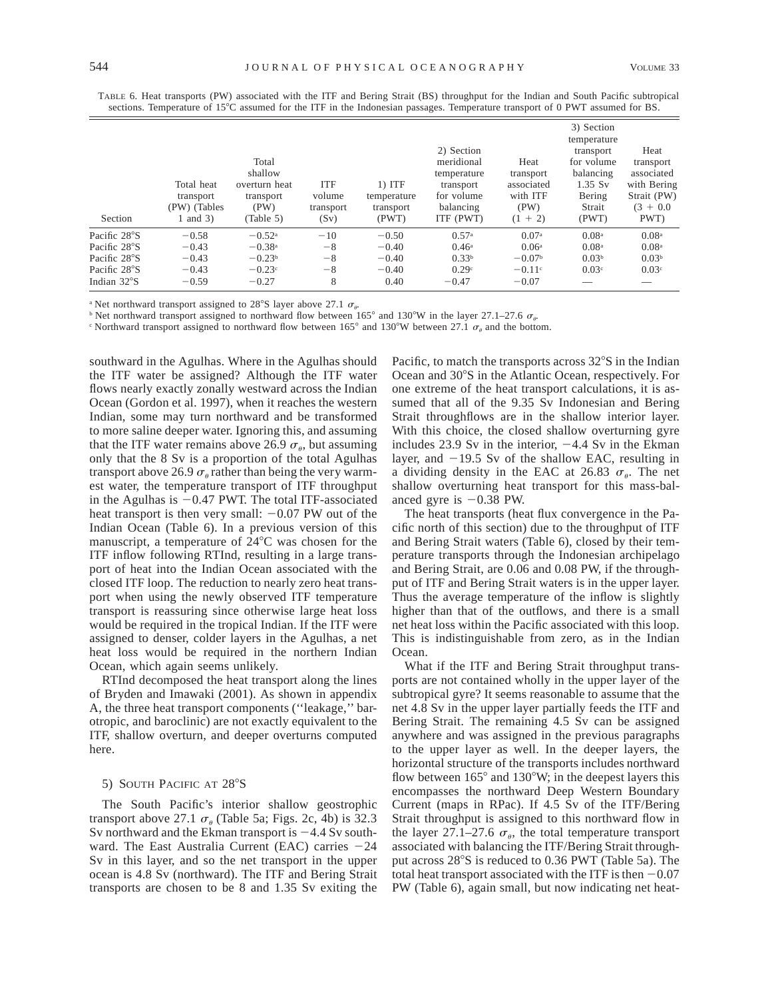| Section       | Total heat<br>transport<br>(PW) (Tables<br>and $3)$ | Total<br>shallow<br>overturn heat<br>transport<br>(PW)<br>(Table 5) | <b>ITF</b><br>volume<br>transport<br>(Sv) | 1) ITF<br>temperature<br>transport<br>(PWT) | 2) Section<br>meridional<br>temperature<br>transport<br>for volume<br>balancing<br>ITF (PWT) | Heat<br>transport<br>associated<br>with ITF<br>(PW)<br>$(1 + 2)$ | 3) Section<br>temperature<br>transport<br>for volume<br>balancing<br>$1.35$ Sv<br>Bering<br>Strait<br>(PWT) | Heat<br>transport<br>associated<br>with Bering<br>Strait (PW)<br>$(3 + 0.0)$<br>PWT) |
|---------------|-----------------------------------------------------|---------------------------------------------------------------------|-------------------------------------------|---------------------------------------------|----------------------------------------------------------------------------------------------|------------------------------------------------------------------|-------------------------------------------------------------------------------------------------------------|--------------------------------------------------------------------------------------|
| Pacific 28°S  | $-0.58$                                             | $-0.52^{\rm a}$                                                     | $-10$                                     | $-0.50$                                     | 0.57 <sup>a</sup>                                                                            | 0.07 <sup>a</sup>                                                | 0.08 <sup>a</sup>                                                                                           | 0.08 <sup>a</sup>                                                                    |
| Pacific 28°S  | $-0.43$                                             | $-0.38^{\rm a}$                                                     | $-8$                                      | $-0.40$                                     | $0.46^{\circ}$                                                                               | $0.06^{\circ}$                                                   | 0.08 <sup>a</sup>                                                                                           | 0.08 <sup>a</sup>                                                                    |
| Pacific 28°S  | $-0.43$                                             | $-0.23^{\rm b}$                                                     | $-8$                                      | $-0.40$                                     | 0.33 <sup>b</sup>                                                                            | $-0.07b$                                                         | 0.03 <sup>b</sup>                                                                                           | 0.03 <sup>b</sup>                                                                    |
| Pacific 28°S  | $-0.43$                                             | $-0.23^{\circ}$                                                     | $-8$                                      | $-0.40$                                     | 0.29c                                                                                        | $-0.11$ <sup>c</sup>                                             | 0.03 <sup>c</sup>                                                                                           | 0.03 <sup>c</sup>                                                                    |
| Indian $32°S$ | $-0.59$                                             | $-0.27$                                                             | 8                                         | 0.40                                        | $-0.47$                                                                                      | $-0.07$                                                          |                                                                                                             |                                                                                      |

TABLE 6. Heat transports (PW) associated with the ITF and Bering Strait (BS) throughput for the Indian and South Pacific subtropical sections. Temperature of 15°C assumed for the ITF in the Indonesian passages. Temperature transport of 0 PWT assumed for BS.

<sup>a</sup> Net northward transport assigned to 28°S layer above 27.1  $\sigma_{\theta}$ .

b Net northward transport assigned to northward flow between 165° and 130°W in the layer 27.1–27.6  $\sigma_{\theta}$ .

<sup>c</sup> Northward transport assigned to northward flow between 165° and 130°W between 27.1  $\sigma_{\theta}$  and the bottom.

southward in the Agulhas. Where in the Agulhas should the ITF water be assigned? Although the ITF water flows nearly exactly zonally westward across the Indian Ocean (Gordon et al. 1997), when it reaches the western Indian, some may turn northward and be transformed to more saline deeper water. Ignoring this, and assuming that the ITF water remains above 26.9  $\sigma_{\theta}$ , but assuming only that the 8 Sv is a proportion of the total Agulhas transport above 26.9  $\sigma_{\theta}$  rather than being the very warmest water, the temperature transport of ITF throughput in the Agulhas is  $-0.47$  PWT. The total ITF-associated heat transport is then very small:  $-0.07$  PW out of the Indian Ocean (Table 6). In a previous version of this manuscript, a temperature of  $24^{\circ}$ C was chosen for the ITF inflow following RTInd, resulting in a large transport of heat into the Indian Ocean associated with the closed ITF loop. The reduction to nearly zero heat transport when using the newly observed ITF temperature transport is reassuring since otherwise large heat loss would be required in the tropical Indian. If the ITF were assigned to denser, colder layers in the Agulhas, a net heat loss would be required in the northern Indian Ocean, which again seems unlikely.

RTInd decomposed the heat transport along the lines of Bryden and Imawaki (2001). As shown in appendix A, the three heat transport components (''leakage,'' barotropic, and baroclinic) are not exactly equivalent to the ITF, shallow overturn, and deeper overturns computed here.

#### 5) SOUTH PACIFIC AT 28°S

The South Pacific's interior shallow geostrophic transport above 27.1  $\sigma_{\theta}$  (Table 5a; Figs. 2c, 4b) is 32.3 Sv northward and the Ekman transport is  $-4.4$  Sv southward. The East Australia Current (EAC) carries  $-24$ Sv in this layer, and so the net transport in the upper ocean is 4.8 Sv (northward). The ITF and Bering Strait transports are chosen to be 8 and 1.35 Sv exiting the

Pacific, to match the transports across  $32^{\circ}$ S in the Indian Ocean and 30°S in the Atlantic Ocean, respectively. For one extreme of the heat transport calculations, it is assumed that all of the 9.35 Sv Indonesian and Bering Strait throughflows are in the shallow interior layer. With this choice, the closed shallow overturning gyre includes 23.9 Sv in the interior,  $-4.4$  Sv in the Ekman layer, and  $-19.5$  Sv of the shallow EAC, resulting in a dividing density in the EAC at 26.83  $\sigma_{\theta}$ . The net shallow overturning heat transport for this mass-balanced gyre is  $-0.38$  PW.

The heat transports (heat flux convergence in the Pacific north of this section) due to the throughput of ITF and Bering Strait waters (Table 6), closed by their temperature transports through the Indonesian archipelago and Bering Strait, are 0.06 and 0.08 PW, if the throughput of ITF and Bering Strait waters is in the upper layer. Thus the average temperature of the inflow is slightly higher than that of the outflows, and there is a small net heat loss within the Pacific associated with this loop. This is indistinguishable from zero, as in the Indian Ocean.

What if the ITF and Bering Strait throughput transports are not contained wholly in the upper layer of the subtropical gyre? It seems reasonable to assume that the net 4.8 Sv in the upper layer partially feeds the ITF and Bering Strait. The remaining 4.5 Sv can be assigned anywhere and was assigned in the previous paragraphs to the upper layer as well. In the deeper layers, the horizontal structure of the transports includes northward flow between  $165^{\circ}$  and  $130^{\circ}$ W; in the deepest layers this encompasses the northward Deep Western Boundary Current (maps in RPac). If 4.5 Sv of the ITF/Bering Strait throughput is assigned to this northward flow in the layer 27.1–27.6  $\sigma_{\theta}$ , the total temperature transport associated with balancing the ITF/Bering Strait throughput across  $28^{\circ}$ S is reduced to 0.36 PWT (Table 5a). The total heat transport associated with the ITF is then  $-0.07$ PW (Table 6), again small, but now indicating net heat-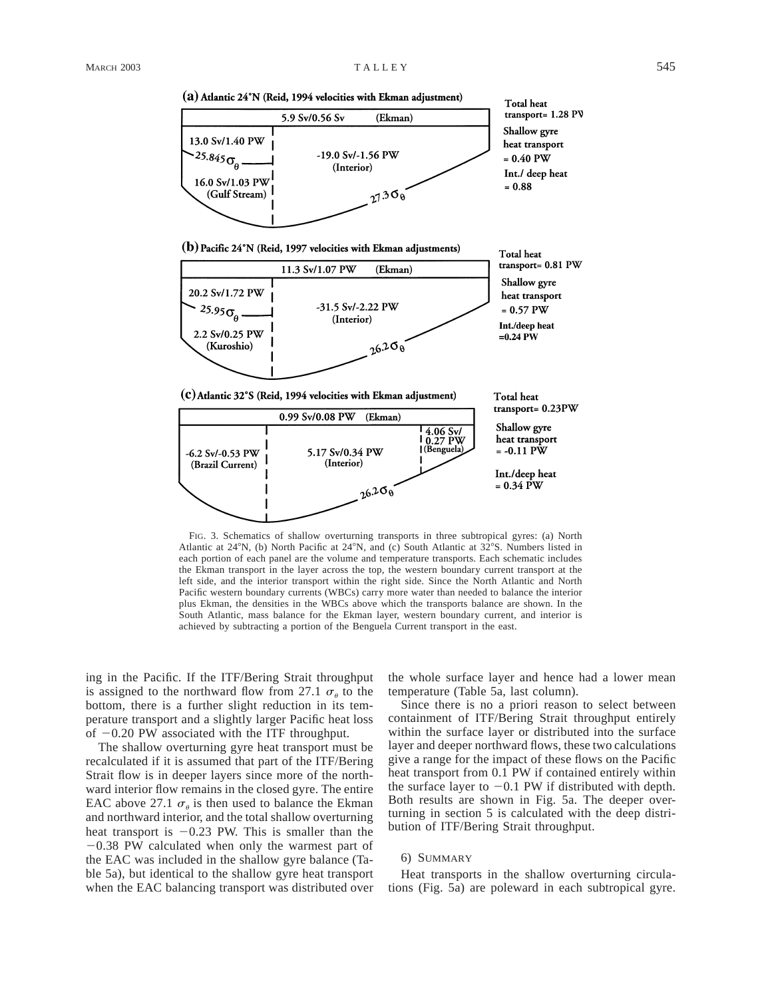(a) Atlantic 24°N (Reid, 1994 velocities with Ekman adjustment)



Atlantic at  $24^{\circ}N$ , (b) North Pacific at  $24^{\circ}N$ , and (c) South Atlantic at  $32^{\circ}S$ . Numbers listed in each portion of each panel are the volume and temperature transports. Each schematic includes the Ekman transport in the layer across the top, the western boundary current transport at the left side, and the interior transport within the right side. Since the North Atlantic and North Pacific western boundary currents (WBCs) carry more water than needed to balance the interior plus Ekman, the densities in the WBCs above which the transports balance are shown. In the South Atlantic, mass balance for the Ekman layer, western boundary current, and interior is achieved by subtracting a portion of the Benguela Current transport in the east.

ing in the Pacific. If the ITF/Bering Strait throughput is assigned to the northward flow from 27.1  $\sigma_{\theta}$  to the bottom, there is a further slight reduction in its temperature transport and a slightly larger Pacific heat loss of  $-0.20$  PW associated with the ITF throughput.

The shallow overturning gyre heat transport must be recalculated if it is assumed that part of the ITF/Bering Strait flow is in deeper layers since more of the northward interior flow remains in the closed gyre. The entire EAC above 27.1  $\sigma_{\theta}$  is then used to balance the Ekman and northward interior, and the total shallow overturning heat transport is  $-0.23$  PW. This is smaller than the  $-0.38$  PW calculated when only the warmest part of the EAC was included in the shallow gyre balance (Table 5a), but identical to the shallow gyre heat transport when the EAC balancing transport was distributed over the whole surface layer and hence had a lower mean temperature (Table 5a, last column).

Since there is no a priori reason to select between containment of ITF/Bering Strait throughput entirely within the surface layer or distributed into the surface layer and deeper northward flows, these two calculations give a range for the impact of these flows on the Pacific heat transport from 0.1 PW if contained entirely within the surface layer to  $-0.1$  PW if distributed with depth. Both results are shown in Fig. 5a. The deeper overturning in section 5 is calculated with the deep distribution of ITF/Bering Strait throughput.

## 6) SUMMARY

Heat transports in the shallow overturning circulations (Fig. 5a) are poleward in each subtropical gyre.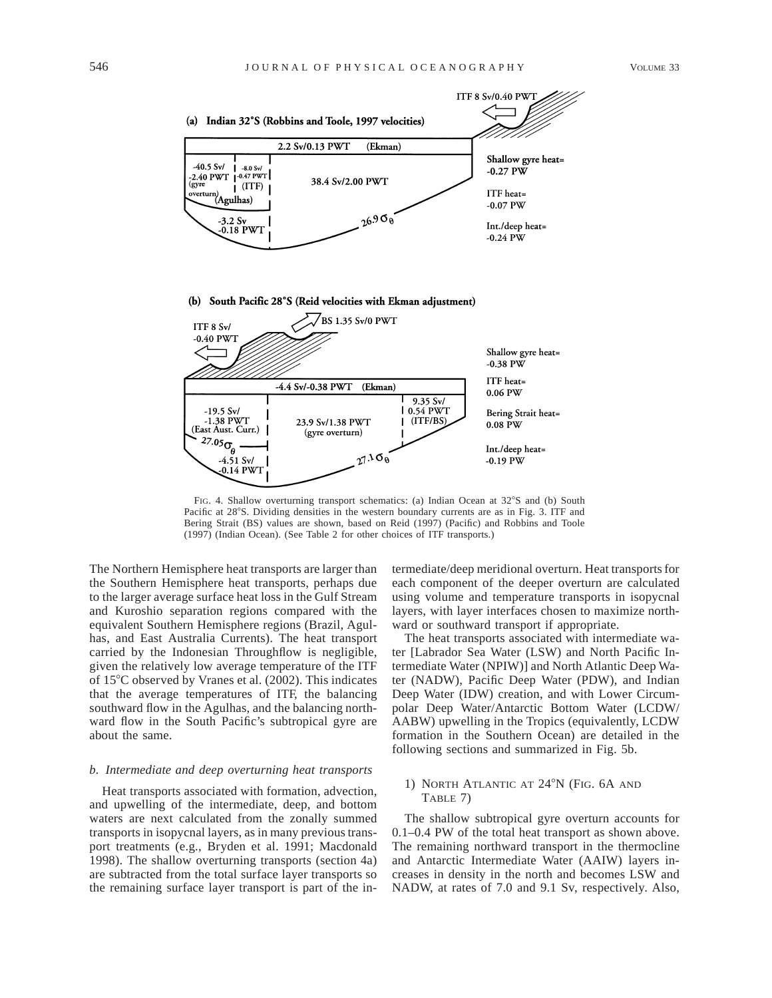

FIG. 4. Shallow overturning transport schematics: (a) Indian Ocean at 32°S and (b) South Pacific at 28°S. Dividing densities in the western boundary currents are as in Fig. 3. ITF and Bering Strait (BS) values are shown, based on Reid (1997) (Pacific) and Robbins and Toole (1997) (Indian Ocean). (See Table 2 for other choices of ITF transports.)

The Northern Hemisphere heat transports are larger than the Southern Hemisphere heat transports, perhaps due to the larger average surface heat loss in the Gulf Stream and Kuroshio separation regions compared with the equivalent Southern Hemisphere regions (Brazil, Agulhas, and East Australia Currents). The heat transport carried by the Indonesian Throughflow is negligible, given the relatively low average temperature of the ITF of 15°C observed by Vranes et al. (2002). This indicates that the average temperatures of ITF, the balancing southward flow in the Agulhas, and the balancing northward flow in the South Pacific's subtropical gyre are about the same.

#### *b. Intermediate and deep overturning heat transports*

Heat transports associated with formation, advection, and upwelling of the intermediate, deep, and bottom waters are next calculated from the zonally summed transports in isopycnal layers, as in many previous transport treatments (e.g., Bryden et al. 1991; Macdonald 1998). The shallow overturning transports (section 4a) are subtracted from the total surface layer transports so the remaining surface layer transport is part of the in-

termediate/deep meridional overturn. Heat transports for each component of the deeper overturn are calculated using volume and temperature transports in isopycnal layers, with layer interfaces chosen to maximize northward or southward transport if appropriate.

The heat transports associated with intermediate water [Labrador Sea Water (LSW) and North Pacific Intermediate Water (NPIW)] and North Atlantic Deep Water (NADW), Pacific Deep Water (PDW), and Indian Deep Water (IDW) creation, and with Lower Circumpolar Deep Water/Antarctic Bottom Water (LCDW/ AABW) upwelling in the Tropics (equivalently, LCDW formation in the Southern Ocean) are detailed in the following sections and summarized in Fig. 5b.

## 1) NORTH ATLANTIC AT 24<sup>°</sup>N (FIG. 6A AND TABLE 7)

The shallow subtropical gyre overturn accounts for 0.1–0.4 PW of the total heat transport as shown above. The remaining northward transport in the thermocline and Antarctic Intermediate Water (AAIW) layers increases in density in the north and becomes LSW and NADW, at rates of 7.0 and 9.1 Sv, respectively. Also,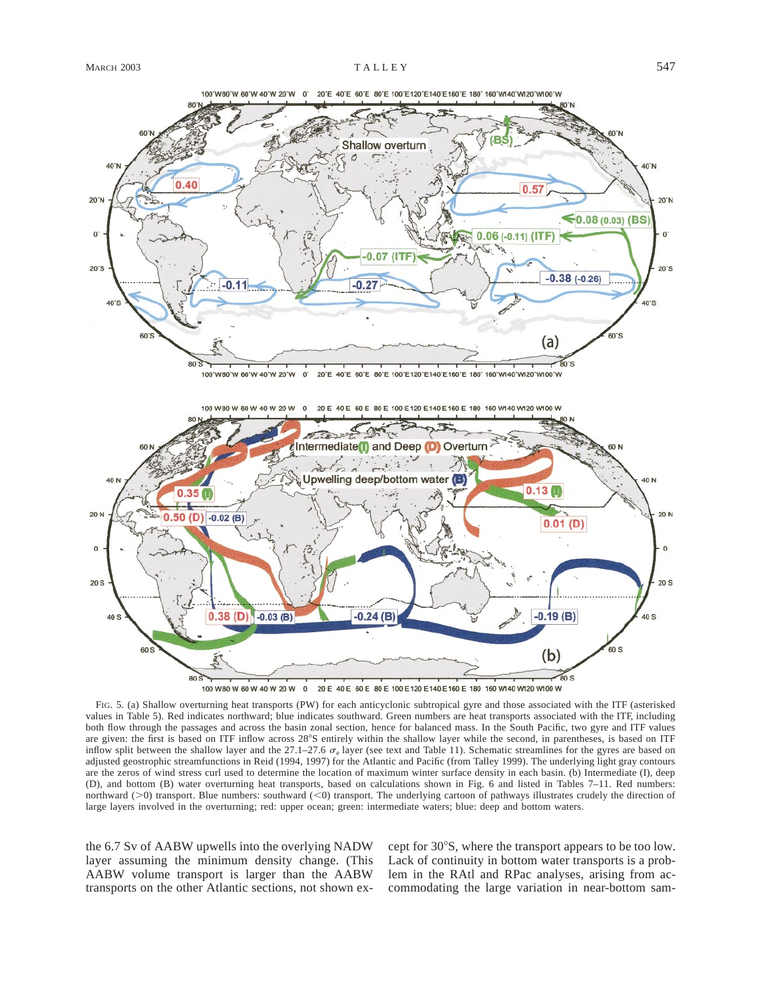

20"E 40"E 60"E 80"E 100"E120"E140"E160"E 180" 160"W140"W120"W100"W 100'W80'W 60'W 40'W 20'W  $0^{\circ}$ 



FIG. 5. (a) Shallow overturning heat transports (PW) for each anticyclonic subtropical gyre and those associated with the ITF (asterisked values in Table 5). Red indicates northward; blue indicates southward. Green numbers are heat transports associated with the ITF, including both flow through the passages and across the basin zonal section, hence for balanced mass. In the South Pacific, two gyre and ITF values are given: the first is based on ITF inflow across 28°S entirely within the shallow layer while the second, in parentheses, is based on ITF inflow split between the shallow layer and the 27.1–27.6  $\sigma_{\theta}$  layer (see text and Table 11). Schematic streamlines for the gyres are based on adjusted geostrophic streamfunctions in Reid (1994, 1997) for the Atlantic and Pacific (from Talley 1999). The underlying light gray contours are the zeros of wind stress curl used to determine the location of maximum winter surface density in each basin. (b) Intermediate (I), deep (D), and bottom (B) water overturning heat transports, based on calculations shown in Fig. 6 and listed in Tables 7–11. Red numbers: northward ( $>0$ ) transport. Blue numbers: southward ( $<0$ ) transport. The underlying cartoon of pathways illustrates crudely the direction of large layers involved in the overturning; red: upper ocean; green: intermediate waters; blue: deep and bottom waters.

the 6.7 Sv of AABW upwells into the overlying NADW layer assuming the minimum density change. (This AABW volume transport is larger than the AABW transports on the other Atlantic sections, not shown except for 30°S, where the transport appears to be too low. Lack of continuity in bottom water transports is a problem in the RAtl and RPac analyses, arising from accommodating the large variation in near-bottom sam-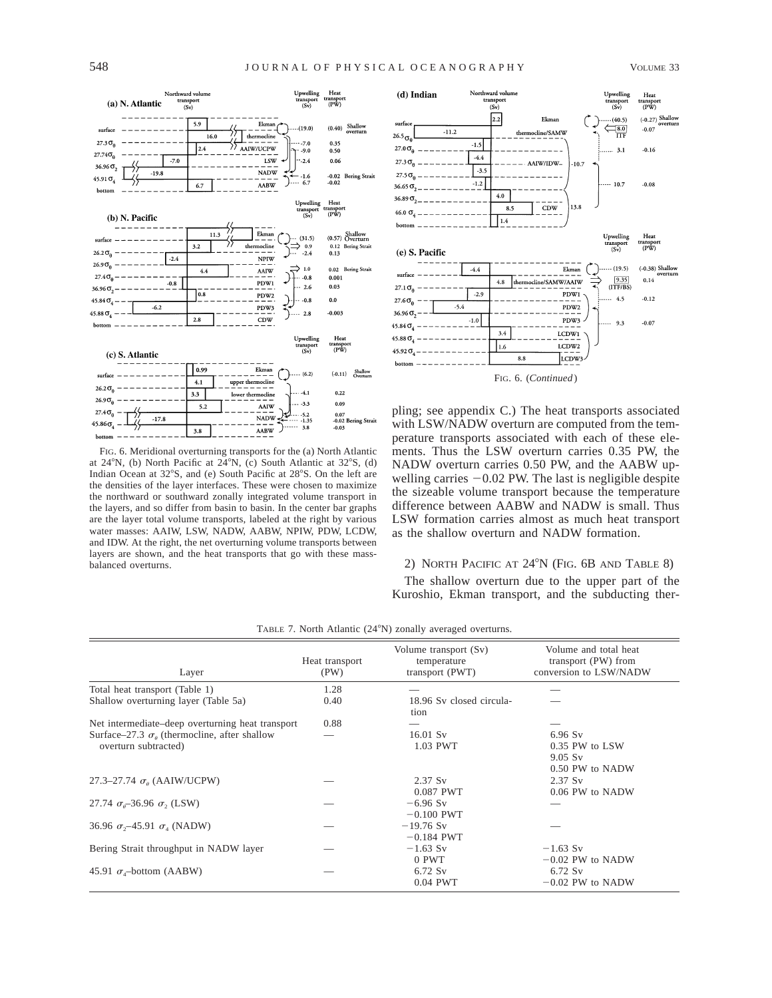

at  $24^\circ$ N, (b) North Pacific at  $24^\circ$ N, (c) South Atlantic at  $32^\circ$ S, (d) Indian Ocean at  $32^{\circ}$ S, and (e) South Pacific at  $28^{\circ}$ S. On the left are the densities of the layer interfaces. These were chosen to maximize the northward or southward zonally integrated volume transport in the layers, and so differ from basin to basin. In the center bar graphs are the layer total volume transports, labeled at the right by various water masses: AAIW, LSW, NADW, AABW, NPIW, PDW, LCDW, and IDW. At the right, the net overturning volume transports between layers are shown, and the heat transports that go with these mass-

balanced overturns.



pling; see appendix C.) The heat transports associated with LSW/NADW overturn are computed from the temperature transports associated with each of these elements. Thus the LSW overturn carries 0.35 PW, the NADW overturn carries 0.50 PW, and the AABW upwelling carries  $-0.02$  PW. The last is negligible despite the sizeable volume transport because the temperature difference between AABW and NADW is small. Thus LSW formation carries almost as much heat transport as the shallow overturn and NADW formation.

2) NORTH PACIFIC AT  $24^\circ N$  (FIG. 6B AND TABLE 8) The shallow overturn due to the upper part of the Kuroshio, Ekman transport, and the subducting ther-

| Layer                                                                              | Heat transport<br>(PW) | Volume transport $(Sv)$<br>temperature<br>transport (PWT) | Volume and total heat<br>transport (PW) from<br>conversion to LSW/NADW          |
|------------------------------------------------------------------------------------|------------------------|-----------------------------------------------------------|---------------------------------------------------------------------------------|
| Total heat transport (Table 1)                                                     | 1.28                   |                                                           |                                                                                 |
| Shallow overturning layer (Table 5a)                                               | 0.40                   | 18.96 Sy closed circula-<br>tion                          |                                                                                 |
| Net intermediate–deep overturning heat transport                                   | 0.88                   |                                                           |                                                                                 |
| Surface–27.3 $\sigma_{\theta}$ (thermocline, after shallow<br>overturn subtracted) |                        | $16.01$ Sv<br>1.03 PWT                                    | $6.96$ S <sub>v</sub><br>0.35 PW to LSW<br>$9.05 \text{ Sv}$<br>0.50 PW to NADW |
| 27.3–27.74 $\sigma_{\theta}$ (AAIW/UCPW)                                           |                        | $2.37$ Sv<br>0.087 PWT                                    | 2.37 Sv<br>0.06 PW to NADW                                                      |
| 27.74 $\sigma_{\theta}$ -36.96 $\sigma_{\theta}$ (LSW)                             |                        | $-6.96$ Sv<br>$-0.100$ PWT                                |                                                                                 |
| 36.96 $\sigma_2$ -45.91 $\sigma_4$ (NADW)                                          |                        | $-19.76$ Sv<br>$-0.184$ PWT                               |                                                                                 |
| Bering Strait throughput in NADW layer                                             |                        | $-1.63$ Sv<br>0 PWT                                       | $-1.63$ Sv<br>$-0.02$ PW to NADW                                                |
| 45.91 $\sigma_{4}$ -bottom (AABW)                                                  |                        | 6.72 Sv<br>0.04 PWT                                       | 6.72 Sv<br>$-0.02$ PW to NADW                                                   |

TABLE 7. North Atlantic (24°N) zonally averaged overturns.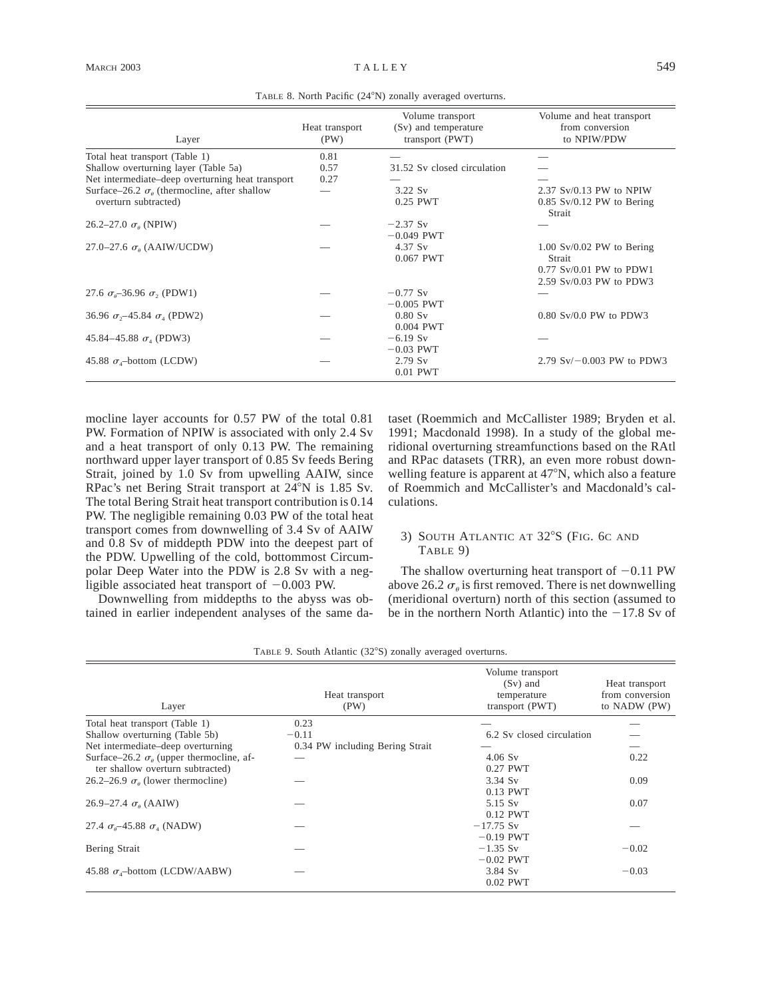TABLE 8. North Pacific (24°N) zonally averaged overturns.

| Layer                                                                              | Heat transport<br>(PW) | Volume transport<br>(Sv) and temperature<br>transport (PWT) | Volume and heat transport<br>from conversion<br>to NPIW/PDW                                      |
|------------------------------------------------------------------------------------|------------------------|-------------------------------------------------------------|--------------------------------------------------------------------------------------------------|
| Total heat transport (Table 1)                                                     | 0.81                   |                                                             |                                                                                                  |
| Shallow overturning layer (Table 5a)                                               | 0.57                   | 31.52 Sy closed circulation                                 |                                                                                                  |
| Net intermediate-deep overturning heat transport                                   | 0.27                   |                                                             |                                                                                                  |
| Surface–26.2 $\sigma_{\theta}$ (thermocline, after shallow<br>overturn subtracted) |                        | 3.22 Sv<br>0.25 PWT                                         | 2.37 Sv/0.13 PW to NPIW<br>$0.85$ Sv/0.12 PW to Bering<br>Strait                                 |
| 26.2–27.0 $\sigma_{\theta}$ (NPIW)                                                 |                        | $-2.37$ Sv<br>$-0.049$ PWT                                  |                                                                                                  |
| 27.0–27.6 $\sigma_{\theta}$ (AAIW/UCDW)                                            |                        | 4.37 Sv<br>0.067 PWT                                        | $1.00$ Sv/0.02 PW to Bering<br>Strait<br>$0.77$ Sv/ $0.01$ PW to PDW1<br>2.59 Sv/0.03 PW to PDW3 |
| 27.6 $\sigma_{\theta}$ -36.96 $\sigma$ , (PDW1)                                    |                        | $-0.77$ Sv<br>$-0.005$ PWT                                  |                                                                                                  |
| 36.96 $\sigma_2$ -45.84 $\sigma_4$ (PDW2)                                          |                        | 0.80 Sv<br>0.004 PWT                                        | $0.80$ Sv/ $0.0$ PW to PDW3                                                                      |
| 45.84–45.88 $\sigma$ <sub>4</sub> (PDW3)                                           |                        | $-6.19$ Sv<br>$-0.03$ PWT                                   |                                                                                                  |
| 45.88 $\sigma_4$ -bottom (LCDW)                                                    |                        | 2.79 Sv<br>$0.01$ PWT                                       | 2.79 Sv $/$ -0.003 PW to PDW3                                                                    |

mocline layer accounts for 0.57 PW of the total 0.81 PW. Formation of NPIW is associated with only 2.4 Sv and a heat transport of only 0.13 PW. The remaining northward upper layer transport of 0.85 Sv feeds Bering Strait, joined by 1.0 Sv from upwelling AAIW, since RPac's net Bering Strait transport at 24°N is 1.85 Sv. The total Bering Strait heat transport contribution is 0.14 PW. The negligible remaining 0.03 PW of the total heat transport comes from downwelling of 3.4 Sv of AAIW and 0.8 Sv of middepth PDW into the deepest part of the PDW. Upwelling of the cold, bottommost Circumpolar Deep Water into the PDW is 2.8 Sv with a negligible associated heat transport of  $-0.003$  PW.

Downwelling from middepths to the abyss was obtained in earlier independent analyses of the same da-

taset (Roemmich and McCallister 1989; Bryden et al. 1991; Macdonald 1998). In a study of the global meridional overturning streamfunctions based on the RAtl and RPac datasets (TRR), an even more robust downwelling feature is apparent at 47°N, which also a feature of Roemmich and McCallister's and Macdonald's calculations.

## 3) SOUTH ATLANTIC AT 32°S (FIG. 6C AND TABLE 9)

The shallow overturning heat transport of  $-0.11$  PW above 26.2  $\sigma_{\theta}$  is first removed. There is net downwelling (meridional overturn) north of this section (assumed to be in the northern North Atlantic) into the  $-17.8$  Sv of

| Layer                                                  | Heat transport<br>(PW)          | Volume transport<br>$(Sv)$ and<br>temperature<br>transport (PWT) | Heat transport<br>from conversion<br>to NADW (PW) |
|--------------------------------------------------------|---------------------------------|------------------------------------------------------------------|---------------------------------------------------|
| Total heat transport (Table 1)                         | 0.23                            |                                                                  |                                                   |
| Shallow overturning (Table 5b)                         | $-0.11$                         | 6.2 Sy closed circulation                                        |                                                   |
| Net intermediate-deep overturning                      | 0.34 PW including Bering Strait |                                                                  |                                                   |
| Surface–26.2 $\sigma_{\theta}$ (upper thermocline, af- |                                 | $4.06$ S <sub>v</sub>                                            | 0.22                                              |
| ter shallow overturn subtracted)                       |                                 | 0.27 PWT                                                         |                                                   |
| 26.2–26.9 $\sigma_{\theta}$ (lower thermocline)        |                                 | $3.34$ Sv                                                        | 0.09                                              |
|                                                        |                                 | 0.13 PWT                                                         |                                                   |
| 26.9–27.4 $\sigma_{\theta}$ (AAIW)                     |                                 | $5.15$ Sv                                                        | 0.07                                              |
|                                                        |                                 | $0.12$ PWT                                                       |                                                   |
| 27.4 $\sigma_{\theta}$ -45.88 $\sigma_{\phi}$ (NADW)   |                                 | $-17.75$ Sv                                                      |                                                   |
|                                                        |                                 | $-0.19$ PWT                                                      |                                                   |
| Bering Strait                                          |                                 | $-1.35$ Sv                                                       | $-0.02$                                           |
|                                                        |                                 | $-0.02$ PWT                                                      |                                                   |
| 45.88 $\sigma_4$ -bottom (LCDW/AABW)                   |                                 | 3.84 Sv                                                          | $-0.03$                                           |
|                                                        |                                 | 0.02 PWT                                                         |                                                   |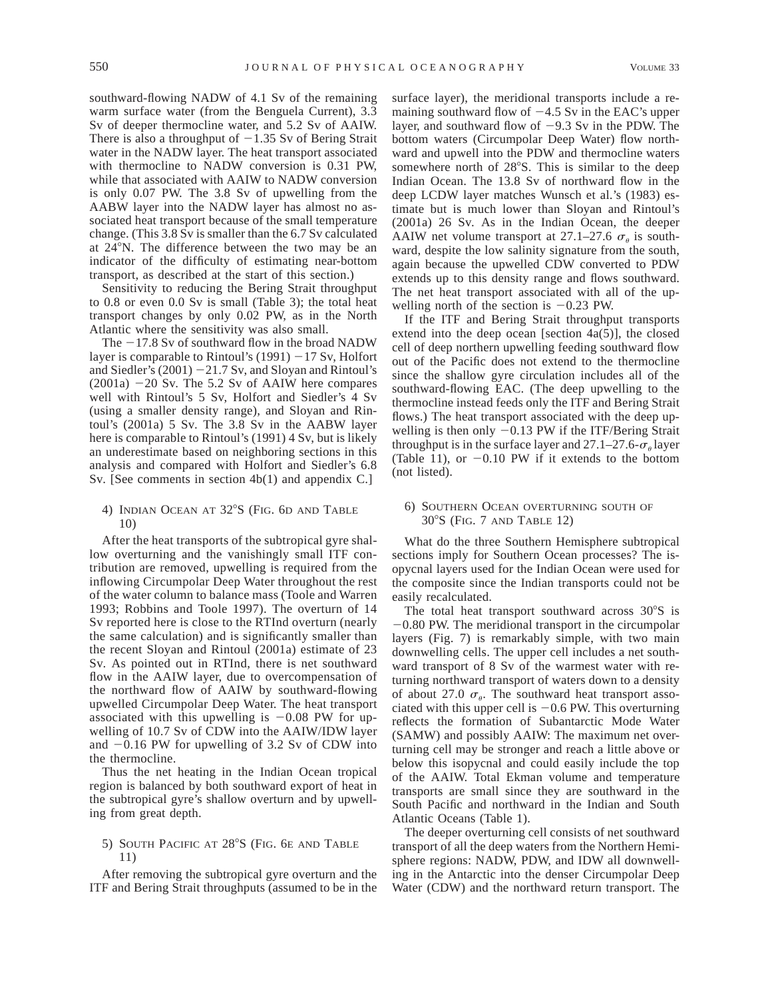southward-flowing NADW of 4.1 Sv of the remaining warm surface water (from the Benguela Current), 3.3 Sv of deeper thermocline water, and 5.2 Sv of AAIW. There is also a throughput of  $-1.35$  Sv of Bering Strait water in the NADW layer. The heat transport associated with thermocline to NADW conversion is 0.31 PW, while that associated with AAIW to NADW conversion is only 0.07 PW. The 3.8 Sv of upwelling from the AABW layer into the NADW layer has almost no associated heat transport because of the small temperature change. (This 3.8 Sv is smaller than the 6.7 Sv calculated at 24°N. The difference between the two may be an indicator of the difficulty of estimating near-bottom transport, as described at the start of this section.)

Sensitivity to reducing the Bering Strait throughput to 0.8 or even 0.0 Sv is small (Table 3); the total heat transport changes by only 0.02 PW, as in the North Atlantic where the sensitivity was also small.

The  $-17.8$  Sv of southward flow in the broad NADW layer is comparable to Rintoul's  $(1991) - 17$  Sv, Holfort and Siedler's  $(2001)$  -21.7 Sv, and Sloyan and Rintoul's  $(2001a) -20$  Sv. The 5.2 Sv of AAIW here compares well with Rintoul's 5 Sv, Holfort and Siedler's 4 Sv (using a smaller density range), and Sloyan and Rintoul's (2001a) 5 Sv. The 3.8 Sv in the AABW layer here is comparable to Rintoul's (1991) 4 Sv, but is likely an underestimate based on neighboring sections in this analysis and compared with Holfort and Siedler's 6.8 Sv. [See comments in section 4b(1) and appendix C.]

#### 4) INDIAN OCEAN AT 32°S (FIG. 6D AND TABLE 10)

After the heat transports of the subtropical gyre shallow overturning and the vanishingly small ITF contribution are removed, upwelling is required from the inflowing Circumpolar Deep Water throughout the rest of the water column to balance mass (Toole and Warren 1993; Robbins and Toole 1997). The overturn of 14 Sv reported here is close to the RTInd overturn (nearly the same calculation) and is significantly smaller than the recent Sloyan and Rintoul (2001a) estimate of 23 Sv. As pointed out in RTInd, there is net southward flow in the AAIW layer, due to overcompensation of the northward flow of AAIW by southward-flowing upwelled Circumpolar Deep Water. The heat transport associated with this upwelling is  $-0.08$  PW for upwelling of 10.7 Sv of CDW into the AAIW/IDW layer and  $-0.16$  PW for upwelling of 3.2 Sv of CDW into the thermocline.

Thus the net heating in the Indian Ocean tropical region is balanced by both southward export of heat in the subtropical gyre's shallow overturn and by upwelling from great depth.

## 5) SOUTH PACIFIC AT 28°S (FIG. 6E AND TABLE 11)

After removing the subtropical gyre overturn and the ITF and Bering Strait throughputs (assumed to be in the

surface layer), the meridional transports include a remaining southward flow of  $-4.5$  Sv in the EAC's upper layer, and southward flow of  $-9.3$  Sv in the PDW. The bottom waters (Circumpolar Deep Water) flow northward and upwell into the PDW and thermocline waters somewhere north of 28°S. This is similar to the deep Indian Ocean. The 13.8 Sv of northward flow in the deep LCDW layer matches Wunsch et al.'s (1983) estimate but is much lower than Sloyan and Rintoul's (2001a) 26 Sv. As in the Indian Ocean, the deeper AAIW net volume transport at 27.1–27.6  $\sigma_{\theta}$  is southward, despite the low salinity signature from the south, again because the upwelled CDW converted to PDW extends up to this density range and flows southward. The net heat transport associated with all of the upwelling north of the section is  $-0.23$  PW.

If the ITF and Bering Strait throughput transports extend into the deep ocean [section 4a(5)], the closed cell of deep northern upwelling feeding southward flow out of the Pacific does not extend to the thermocline since the shallow gyre circulation includes all of the southward-flowing EAC. (The deep upwelling to the thermocline instead feeds only the ITF and Bering Strait flows.) The heat transport associated with the deep upwelling is then only  $-0.13$  PW if the ITF/Bering Strait throughput is in the surface layer and  $27.1-27.6\text{-}\sigma_{\theta}$  layer (Table 11), or  $-0.10$  PW if it extends to the bottom (not listed).

#### 6) SOUTHERN OCEAN OVERTURNING SOUTH OF 30°S (FIG. 7 AND TABLE 12)

What do the three Southern Hemisphere subtropical sections imply for Southern Ocean processes? The isopycnal layers used for the Indian Ocean were used for the composite since the Indian transports could not be easily recalculated.

The total heat transport southward across  $30^{\circ}$ S is  $-0.80$  PW. The meridional transport in the circumpolar layers (Fig. 7) is remarkably simple, with two main downwelling cells. The upper cell includes a net southward transport of 8 Sv of the warmest water with returning northward transport of waters down to a density of about 27.0  $\sigma_{\theta}$ . The southward heat transport associated with this upper cell is  $-0.6$  PW. This overturning reflects the formation of Subantarctic Mode Water (SAMW) and possibly AAIW: The maximum net overturning cell may be stronger and reach a little above or below this isopycnal and could easily include the top of the AAIW. Total Ekman volume and temperature transports are small since they are southward in the South Pacific and northward in the Indian and South Atlantic Oceans (Table 1).

The deeper overturning cell consists of net southward transport of all the deep waters from the Northern Hemisphere regions: NADW, PDW, and IDW all downwelling in the Antarctic into the denser Circumpolar Deep Water (CDW) and the northward return transport. The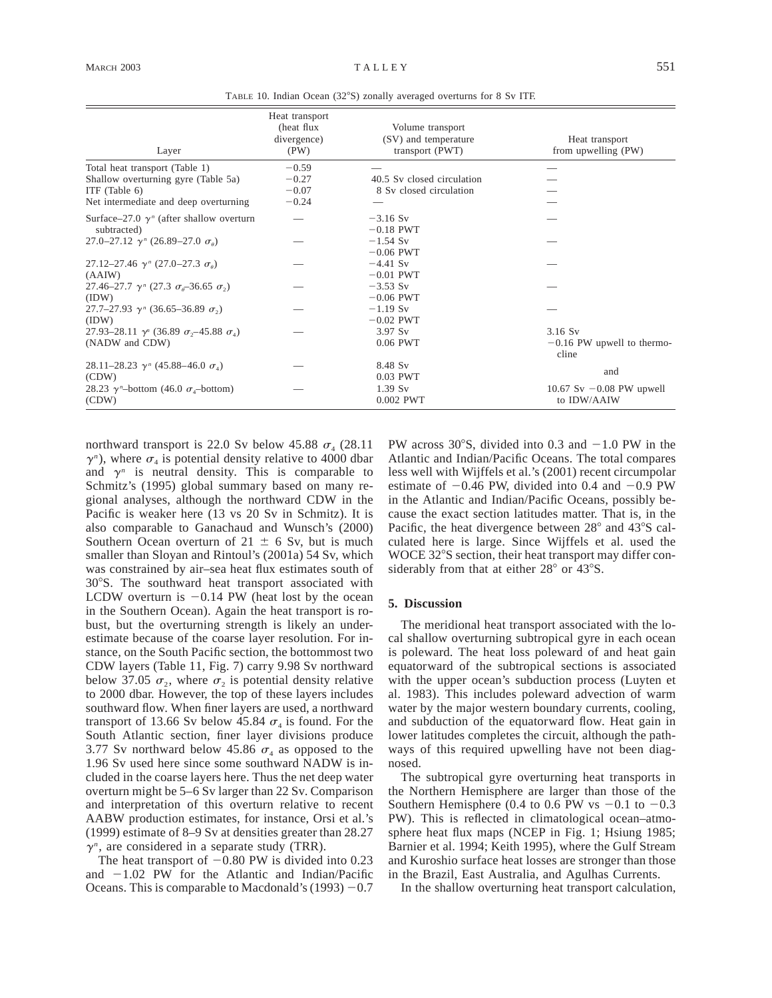TABLE 10. Indian Ocean (32°S) zonally averaged overturns for 8 Sv ITF.

| Layer                                                                                                | Heat transport<br>(heat flux)<br>divergence)<br>(PW) | Volume transport<br>(SV) and temperature<br>transport (PWT) | Heat transport<br>from upwelling (PW) |
|------------------------------------------------------------------------------------------------------|------------------------------------------------------|-------------------------------------------------------------|---------------------------------------|
| Total heat transport (Table 1)                                                                       | $-0.59$                                              |                                                             |                                       |
| Shallow overturning gyre (Table 5a)                                                                  | $-0.27$                                              | 40.5 Sy closed circulation                                  |                                       |
| ITF $(Table 6)$                                                                                      | $-0.07$                                              | 8 Sv closed circulation                                     |                                       |
| Net intermediate and deep overturning                                                                | $-0.24$                                              |                                                             |                                       |
| Surface–27.0 $\gamma$ <sup>n</sup> (after shallow overturn<br>subtracted)                            |                                                      | $-3.16$ Sv<br>$-0.18$ PWT                                   |                                       |
| 27.0–27.12 $\gamma$ <sup>n</sup> (26.89–27.0 $\sigma$ <sub>a</sub> )                                 |                                                      | $-1.54$ Sv<br>$-0.06$ PWT                                   |                                       |
| 27.12-27.46 $\gamma$ <sup>n</sup> (27.0-27.3 $\sigma$ <sub>a</sub> )<br>(AAIW)                       |                                                      | $-4.41$ Sv<br>$-0.01$ PWT                                   |                                       |
| 27.46–27.7 $\gamma$ <sup>n</sup> (27.3 $\sigma$ <sub>a</sub> –36.65 $\sigma$ <sub>2</sub> )<br>(IDW) |                                                      | $-3.53$ Sv<br>$-0.06$ PWT                                   |                                       |
| 27.7–27.93 $\gamma$ <sup>n</sup> (36.65–36.89 $\sigma$ <sub>2</sub> )<br>(IDW)                       |                                                      | $-1.19$ Sv<br>$-0.02$ PWT                                   |                                       |
| 27.93–28.11 $\gamma$ <sup>n</sup> (36.89 $\sigma$ <sub>2</sub> –45.88 $\sigma$ <sub>4</sub> )        |                                                      | $3.97$ Sv                                                   | 3.16 Sv                               |
| (NADW and CDW)                                                                                       |                                                      | $0.06$ PWT                                                  | $-0.16$ PW upwell to thermo-<br>cline |
| 28.11–28.23 $\gamma$ <sup>n</sup> (45.88–46.0 $\sigma$ <sub>4</sub> )                                |                                                      | 8.48 Sv                                                     | and                                   |
| (CDW)                                                                                                |                                                      | 0.03 PWT                                                    |                                       |
| 28.23 $\gamma$ <sup>n</sup> -bottom (46.0 $\sigma$ <sub>n</sub> -bottom)                             |                                                      | 1.39 Sv                                                     | 10.67 Sv $-0.08$ PW upwell            |
| (CDW)                                                                                                |                                                      | 0.002 PWT                                                   | to IDW/AAIW                           |

northward transport is 22.0 Sv below 45.88  $\sigma$ <sub>4</sub> (28.11)  $\gamma$ <sup>n</sup>), where  $\sigma$ <sub>4</sub> is potential density relative to 4000 dbar and  $\gamma^n$  is neutral density. This is comparable to Schmitz's (1995) global summary based on many regional analyses, although the northward CDW in the Pacific is weaker here (13 vs 20 Sv in Schmitz). It is also comparable to Ganachaud and Wunsch's (2000) Southern Ocean overturn of  $21 \pm 6$  Sv, but is much smaller than Sloyan and Rintoul's (2001a) 54 Sv, which was constrained by air–sea heat flux estimates south of 308S. The southward heat transport associated with LCDW overturn is  $-0.14$  PW (heat lost by the ocean in the Southern Ocean). Again the heat transport is robust, but the overturning strength is likely an underestimate because of the coarse layer resolution. For instance, on the South Pacific section, the bottommost two CDW layers (Table 11, Fig. 7) carry 9.98 Sv northward below 37.05  $\sigma_2$ , where  $\sigma_2$  is potential density relative to 2000 dbar. However, the top of these layers includes southward flow. When finer layers are used, a northward transport of 13.66 Sv below 45.84  $\sigma_4$  is found. For the South Atlantic section, finer layer divisions produce 3.77 Sv northward below 45.86  $\sigma_4$  as opposed to the 1.96 Sv used here since some southward NADW is included in the coarse layers here. Thus the net deep water overturn might be 5–6 Sv larger than 22 Sv. Comparison and interpretation of this overturn relative to recent AABW production estimates, for instance, Orsi et al.'s (1999) estimate of 8–9 Sv at densities greater than 28.27  $\gamma$ <sup>n</sup>, are considered in a separate study (TRR).

The heat transport of  $-0.80$  PW is divided into 0.23 and  $-1.02$  PW for the Atlantic and Indian/Pacific Oceans. This is comparable to Macdonald's  $(1993) - 0.7$ 

PW across 30°S, divided into 0.3 and  $-1.0$  PW in the Atlantic and Indian/Pacific Oceans. The total compares less well with Wijffels et al.'s (2001) recent circumpolar estimate of  $-0.46$  PW, divided into 0.4 and  $-0.9$  PW in the Atlantic and Indian/Pacific Oceans, possibly because the exact section latitudes matter. That is, in the Pacific, the heat divergence between  $28^\circ$  and  $43^\circ$ S calculated here is large. Since Wijffels et al. used the WOCE 32°S section, their heat transport may differ considerably from that at either  $28^{\circ}$  or  $43^{\circ}$ S.

### **5. Discussion**

The meridional heat transport associated with the local shallow overturning subtropical gyre in each ocean is poleward. The heat loss poleward of and heat gain equatorward of the subtropical sections is associated with the upper ocean's subduction process (Luyten et al. 1983). This includes poleward advection of warm water by the major western boundary currents, cooling, and subduction of the equatorward flow. Heat gain in lower latitudes completes the circuit, although the pathways of this required upwelling have not been diagnosed.

The subtropical gyre overturning heat transports in the Northern Hemisphere are larger than those of the Southern Hemisphere (0.4 to 0.6 PW vs  $-0.1$  to  $-0.3$ PW). This is reflected in climatological ocean–atmosphere heat flux maps (NCEP in Fig. 1; Hsiung 1985; Barnier et al. 1994; Keith 1995), where the Gulf Stream and Kuroshio surface heat losses are stronger than those in the Brazil, East Australia, and Agulhas Currents.

In the shallow overturning heat transport calculation,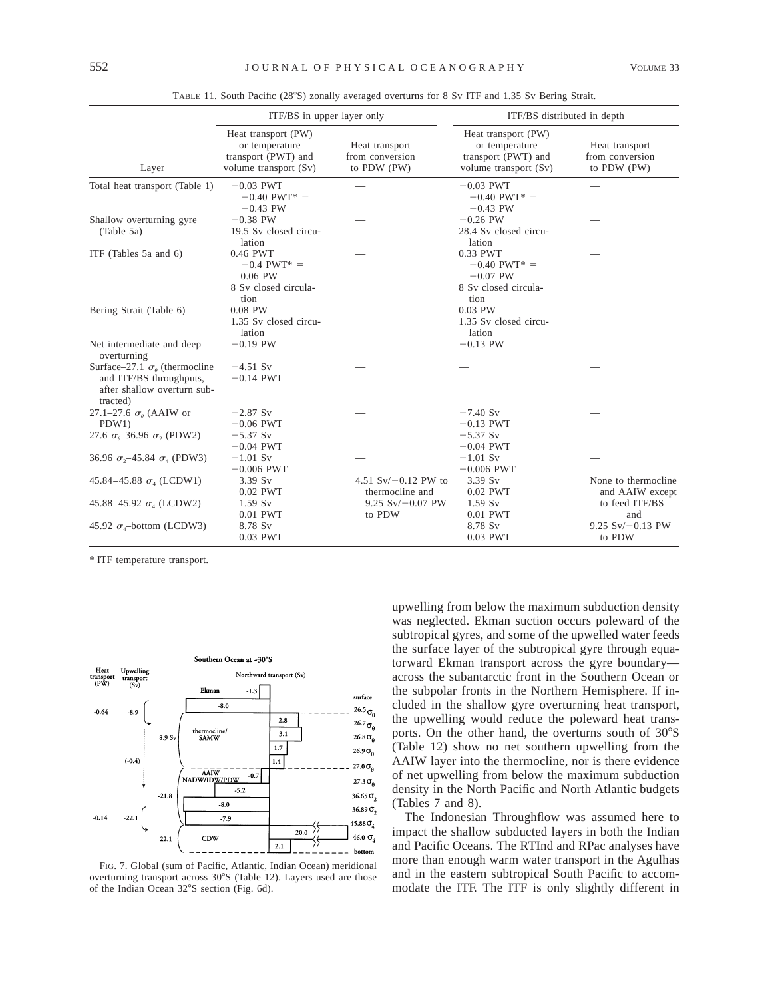|                                                                                                            | ITF/BS in upper layer only                                                            |                                                  | ITF/BS distributed in depth                                                           |                                                  |
|------------------------------------------------------------------------------------------------------------|---------------------------------------------------------------------------------------|--------------------------------------------------|---------------------------------------------------------------------------------------|--------------------------------------------------|
| Layer                                                                                                      | Heat transport (PW)<br>or temperature<br>transport (PWT) and<br>volume transport (Sv) | Heat transport<br>from conversion<br>to PDW (PW) | Heat transport (PW)<br>or temperature<br>transport (PWT) and<br>volume transport (Sv) | Heat transport<br>from conversion<br>to PDW (PW) |
| Total heat transport (Table 1)                                                                             | $-0.03$ PWT<br>$-0.40$ PWT* =<br>$-0.43$ PW                                           |                                                  | $-0.03$ PWT<br>$-0.40$ PWT* =<br>$-0.43$ PW                                           |                                                  |
| Shallow overturning gyre<br>(Table 5a)                                                                     | $-0.38$ PW<br>19.5 Sv closed circu-<br>lation                                         |                                                  | $-0.26$ PW<br>28.4 Sv closed circu-<br>lation                                         |                                                  |
| ITF (Tables 5a and 6)                                                                                      | 0.46 PWT<br>$-0.4$ PWT* =<br>$0.06$ PW<br>8 Sv closed circula-<br>tion                |                                                  | 0.33 PWT<br>$-0.40$ PWT* =<br>$-0.07$ PW<br>8 Sv closed circula-<br>tion              |                                                  |
| Bering Strait (Table 6)                                                                                    | $0.08$ PW<br>1.35 Sv closed circu-<br>lation                                          |                                                  | $0.03$ PW<br>1.35 Sv closed circu-<br>lation                                          |                                                  |
| Net intermediate and deep<br>overturning                                                                   | $-0.19$ PW                                                                            |                                                  | $-0.13$ PW                                                                            |                                                  |
| Surface–27.1 $\sigma_a$ (thermocline<br>and ITF/BS throughputs,<br>after shallow overturn sub-<br>tracted) | $-4.51$ Sv<br>$-0.14$ PWT                                                             |                                                  |                                                                                       |                                                  |
| 27.1–27.6 $\sigma_{\theta}$ (AAIW or<br>PDW1)                                                              | $-2.87$ Sv<br>$-0.06$ PWT                                                             |                                                  | $-7.40$ Sv<br>$-0.13$ PWT                                                             |                                                  |
| 27.6 $\sigma_{\rm e}$ -36.96 $\sigma_{\rm z}$ (PDW2)                                                       | $-5.37$ Sv<br>$-0.04$ PWT                                                             |                                                  | $-5.37$ Sv<br>$-0.04$ PWT                                                             |                                                  |
| 36.96 $\sigma_2$ -45.84 $\sigma_4$ (PDW3)                                                                  | $-1.01$ Sv<br>$-0.006$ PWT                                                            |                                                  | $-1.01$ Sv<br>$-0.006$ PWT                                                            |                                                  |
| 45.84–45.88 $\sigma$ <sub>4</sub> (LCDW1)                                                                  | 3.39 Sv<br>0.02 PWT                                                                   | 4.51 $Sv$ /-0.12 PW to<br>thermocline and        | 3.39 Sv<br>0.02 PWT                                                                   | None to thermocline<br>and AAIW except           |
| 45.88–45.92 $\sigma$ <sub>4</sub> (LCDW2)                                                                  | $1.59$ Sv<br>0.01 PWT                                                                 | 9.25 Sv $/ -0.07$ PW<br>to PDW                   | $1.59$ Sv<br>0.01 PWT                                                                 | to feed ITF/BS<br>and                            |
| 45.92 $\sigma_4$ -bottom (LCDW3)                                                                           | 8.78 Sv<br>0.03 PWT                                                                   |                                                  | 8.78 Sv<br>0.03 PWT                                                                   | 9.25 Sv/ $-0.13$ PW<br>to PDW                    |

TABLE 11. South Pacific (28°S) zonally averaged overturns for 8 Sv ITF and 1.35 Sv Bering Strait.

\* ITF temperature transport.



FIG. 7. Global (sum of Pacific, Atlantic, Indian Ocean) meridional overturning transport across  $30^{\circ}$ S (Table 12). Layers used are those of the Indian Ocean 32°S section (Fig. 6d).

upwelling from below the maximum subduction density was neglected. Ekman suction occurs poleward of the subtropical gyres, and some of the upwelled water feeds the surface layer of the subtropical gyre through equatorward Ekman transport across the gyre boundary across the subantarctic front in the Southern Ocean or the subpolar fronts in the Northern Hemisphere. If included in the shallow gyre overturning heat transport, the upwelling would reduce the poleward heat transports. On the other hand, the overturns south of  $30^{\circ}$ S (Table 12) show no net southern upwelling from the AAIW layer into the thermocline, nor is there evidence of net upwelling from below the maximum subduction density in the North Pacific and North Atlantic budgets (Tables 7 and 8).

The Indonesian Throughflow was assumed here to impact the shallow subducted layers in both the Indian and Pacific Oceans. The RTInd and RPac analyses have more than enough warm water transport in the Agulhas and in the eastern subtropical South Pacific to accommodate the ITF. The ITF is only slightly different in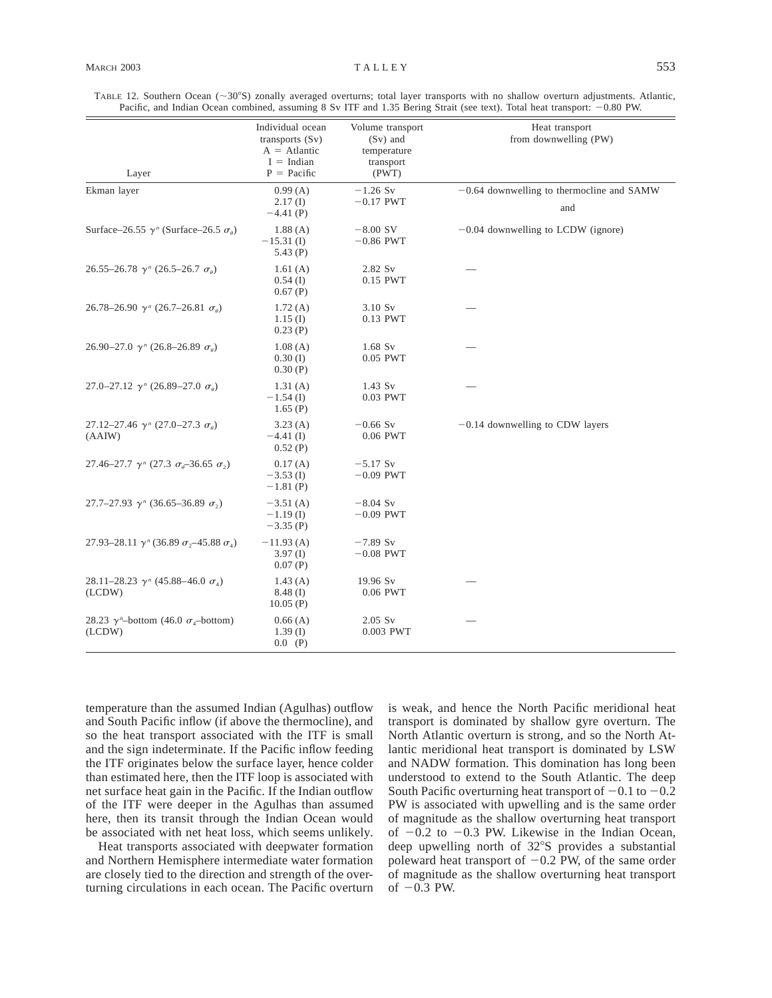TABLE 12. Southern Ocean  $(\sim 30^{\circ}S)$  zonally averaged overturns; total layer transports with no shallow overturn adjustments. Atlantic, Pacific, and Indian Ocean combined, assuming 8 Sv ITF and 1.35 Bering Strait (see text). Total heat transport: -0.80 PW.

| Layer                                                                                         | Individual ocean<br>transports $(Sv)$<br>$A = Atlantic$<br>$I = Indian$<br>$P = Pacific$ | Volume transport<br>$(Sv)$ and<br>temperature<br>transport<br>(PWT) | Heat transport<br>from downwelling (PW)            |
|-----------------------------------------------------------------------------------------------|------------------------------------------------------------------------------------------|---------------------------------------------------------------------|----------------------------------------------------|
| Ekman layer                                                                                   | 0.99(A)<br>$2.17$ (I)<br>$-4.41(P)$                                                      | $-1.26$ Sv<br>$-0.17$ PWT                                           | $-0.64$ downwelling to thermocline and SAMW<br>and |
| Surface–26.55 $\gamma$ <sup>n</sup> (Surface–26.5 $\sigma$ <sub>n</sub> )                     | 1.88(A)<br>$-15.31$ (I)<br>5.43 $(P)$                                                    | $-8.00$ SV<br>$-0.86$ PWT                                           | $-0.04$ downwelling to LCDW (ignore)               |
| 26.55–26.78 $\gamma$ <sup>n</sup> (26.5–26.7 $\sigma$ <sub>a</sub> )                          | 1.61(A)<br>$0.54$ (I)<br>0.67(P)                                                         | 2.82 Sv<br>0.15 PWT                                                 |                                                    |
| 26.78–26.90 $\gamma$ <sup>n</sup> (26.7–26.81 $\sigma$ <sub>a</sub> )                         | 1.72(A)<br>$1.15$ (I)<br>0.23(P)                                                         | 3.10 Sv<br>0.13 PWT                                                 |                                                    |
| 26.90–27.0 $\gamma$ <sup>n</sup> (26.8–26.89 $\sigma$ <sub>a</sub> )                          | 1.08(A)<br>$0.30$ (I)<br>0.30(P)                                                         | $1.68$ Sv<br>0.05 PWT                                               |                                                    |
| 27.0–27.12 $\gamma$ <sup>n</sup> (26.89–27.0 $\sigma$ <sub>e</sub> )                          | 1.31(A)<br>$-1.54$ (I)<br>1.65(P)                                                        | 1.43 Sv<br>0.03 PWT                                                 |                                                    |
| 27.12–27.46 $\gamma$ <sup>n</sup> (27.0–27.3 $\sigma$ <sub>e</sub> )<br>(AAIW)                | 3.23(A)<br>$-4.41$ (I)<br>0.52(P)                                                        | $-0.66$ Sv<br>0.06 PWT                                              | $-0.14$ downwelling to CDW layers                  |
| 27.46–27.7 $\gamma$ <sup>n</sup> (27.3 $\sigma$ <sub>n</sub> –36.65 $\sigma$ <sub>2</sub> )   | 0.17(A)<br>$-3.53$ (I)<br>$-1.81(P)$                                                     | $-5.17$ Sv<br>$-0.09$ PWT                                           |                                                    |
| 27.7–27.93 $\gamma$ <sup>n</sup> (36.65–36.89 $\sigma$ <sub>2</sub> )                         | $-3.51(A)$<br>$-1.19$ (I)<br>$-3.35(P)$                                                  | $-8.04$ Sv<br>$-0.09$ PWT                                           |                                                    |
| 27.93–28.11 $\gamma$ <sup>n</sup> (36.89 $\sigma$ <sub>2</sub> –45.88 $\sigma$ <sub>4</sub> ) | $-11.93(A)$<br>$3.97$ (I)<br>0.07(P)                                                     | $-7.89$ Sv<br>$-0.08$ PWT                                           |                                                    |
| 28.11-28.23 $\gamma$ <sup>n</sup> (45.88-46.0 $\sigma$ <sub>4</sub> )<br>(LCDW)               | 1.43(A)<br>$8.48$ (I)<br>10.05(P)                                                        | 19.96 Sv<br>0.06 PWT                                                |                                                    |
| 28.23 $\gamma$ <sup>n</sup> -bottom (46.0 $\sigma$ <sub>4</sub> -bottom)<br>(LCDW)            | 0.66(A)<br>$1.39$ (I)<br>0.0(P)                                                          | $2.05$ Sv<br>0.003 PWT                                              |                                                    |

temperature than the assumed Indian (Agulhas) outflow and South Pacific inflow (if above the thermocline), and so the heat transport associated with the ITF is small and the sign indeterminate. If the Pacific inflow feeding the ITF originates below the surface layer, hence colder than estimated here, then the ITF loop is associated with net surface heat gain in the Pacific. If the Indian outflow of the ITF were deeper in the Agulhas than assumed here, then its transit through the Indian Ocean would be associated with net heat loss, which seems unlikely.

Heat transports associated with deepwater formation and Northern Hemisphere intermediate water formation are closely tied to the direction and strength of the overturning circulations in each ocean. The Pacific overturn

is weak, and hence the North Pacific meridional heat transport is dominated by shallow gyre overturn. The North Atlantic overturn is strong, and so the North Atlantic meridional heat transport is dominated by LSW and NADW formation. This domination has long been understood to extend to the South Atlantic. The deep South Pacific overturning heat transport of  $-0.1$  to  $-0.2$ PW is associated with upwelling and is the same order of magnitude as the shallow overturning heat transport of  $-0.2$  to  $-0.3$  PW. Likewise in the Indian Ocean, deep upwelling north of 32°S provides a substantial poleward heat transport of  $-0.2$  PW, of the same order of magnitude as the shallow overturning heat transport of  $-0.3$  PW.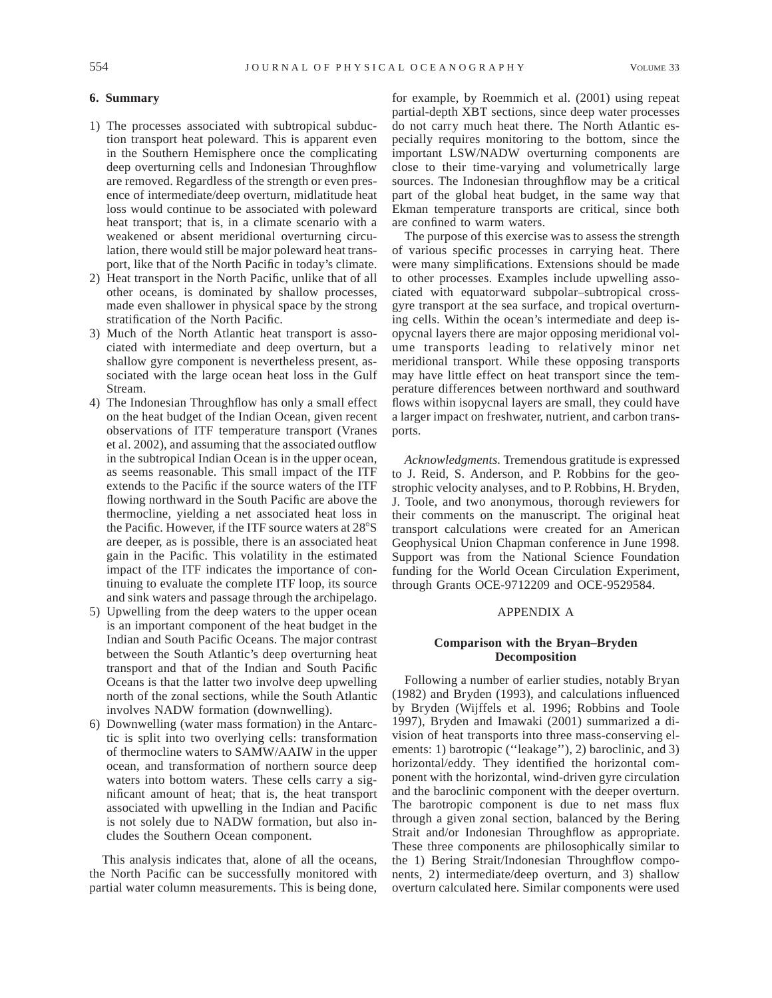## **6. Summary**

- 1) The processes associated with subtropical subduction transport heat poleward. This is apparent even in the Southern Hemisphere once the complicating deep overturning cells and Indonesian Throughflow are removed. Regardless of the strength or even presence of intermediate/deep overturn, midlatitude heat loss would continue to be associated with poleward heat transport; that is, in a climate scenario with a weakened or absent meridional overturning circulation, there would still be major poleward heat transport, like that of the North Pacific in today's climate.
- 2) Heat transport in the North Pacific, unlike that of all other oceans, is dominated by shallow processes, made even shallower in physical space by the strong stratification of the North Pacific.
- 3) Much of the North Atlantic heat transport is associated with intermediate and deep overturn, but a shallow gyre component is nevertheless present, associated with the large ocean heat loss in the Gulf Stream.
- 4) The Indonesian Throughflow has only a small effect on the heat budget of the Indian Ocean, given recent observations of ITF temperature transport (Vranes et al. 2002), and assuming that the associated outflow in the subtropical Indian Ocean is in the upper ocean, as seems reasonable. This small impact of the ITF extends to the Pacific if the source waters of the ITF flowing northward in the South Pacific are above the thermocline, yielding a net associated heat loss in the Pacific. However, if the ITF source waters at  $28^{\circ}$ S are deeper, as is possible, there is an associated heat gain in the Pacific. This volatility in the estimated impact of the ITF indicates the importance of continuing to evaluate the complete ITF loop, its source and sink waters and passage through the archipelago.
- 5) Upwelling from the deep waters to the upper ocean is an important component of the heat budget in the Indian and South Pacific Oceans. The major contrast between the South Atlantic's deep overturning heat transport and that of the Indian and South Pacific Oceans is that the latter two involve deep upwelling north of the zonal sections, while the South Atlantic involves NADW formation (downwelling).
- 6) Downwelling (water mass formation) in the Antarctic is split into two overlying cells: transformation of thermocline waters to SAMW/AAIW in the upper ocean, and transformation of northern source deep waters into bottom waters. These cells carry a significant amount of heat; that is, the heat transport associated with upwelling in the Indian and Pacific is not solely due to NADW formation, but also includes the Southern Ocean component.

This analysis indicates that, alone of all the oceans, the North Pacific can be successfully monitored with partial water column measurements. This is being done,

for example, by Roemmich et al. (2001) using repeat partial-depth XBT sections, since deep water processes do not carry much heat there. The North Atlantic especially requires monitoring to the bottom, since the important LSW/NADW overturning components are close to their time-varying and volumetrically large sources. The Indonesian throughflow may be a critical part of the global heat budget, in the same way that Ekman temperature transports are critical, since both are confined to warm waters.

The purpose of this exercise was to assess the strength of various specific processes in carrying heat. There were many simplifications. Extensions should be made to other processes. Examples include upwelling associated with equatorward subpolar–subtropical crossgyre transport at the sea surface, and tropical overturning cells. Within the ocean's intermediate and deep isopycnal layers there are major opposing meridional volume transports leading to relatively minor net meridional transport. While these opposing transports may have little effect on heat transport since the temperature differences between northward and southward flows within isopycnal layers are small, they could have a larger impact on freshwater, nutrient, and carbon transports.

*Acknowledgments.* Tremendous gratitude is expressed to J. Reid, S. Anderson, and P. Robbins for the geostrophic velocity analyses, and to P. Robbins, H. Bryden, J. Toole, and two anonymous, thorough reviewers for their comments on the manuscript. The original heat transport calculations were created for an American Geophysical Union Chapman conference in June 1998. Support was from the National Science Foundation funding for the World Ocean Circulation Experiment, through Grants OCE-9712209 and OCE-9529584.

#### APPENDIX A

#### **Comparison with the Bryan–Bryden Decomposition**

Following a number of earlier studies, notably Bryan (1982) and Bryden (1993), and calculations influenced by Bryden (Wijffels et al. 1996; Robbins and Toole 1997), Bryden and Imawaki (2001) summarized a division of heat transports into three mass-conserving elements: 1) barotropic ("leakage"), 2) baroclinic, and 3) horizontal/eddy. They identified the horizontal component with the horizontal, wind-driven gyre circulation and the baroclinic component with the deeper overturn. The barotropic component is due to net mass flux through a given zonal section, balanced by the Bering Strait and/or Indonesian Throughflow as appropriate. These three components are philosophically similar to the 1) Bering Strait/Indonesian Throughflow components, 2) intermediate/deep overturn, and 3) shallow overturn calculated here. Similar components were used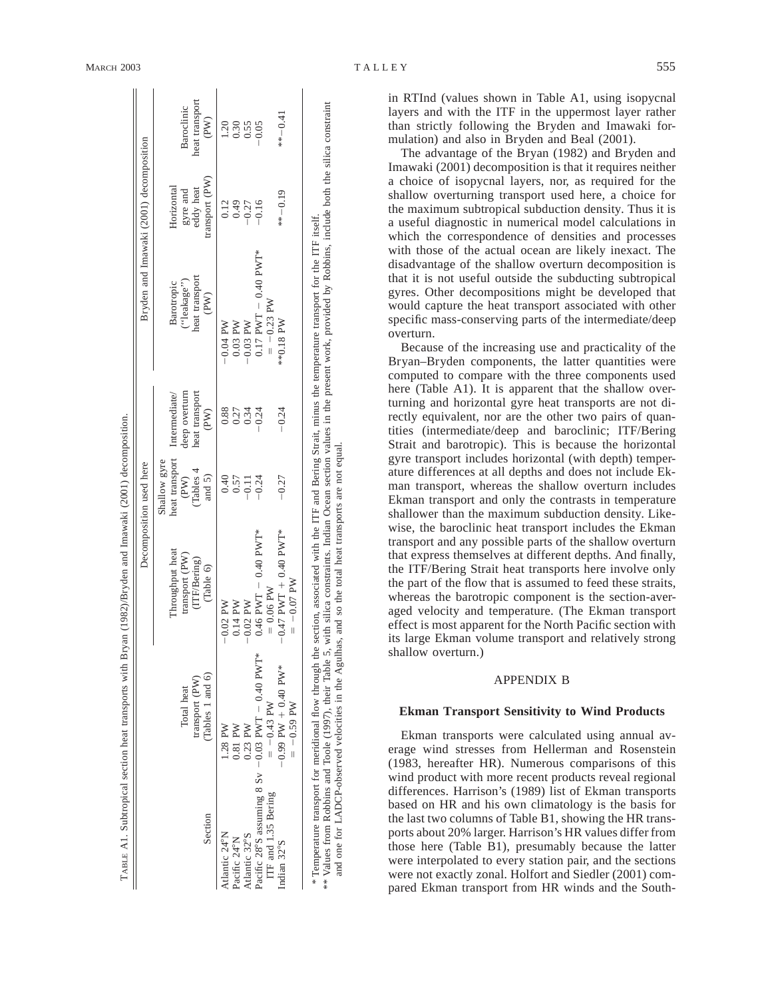|                     |                                                  |                                         | Decomposition used here |                | Bryden and Imawaki (2001) decomposition                                                                                                                         |                       |                |
|---------------------|--------------------------------------------------|-----------------------------------------|-------------------------|----------------|-----------------------------------------------------------------------------------------------------------------------------------------------------------------|-----------------------|----------------|
|                     |                                                  |                                         | Shallow gyre            |                |                                                                                                                                                                 |                       |                |
|                     |                                                  | Throughput heat                         | heat transport          | Intermediate   | Barotropic                                                                                                                                                      | Horizontal            |                |
|                     | Total heat                                       | transport (PW)                          | (PW)                    | deep overturn  | ("leakage")                                                                                                                                                     |                       | Baroclinic     |
|                     | transport (PW)                                   | (ITF/Bering)                            | Tables 4                | heat transport | heat transport                                                                                                                                                  | gyre and<br>eddy heat | heat transport |
| Section             | Tables 1 and 6)                                  | (Table 6)                               | and 5)                  | (PW)           | (PW)                                                                                                                                                            | ransport (PW)         | (PW)           |
| Atlantic 24°N       | $1.28$ PW                                        | $-0.02$ PW                              | 0.40                    | 0.88           | $-0.04$ PW                                                                                                                                                      | 0.12                  | $-20$          |
| Pacific 24°N        | $0.81$ PW                                        | $0.14$ PW                               | 0.57                    | 0.27           | 0.03 PW                                                                                                                                                         | 64.0                  | 0.30           |
| Atlantic 32°S       | $0.23$ PW                                        | $-0.02$ PW                              | $-0.11$                 | 0.34           | $-0.03$ PW                                                                                                                                                      | $-0.27$               | 0.55           |
|                     | Pacific 28°S assuming 8 Sv -0.03 PWT - 0.40 PWT* | $0.46$ PWT $-0.40$ PWT*                 | $-0.24$                 | $-0.24$        | $0.17$ PWT $-0.40$ PWT*                                                                                                                                         | $-0.16$               | $-0.05$        |
| ITF and 1.35 Bering | $= -0.43$ PW                                     | $= 0.06$ PW                             |                         |                | $= -0.23$ PW                                                                                                                                                    |                       |                |
| ndian 32°S          | $-0.99$ PW + 0.40 PW*<br>$= -0.59$ PW            | $-0.47$ PWT + 0.40 PWT*<br>$= -0.07$ PW | $-0.27$                 | $-0.24$        | **0.18 PW                                                                                                                                                       | $**-0.19$             | $-6.4$         |
|                     |                                                  |                                         |                         |                | * Temperature transport for meridional flow through the section, associated with the ITF and Bering Strait, minus the temperature transport for the ITF itself. |                       |                |

remporatum c anaport rot meriturem now intougar are section, associated with an and the paramy number in the present work, provided by Robbins, include both the silica constraint<br>\*\* Values from Robbins and Toole (1997), th \*\* Values from Robbins and Toole (1997), their Table 5, with silica constraints. Indian Ocean section values in the present work, provided by Robbins, include both the silica constraint and one for LADCP-observed velocities in the Agulhas, and so the total heat transports are not equal. and one for LADCP-observed velocities in the Agulhas, and so the total heat transports are not equal.

in RTInd (values shown in Table A1, using isopycnal layers and with the ITF in the uppermost layer rather than strictly following the Bryden and Imawaki formulation) and also in Bryden and Beal (2001).

The advantage of the Bryan (1982) and Bryden and Imawaki (2001) decomposition is that it requires neither a choice of isopycnal layers, nor, as required for the shallow overturning transport used here, a choice for the maximum subtropical subduction density. Thus it is a useful diagnostic in numerical model calculations in which the correspondence of densities and processes with those of the actual ocean are likely inexact. The disadvantage of the shallow overturn decomposition is that it is not useful outside the subducting subtropical gyres. Other decompositions might be developed that would capture the heat transport associated with other specific mass-conserving parts of the intermediate/deep overturn.

Because of the increasing use and practicality of the Bryan–Bryden components, the latter quantities were computed to compare with the three components used here (Table A1). It is apparent that the shallow overturning and horizontal gyre heat transports are not directly equivalent, nor are the other two pairs of quantities (intermediate/deep and baroclinic; ITF/Bering Strait and barotropic). This is because the horizontal gyre transport includes horizontal (with depth) temperature differences at all depths and does not include Ekman transport, whereas the shallow overturn includes Ekman transport and only the contrasts in temperature shallower than the maximum subduction density. Likewise, the baroclinic heat transport includes the Ekman transport and any possible parts of the shallow overturn that express themselves at different depths. And finally, the ITF/Bering Strait heat transports here involve only the part of the flow that is assumed to feed these straits, whereas the barotropic component is the section-averaged velocity and temperature. (The Ekman transport effect is most apparent for the North Pacific section with its large Ekman volume transport and relatively strong shallow overturn.)

# APPENDIX B

### **Ekman Transport Sensitivity to Wind Products**

Ekman transports were calculated using annual average wind stresses from Hellerman and Rosenstein (1983, hereafter HR). Numerous comparisons of this wind product with more recent products reveal regional differences. Harrison's (1989) list of Ekman transports based on HR and his own climatology is the basis for the last two columns of Table B1, showing the HR transports about 20% larger. Harrison's HR values differ from those here (Table B1), presumably because the latter were interpolated to every station pair, and the sections were not exactly zonal. Holfort and Siedler (2001) compared Ekman transport from HR winds and the South-

TABLE A1. Subtropical section heat transports with Bryan (1982)/Bryden and Imawaki (2001) decomposition.

TABLE A1. Subtropical section heat transports with Bryan (1982)/Bryden and Imawaki (2001) decomposition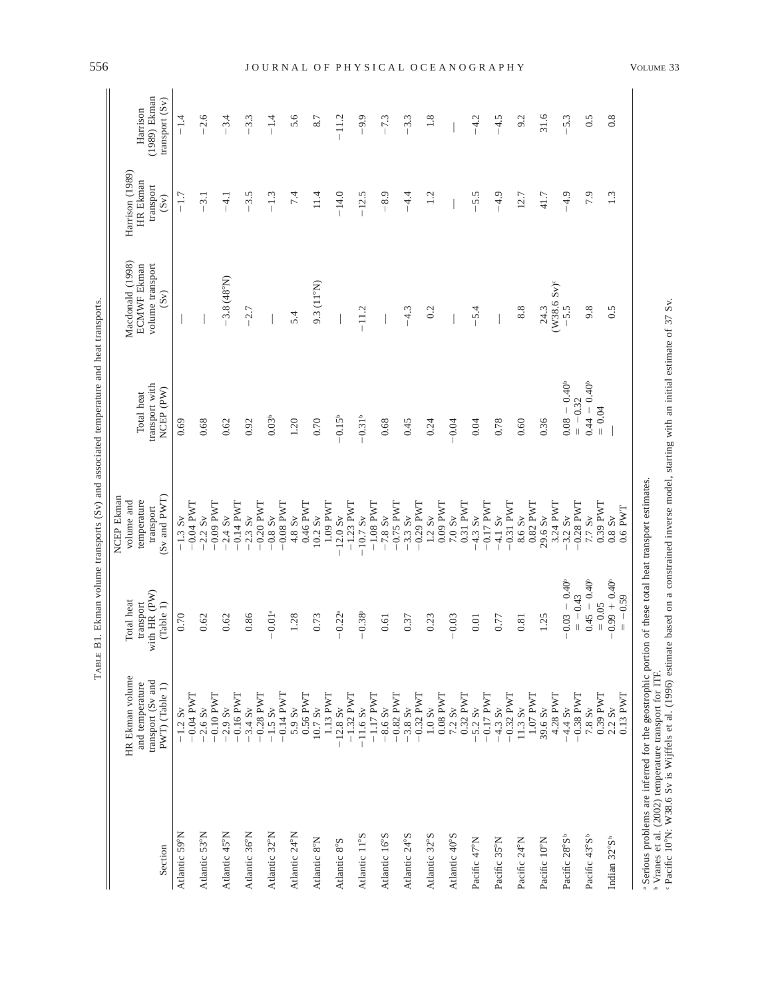| į<br>うくうく<br>ï<br>i                                                                                                                          |
|----------------------------------------------------------------------------------------------------------------------------------------------|
| $\ddot{\phantom{a}}$                                                                                                                         |
| l<br>ł<br>֧֧֧֧֪֧֧֧֧֧֧֧֧֛֪֧֧֧֧֧֝֟֟֓֝֬֝֬֝֬֝֬֝֬֝֬֝֬֟֓֝֬֝֬֝֬֝֬֝֬֝֟֝֬֟֓֝֬֓֟֓֝֬֝֬֝֬֝֬֝֬֝֟֬֝֬֝֬֝֬֝֬                                                 |
| $\vdots$                                                                                                                                     |
| )<br>}<br>}                                                                                                                                  |
| ļ<br>ì                                                                                                                                       |
| coco con contra contra contra contra contra contra contra contra contra contra contra contra contra contra con<br>$\ddot{\phantom{a}}$<br>į  |
| $\frac{1}{2}$                                                                                                                                |
| Films are such                                                                                                                               |
| $\vdots$<br>ļ                                                                                                                                |
| -<br>F<br>F<br>F<br>F<br>֧֦֦֦֦֦֧֧֧֧֦֧֦֧֧֧֧֧֧֧֛֛֛֛֛֛֛֛֛֛֛֛֛֛֛֛֛ׅ֛ׅ֛ׅ֛֛֚֚֚֚֝֕֝֝֝֝֬֝֝֓֕֝֬֝֓֝֬֝֓֝֬֝֓֝֬֝֟֓֝֬֝֓֝֬֝֬֝֓֝֬֝֬֝֬֝֬֝֬֝֬֜֜֜֜֜֜֜֜֜֜֜֜<br>l |

| Section                                                                                             | HR Ekman volume<br>transport (Sv and<br>and temperature<br>PWT) (Table 1) | with HR (PW)<br>Total heat<br>transport<br>(Table 1)        | NCEP Ekman<br>$(Sv$ and $PWT)$<br>volume and<br>temperature<br>transport | transport with<br>NCEP (PW)<br>Total heat     | Macdonald (1998)<br>volume transport<br><b>ECMWF Ekman</b><br>(Sv) | Harrison (1989)<br>HR Ekman<br>transport<br>(Sv) | (1989) Ekman<br>transport (Sv)<br>Harrison |
|-----------------------------------------------------------------------------------------------------|---------------------------------------------------------------------------|-------------------------------------------------------------|--------------------------------------------------------------------------|-----------------------------------------------|--------------------------------------------------------------------|--------------------------------------------------|--------------------------------------------|
| Atlantic 59°N                                                                                       | $-0.04$ PWT<br>$-1.2$ S <sub>v</sub>                                      | 0.70                                                        | $-0.04$ PWT<br>$-1.3$ S <sub>v</sub>                                     | 0.69                                          |                                                                    | $-1.7$                                           | $-1.4$                                     |
| Atlantic 53°N                                                                                       | $-0.10$ PWT<br>$-2.6$ S <sub>v</sub>                                      | 0.62                                                        | $-0.09$ PWT<br>$-2.2$ Sv                                                 | 0.68                                          |                                                                    | $-3.1$                                           | $-2.6$                                     |
| Atlantic 45°N                                                                                       | $-2.9$ Sv                                                                 | 0.62                                                        | $-2.4 Sv$                                                                | 0.62                                          | $-3.8(48^{\circ}N)$                                                | $-4.1$                                           | 3.4                                        |
| Atlantic 36°N                                                                                       | $-0.16$ PWT<br>$-3.4 Sv$                                                  | 0.86                                                        | $-0.14$ PWT<br>$-2.3$ S <sub>v</sub>                                     | 0.92                                          | $-2.7$                                                             | $3.\overline{5}$                                 | 3.3                                        |
| Atlantic 32°N                                                                                       | $-0.28$ PWT<br>$-1.5$ Sv                                                  | $-0.01$ <sup>a</sup>                                        | $-0.20$ PWT<br>$-0.8 Sv$                                                 | 0.03 <sup>b</sup>                             |                                                                    | $-1.3$                                           | $-1.4$                                     |
| Atlantic 24°N                                                                                       | $-0.14$ PWT<br>5.9 Sv                                                     | 1.28                                                        | $-0.08$ PWT<br>4.8 Sv                                                    | 1.20                                          | 5.4                                                                | 7.4                                              | 5.6                                        |
| Atlantic 8°N                                                                                        | 0.56 PWT<br>10.7 Sv                                                       | 0.73                                                        | 0.46 PWT<br>10.2 Sv                                                      | 0.70                                          | 9.3 (11°N)                                                         | $11.4\,$                                         | 8.7                                        |
| Atlantic 8°S                                                                                        | 1.13 PWT<br>$-12.8 Sv$                                                    | $-0.22^{a}$                                                 | 1.09 PWT<br>$-12.0 Sv$                                                   | $-0.15^{\circ}$                               |                                                                    | $-14.0$                                          | $-11.2$                                    |
| Atlantic 11°S                                                                                       | $-1.32$ PWT<br>$-11.6 Sv$                                                 | $-0.38^{a}$                                                 | $-1.23$ PWT<br>$-10.7 Sv$                                                | $-0.31^{\rm b}$                               | $-11.2$                                                            | $-12.5$                                          | $-9.9$                                     |
| Atlantic 16°S                                                                                       | $-1.17$ PWT<br>$-8.6 Sv$                                                  | 0.61                                                        | $-1.08$ PWT<br>$-7.8 Sv$                                                 | 0.68                                          |                                                                    | $-8.9$                                           | $-7.3$                                     |
| Atlantic 24°S                                                                                       | $-0.82$ PWT<br>$-3.8$ Sv                                                  | 0.37                                                        | $-0.75$ PWT<br>$-3.3$ Sv                                                 | 0.45                                          | $-4.3$                                                             | $-4.4$                                           | $-3.3$                                     |
| Atlantic 32°S                                                                                       | $-0.32$ PWT<br>1.0 Sv                                                     | 0.23                                                        | $-0.29$ PWT<br>1.2 Sv                                                    | 0.24                                          | 0.2                                                                | 1.2                                              | 1.8                                        |
| Atlantic 40°S                                                                                       | 0.08 PWT<br>$7.2$ Sv                                                      | $-0.03$                                                     | $0.09$ PWT<br>7.0 Sv                                                     | $-0.04$                                       |                                                                    |                                                  |                                            |
| Pacific 47°N                                                                                        | 0.32 PWT<br>$-5.2$ Sv                                                     | 0.01                                                        | 0.31 PWT<br>$-4.3$ Sv                                                    | 0.04                                          | $-5.4$                                                             | $-5.5$                                           | $-4.2$                                     |
| Pacific 35°N                                                                                        | $-0.17$ PW<br>$-4.3$ Sv                                                   | 0.77                                                        | $-0.17$ PWT<br>$-4.1$ Sv                                                 | 0.78                                          |                                                                    | $-4.9$                                           | $-4.5$                                     |
| Pacific 24°N                                                                                        | $-0.32$ PWT<br>11.3 Sv                                                    | 0.81                                                        | $-0.31$ PWT<br>8.6 Sv                                                    | 0.60                                          | 8.8                                                                | 12.7                                             | 9.2                                        |
| Pacific 10°N                                                                                        | 1.07 PWT<br>39.6 Sv                                                       | 1.25                                                        | 3.24 PWT<br>$0.82$ PWT<br>29.6 Sv                                        | 0.36                                          | (W38.6 Sv) <sup>c</sup><br>24.3                                    | 41.7                                             | 31.6                                       |
| Pacific 28°S <sup>b</sup>                                                                           | 4.28 PWT<br>4.4 Sv                                                        | $-0.03 - 0.40^{\circ}$                                      | $-3.2$ Sv                                                                | $0.08 - 0.40^{\circ}$                         | $-5.5$                                                             | $-4.9$                                           | $-5.3$                                     |
| Pacific 43°S <sup>b</sup>                                                                           | $7.8\ {\rm Sv} \0.39\ {\rm PWT}$<br>$-0.38$ PWT                           | $0.45 - 0.40^{\circ}$<br>$=-0.43$<br>$= 0.05$               | $0.28$ PWT<br>7.7 Sv                                                     | $0.44 - 0.40^{\circ}$<br>$=-0.32$<br>$= 0.04$ | 9.8                                                                | 7.9                                              | 0.5                                        |
| Indian 32°S <sup>b</sup>                                                                            | $0.13$ PWT<br>$2.2$ $Sv$                                                  | $0.99 + 0.40^{\circ}$<br>$-0.59$<br>$\overline{\mathbf{u}}$ | $0.39$ PWT<br>$0.6$ PWT<br>0.8 Sv                                        |                                               | 0.5                                                                | 1.3                                              | 0.8                                        |
| "Serious problems are inferred for the geostrophic portion of these total heat transport estimates. |                                                                           |                                                             |                                                                          |                                               |                                                                    |                                                  |                                            |

# 556 JOURNAL OF PHYSICAL OCEANOGRAPHY VOLUME 33

ن ص

Vranes et al. (2002) temperature transport for ITF.

Pacific 108N: W38.6 Sv is Wijffels et al. (1996) estimate based on a constrained inverse model, starting with an initial estimate of 37 Sv.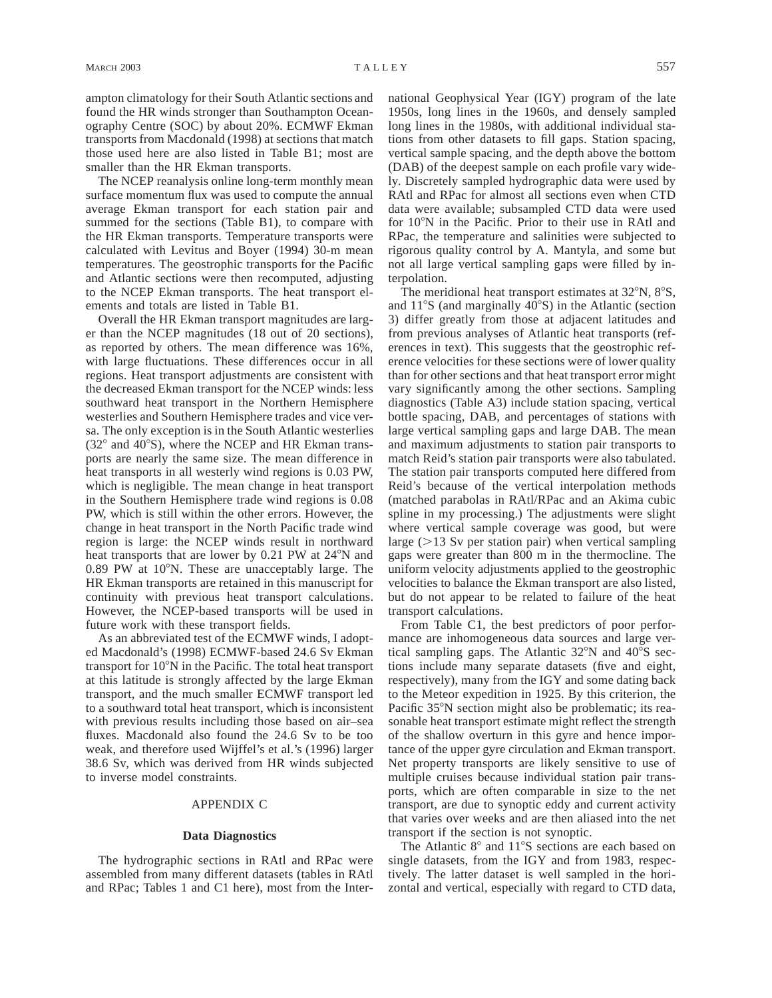ampton climatology for their South Atlantic sections and found the HR winds stronger than Southampton Oceanography Centre (SOC) by about 20%. ECMWF Ekman transports from Macdonald (1998) at sections that match

smaller than the HR Ekman transports. The NCEP reanalysis online long-term monthly mean surface momentum flux was used to compute the annual average Ekman transport for each station pair and summed for the sections (Table B1), to compare with the HR Ekman transports. Temperature transports were calculated with Levitus and Boyer (1994) 30-m mean temperatures. The geostrophic transports for the Pacific and Atlantic sections were then recomputed, adjusting to the NCEP Ekman transports. The heat transport elements and totals are listed in Table B1.

those used here are also listed in Table B1; most are

Overall the HR Ekman transport magnitudes are larger than the NCEP magnitudes (18 out of 20 sections), as reported by others. The mean difference was 16%, with large fluctuations. These differences occur in all regions. Heat transport adjustments are consistent with the decreased Ekman transport for the NCEP winds: less southward heat transport in the Northern Hemisphere westerlies and Southern Hemisphere trades and vice versa. The only exception is in the South Atlantic westerlies  $(32^{\circ}$  and  $40^{\circ}$ S), where the NCEP and HR Ekman transports are nearly the same size. The mean difference in heat transports in all westerly wind regions is 0.03 PW, which is negligible. The mean change in heat transport in the Southern Hemisphere trade wind regions is 0.08 PW, which is still within the other errors. However, the change in heat transport in the North Pacific trade wind region is large: the NCEP winds result in northward heat transports that are lower by  $0.21$  PW at  $24^{\circ}$ N and  $0.89$  PW at  $10^{\circ}$ N. These are unacceptably large. The HR Ekman transports are retained in this manuscript for continuity with previous heat transport calculations. However, the NCEP-based transports will be used in future work with these transport fields.

As an abbreviated test of the ECMWF winds, I adopted Macdonald's (1998) ECMWF-based 24.6 Sv Ekman transport for 10°N in the Pacific. The total heat transport at this latitude is strongly affected by the large Ekman transport, and the much smaller ECMWF transport led to a southward total heat transport, which is inconsistent with previous results including those based on air–sea fluxes. Macdonald also found the 24.6 Sv to be too weak, and therefore used Wijffel's et al.'s (1996) larger 38.6 Sv, which was derived from HR winds subjected to inverse model constraints.

### APPENDIX C

#### **Data Diagnostics**

The hydrographic sections in RAtl and RPac were assembled from many different datasets (tables in RAtl and RPac; Tables 1 and C1 here), most from the International Geophysical Year (IGY) program of the late 1950s, long lines in the 1960s, and densely sampled long lines in the 1980s, with additional individual stations from other datasets to fill gaps. Station spacing, vertical sample spacing, and the depth above the bottom (DAB) of the deepest sample on each profile vary widely. Discretely sampled hydrographic data were used by RAtl and RPac for almost all sections even when CTD data were available; subsampled CTD data were used for 10°N in the Pacific. Prior to their use in RAtl and RPac, the temperature and salinities were subjected to rigorous quality control by A. Mantyla, and some but not all large vertical sampling gaps were filled by interpolation.

The meridional heat transport estimates at  $32^{\circ}$ N,  $8^{\circ}$ S, and  $11^{\circ}$ S (and marginally  $40^{\circ}$ S) in the Atlantic (section 3) differ greatly from those at adjacent latitudes and from previous analyses of Atlantic heat transports (references in text). This suggests that the geostrophic reference velocities for these sections were of lower quality than for other sections and that heat transport error might vary significantly among the other sections. Sampling diagnostics (Table A3) include station spacing, vertical bottle spacing, DAB, and percentages of stations with large vertical sampling gaps and large DAB. The mean and maximum adjustments to station pair transports to match Reid's station pair transports were also tabulated. The station pair transports computed here differed from Reid's because of the vertical interpolation methods (matched parabolas in RAtl/RPac and an Akima cubic spline in my processing.) The adjustments were slight where vertical sample coverage was good, but were large  $(>13$  Sv per station pair) when vertical sampling gaps were greater than 800 m in the thermocline. The uniform velocity adjustments applied to the geostrophic velocities to balance the Ekman transport are also listed, but do not appear to be related to failure of the heat transport calculations.

From Table C1, the best predictors of poor performance are inhomogeneous data sources and large vertical sampling gaps. The Atlantic  $32^{\circ}$ N and  $40^{\circ}$ S sections include many separate datasets (five and eight, respectively), many from the IGY and some dating back to the Meteor expedition in 1925. By this criterion, the Pacific 35°N section might also be problematic; its reasonable heat transport estimate might reflect the strength of the shallow overturn in this gyre and hence importance of the upper gyre circulation and Ekman transport. Net property transports are likely sensitive to use of multiple cruises because individual station pair transports, which are often comparable in size to the net transport, are due to synoptic eddy and current activity that varies over weeks and are then aliased into the net transport if the section is not synoptic.

The Atlantic  $8^\circ$  and  $11^\circ$ S sections are each based on single datasets, from the IGY and from 1983, respectively. The latter dataset is well sampled in the horizontal and vertical, especially with regard to CTD data,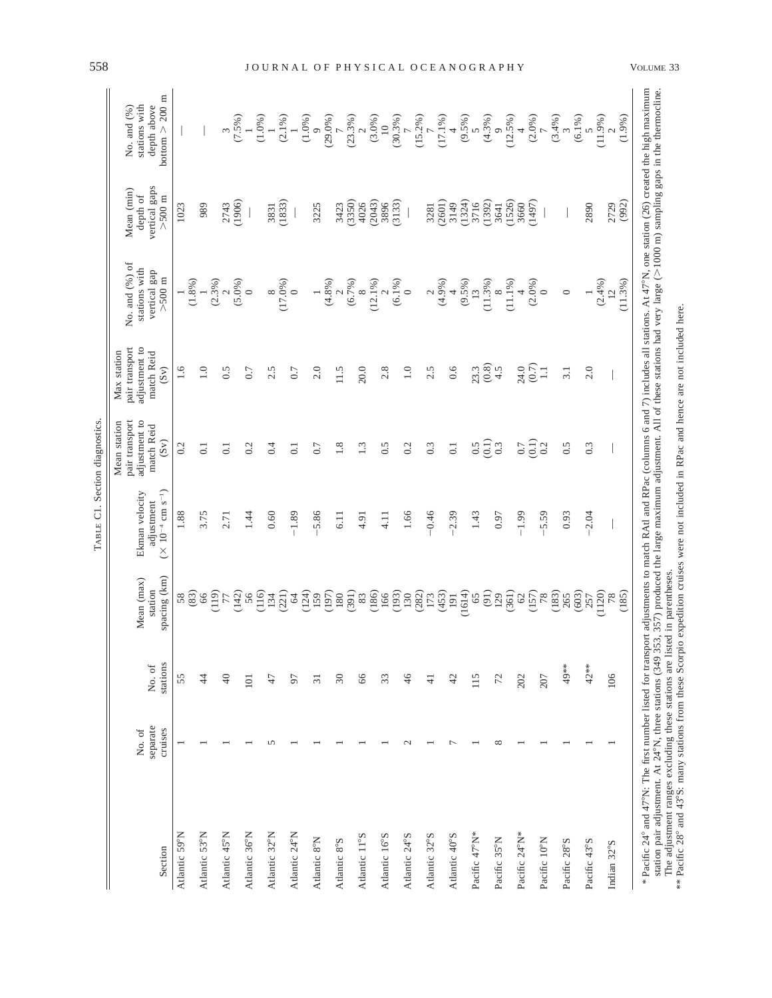|                                                                                                                                                                                                                                                                                                                                     |                               |                    |                                                                      | TABLE C1. Section diagnostics.                          |                                                                       |                                                                      |                                                                                                                                 |                                                     |                                                                    |
|-------------------------------------------------------------------------------------------------------------------------------------------------------------------------------------------------------------------------------------------------------------------------------------------------------------------------------------|-------------------------------|--------------------|----------------------------------------------------------------------|---------------------------------------------------------|-----------------------------------------------------------------------|----------------------------------------------------------------------|---------------------------------------------------------------------------------------------------------------------------------|-----------------------------------------------------|--------------------------------------------------------------------|
| Section                                                                                                                                                                                                                                                                                                                             | separate<br>No. of<br>cruises | stations<br>No. of | spacing (km)<br>Mean (max)<br>station                                | $(X 10^{-4} cm s^{-1})$<br>Ekman velocity<br>adjustment | pair transport<br>adjustment to<br>Mean station<br>match Reid<br>(Sv) | adjustment to<br>pair transport<br>Max station<br>match Reid<br>(Sv) | No. and (%) of<br>stations with<br>vertical gap<br>$>500$ m                                                                     | vertical gaps<br>Mean (min)<br>depth of<br>$>500$ m | bottom $>$ 200 m<br>stations with<br>depth above<br>No. and $(\%)$ |
| Atlantic 59°N                                                                                                                                                                                                                                                                                                                       |                               | 55                 | 58                                                                   | 1.88                                                    | 0.2                                                                   | 1.6                                                                  |                                                                                                                                 | 1023                                                |                                                                    |
| Atlantic 53°N                                                                                                                                                                                                                                                                                                                       |                               | 4                  | (83)<br>$66$                                                         | 3.75                                                    | 0.1                                                                   | 1.0                                                                  | (1.8%)                                                                                                                          | 989                                                 |                                                                    |
| Atlantic 45°N                                                                                                                                                                                                                                                                                                                       |                               | $\sqrt{4}$         | (119)<br>77                                                          | 2.71                                                    | $\overline{0}$ .                                                      | 0.5                                                                  | (2.3%)<br>$\mathbf{C}$                                                                                                          | 2743                                                |                                                                    |
|                                                                                                                                                                                                                                                                                                                                     |                               |                    | (142)                                                                |                                                         |                                                                       |                                                                      | (5.0%)                                                                                                                          | (1906)                                              |                                                                    |
| Atlantic 36°N                                                                                                                                                                                                                                                                                                                       |                               | 101                | (116)<br>56                                                          | 1.44                                                    | 0.2                                                                   | 0.7                                                                  | $\circ$                                                                                                                         |                                                     | $\begin{array}{c} 3 \\ (7.5\%) \\ 1 \\ (1.0\%) \\ 1 \end{array}$   |
| Atlantic 32°N                                                                                                                                                                                                                                                                                                                       | S                             | 47                 | $134$<br>(221)                                                       | 0.60                                                    | 0.4                                                                   | 2.5                                                                  | $(17.0\%)$                                                                                                                      | (1833)<br>3831                                      |                                                                    |
| Atlantic 24°N                                                                                                                                                                                                                                                                                                                       |                               | 57                 | $\mathcal{R}$                                                        | $-1.89$                                                 | $\overline{0}$ .                                                      | 0.7                                                                  | $\circ$                                                                                                                         |                                                     | $(2.1\%)$                                                          |
| Atlantic 8°N                                                                                                                                                                                                                                                                                                                        |                               | $\overline{31}$    |                                                                      | 5.86                                                    | 0.7                                                                   | 2.0                                                                  |                                                                                                                                 | 3225                                                | $(1.0\%)$                                                          |
| Atlantic 8°S                                                                                                                                                                                                                                                                                                                        |                               | $30\,$             | $\begin{array}{c} (124) \\ 159 \\ (197) \\ 180 \\ (391) \end{array}$ | 6.11                                                    | 1.8                                                                   | 11.5                                                                 | (4.8%)<br>$\mathbb{C}$                                                                                                          | 3423                                                | $(29.0\%)$                                                         |
|                                                                                                                                                                                                                                                                                                                                     |                               |                    |                                                                      |                                                         |                                                                       |                                                                      | (6.7%)                                                                                                                          | (3350)                                              | $(23.3\%)$                                                         |
| Atlantic 11°S                                                                                                                                                                                                                                                                                                                       |                               | 66                 |                                                                      | 4.91                                                    | 1.3                                                                   | 20.0                                                                 | $(12.1\%)$<br>$\infty$                                                                                                          | (2043)<br>4026                                      |                                                                    |
| Atlantic 16°S                                                                                                                                                                                                                                                                                                                       |                               | 33                 |                                                                      | 4.11                                                    | 0.5                                                                   | 2.8                                                                  | 2                                                                                                                               | 3896                                                | $(3.0\%)$ $10$                                                     |
| Atlantic 24°S                                                                                                                                                                                                                                                                                                                       |                               | 46                 |                                                                      | 1.66                                                    | 0.2                                                                   | 1.0                                                                  | $(6.1\%)$<br>$\circ$                                                                                                            | (3133)                                              | $(30.3\%)$                                                         |
|                                                                                                                                                                                                                                                                                                                                     |                               |                    |                                                                      |                                                         |                                                                       |                                                                      |                                                                                                                                 |                                                     | $(15.2\%)$                                                         |
| Atlantic 32°S                                                                                                                                                                                                                                                                                                                       |                               | $\overline{4}$     | $130$<br>$(282)$<br>$173$<br>$(453)$                                 | $-0.46$                                                 | 0.3                                                                   | 2.5                                                                  | (4.9%)<br>$\sim$                                                                                                                | (2601)<br>3281                                      | $(17.1\%)$                                                         |
| Atlantic 40°S                                                                                                                                                                                                                                                                                                                       |                               | 42                 |                                                                      | 2.39                                                    | 0.1                                                                   | 0.6                                                                  | $\overline{4}$                                                                                                                  | 3149                                                | $\overline{a}$                                                     |
|                                                                                                                                                                                                                                                                                                                                     |                               |                    | $191$<br>(1614)                                                      |                                                         |                                                                       |                                                                      | $(9.5\%)$<br>13                                                                                                                 | (1324)                                              | $(9.5\%)$<br>$(4.3\%)$<br>$9$                                      |
| Pacific 47°N*                                                                                                                                                                                                                                                                                                                       |                               | 115                | 65                                                                   | 1.43                                                    | (0.1)<br>0.5                                                          | $(0.8)$<br>23.3                                                      | $(11.3\%)$                                                                                                                      | (1392)<br>3716                                      |                                                                    |
| Pacific 35°N                                                                                                                                                                                                                                                                                                                        | $\infty$                      | 72                 | (91)                                                                 | 0.97                                                    | $0.\overline{3}$                                                      | 4.5                                                                  | $\infty$                                                                                                                        | 3641                                                |                                                                    |
| Pacific 24°N*                                                                                                                                                                                                                                                                                                                       |                               | 202                | (361)                                                                | $-1.99$                                                 | $0.7\,$                                                               | 24.0                                                                 | (11.1%)<br>4                                                                                                                    | (1526)<br>3660                                      | $(12.5\%)$<br>$(2.0\%)$<br>7                                       |
|                                                                                                                                                                                                                                                                                                                                     |                               |                    | $\frac{62}{157}$                                                     |                                                         | (0.1)                                                                 | (0.7)                                                                | (2.0%)                                                                                                                          | (1497)                                              |                                                                    |
| Pacific 10°N                                                                                                                                                                                                                                                                                                                        |                               | 207                |                                                                      | 5.59                                                    | 0.2                                                                   | $\Box$                                                               | $\circ$                                                                                                                         |                                                     |                                                                    |
| Pacific 28°S                                                                                                                                                                                                                                                                                                                        |                               | 49**               | (183)<br>265                                                         | 0.93                                                    | 0.5                                                                   | 3.1                                                                  | $\circ$                                                                                                                         |                                                     | (3.4%)<br>$\infty$                                                 |
|                                                                                                                                                                                                                                                                                                                                     |                               |                    | (603)                                                                |                                                         |                                                                       |                                                                      |                                                                                                                                 |                                                     | $(6.1\%)$                                                          |
| Pacific 43°S                                                                                                                                                                                                                                                                                                                        |                               | 42**               | 257                                                                  | 2.04                                                    | 0.3                                                                   | 2.0                                                                  | $\overline{ }$                                                                                                                  | 2890                                                |                                                                    |
| Indian 32°S                                                                                                                                                                                                                                                                                                                         |                               | 106                | (1120)                                                               |                                                         |                                                                       |                                                                      | $(2.4\%)$<br>$\overline{c}$                                                                                                     | 2729                                                | $\frac{5}{(11.9\%)}$                                               |
|                                                                                                                                                                                                                                                                                                                                     |                               |                    | (185)                                                                |                                                         |                                                                       |                                                                      | $(11.3\%)$                                                                                                                      | (992)                                               | (1.9%)                                                             |
| * Pacific 24° and 47°N: The first number listed for transport adjustments to match RAd and RPac (columns 6 and 7) includes all stations. At 47°N, one station (26) created the high maximum<br>The adjustment ranges excluding these stations are listed in parentheses.<br>station pair adjustment. At 24°N, three stations (349 3 |                               |                    |                                                                      |                                                         |                                                                       |                                                                      | 53, 357) produced the large maximum adjustment. All of these stations had very large (>1000 m) sampling gaps in the thermocline |                                                     |                                                                    |
| ** Pacific 28° and 43°S; many stations from these Scorpio expedition cruises were not included in RPac and hence are not included here.                                                                                                                                                                                             |                               |                    |                                                                      |                                                         |                                                                       |                                                                      |                                                                                                                                 |                                                     |                                                                    |

# 558 JOURNAL OF PHYSICAL OCEANOGRAPHY VOLUME 33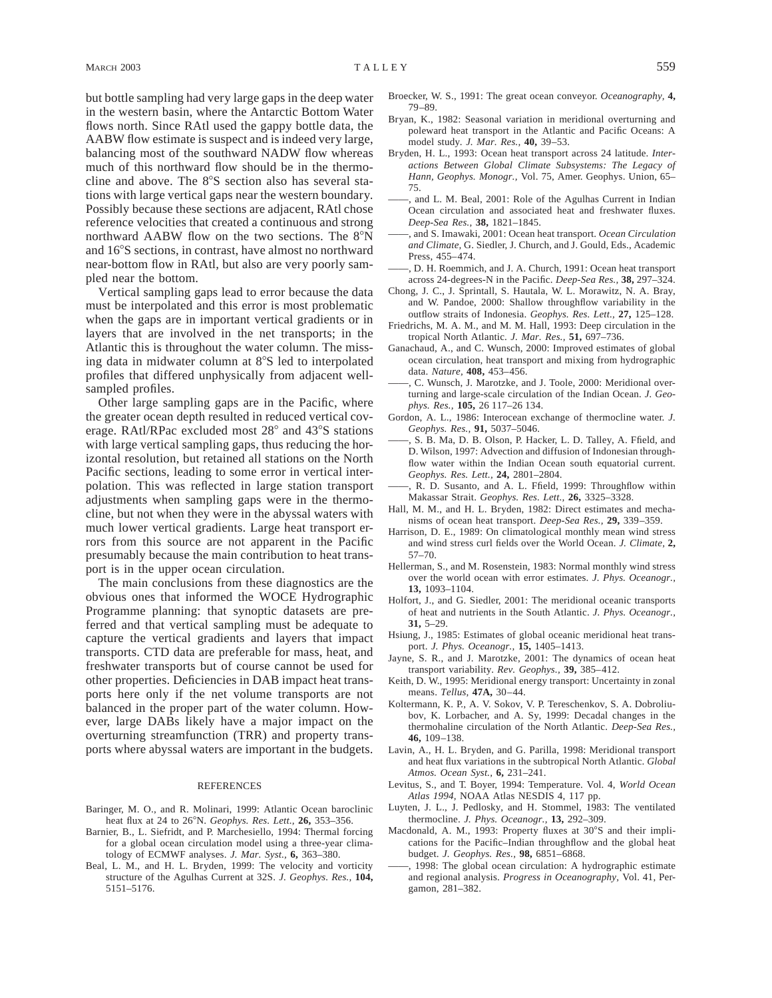but bottle sampling had very large gaps in the deep water in the western basin, where the Antarctic Bottom Water flows north. Since RAtl used the gappy bottle data, the AABW flow estimate is suspect and is indeed very large, balancing most of the southward NADW flow whereas much of this northward flow should be in the thermocline and above. The  $8^\circ$ S section also has several stations with large vertical gaps near the western boundary. Possibly because these sections are adjacent, RAtl chose reference velocities that created a continuous and strong northward AABW flow on the two sections. The  $8^\circ$ N and 16°S sections, in contrast, have almost no northward near-bottom flow in RAtl, but also are very poorly sampled near the bottom.

Vertical sampling gaps lead to error because the data must be interpolated and this error is most problematic when the gaps are in important vertical gradients or in layers that are involved in the net transports; in the Atlantic this is throughout the water column. The missing data in midwater column at  $8^{\circ}S$  led to interpolated profiles that differed unphysically from adjacent wellsampled profiles.

Other large sampling gaps are in the Pacific, where the greater ocean depth resulted in reduced vertical coverage. RAtl/RPac excluded most 28° and 43°S stations with large vertical sampling gaps, thus reducing the horizontal resolution, but retained all stations on the North Pacific sections, leading to some error in vertical interpolation. This was reflected in large station transport adjustments when sampling gaps were in the thermocline, but not when they were in the abyssal waters with much lower vertical gradients. Large heat transport errors from this source are not apparent in the Pacific presumably because the main contribution to heat transport is in the upper ocean circulation.

The main conclusions from these diagnostics are the obvious ones that informed the WOCE Hydrographic Programme planning: that synoptic datasets are preferred and that vertical sampling must be adequate to capture the vertical gradients and layers that impact transports. CTD data are preferable for mass, heat, and freshwater transports but of course cannot be used for other properties. Deficiencies in DAB impact heat transports here only if the net volume transports are not balanced in the proper part of the water column. However, large DABs likely have a major impact on the overturning streamfunction (TRR) and property transports where abyssal waters are important in the budgets.

#### REFERENCES

- Baringer, M. O., and R. Molinari, 1999: Atlantic Ocean baroclinic heat flux at 24 to 26°N. *Geophys. Res. Lett.*, 26, 353-356.
- Barnier, B., L. Siefridt, and P. Marchesiello, 1994: Thermal forcing for a global ocean circulation model using a three-year climatology of ECMWF analyses. *J. Mar. Syst.,* **6,** 363–380.
- Beal, L. M., and H. L. Bryden, 1999: The velocity and vorticity structure of the Agulhas Current at 32S. *J. Geophys. Res.,* **104,** 5151–5176.
- Broecker, W. S., 1991: The great ocean conveyor. *Oceanography,* **4,** 79–89.
- Bryan, K., 1982: Seasonal variation in meridional overturning and poleward heat transport in the Atlantic and Pacific Oceans: A model study. *J. Mar. Res.,* **40,** 39–53.
- Bryden, H. L., 1993: Ocean heat transport across 24 latitude. *Interactions Between Global Climate Subsystems: The Legacy of Hann, Geophys. Monogr.,* Vol. 75, Amer. Geophys. Union, 65– 75.
- , and L. M. Beal, 2001: Role of the Agulhas Current in Indian Ocean circulation and associated heat and freshwater fluxes. *Deep-Sea Res.,* **38,** 1821–1845.
- ——, and S. Imawaki, 2001: Ocean heat transport. *Ocean Circulation and Climate,* G. Siedler, J. Church, and J. Gould, Eds., Academic Press, 455–474.
- ——, D. H. Roemmich, and J. A. Church, 1991: Ocean heat transport across 24-degrees-N in the Pacific. *Deep-Sea Res.,* **38,** 297–324.
- Chong, J. C., J. Sprintall, S. Hautala, W. L. Morawitz, N. A. Bray, and W. Pandoe, 2000: Shallow throughflow variability in the outflow straits of Indonesia. *Geophys. Res. Lett.,* **27,** 125–128.
- Friedrichs, M. A. M., and M. M. Hall, 1993: Deep circulation in the tropical North Atlantic. *J. Mar. Res.,* **51,** 697–736.
- Ganachaud, A., and C. Wunsch, 2000: Improved estimates of global ocean circulation, heat transport and mixing from hydrographic data. *Nature,* **408,** 453–456.
- ——, C. Wunsch, J. Marotzke, and J. Toole, 2000: Meridional overturning and large-scale circulation of the Indian Ocean. *J. Geophys. Res.,* **105,** 26 117–26 134.
- Gordon, A. L., 1986: Interocean exchange of thermocline water. *J. Geophys. Res.,* **91,** 5037–5046.
- ——, S. B. Ma, D. B. Olson, P. Hacker, L. D. Talley, A. Ffield, and D. Wilson, 1997: Advection and diffusion of Indonesian throughflow water within the Indian Ocean south equatorial current. *Geophys. Res. Lett.,* **24,** 2801–2804.
- R. D. Susanto, and A. L. Ffield, 1999: Throughflow within Makassar Strait. *Geophys. Res. Lett.,* **26,** 3325–3328.
- Hall, M. M., and H. L. Bryden, 1982: Direct estimates and mechanisms of ocean heat transport. *Deep-Sea Res.,* **29,** 339–359.
- Harrison, D. E., 1989: On climatological monthly mean wind stress and wind stress curl fields over the World Ocean. *J. Climate,* **2,** 57–70.
- Hellerman, S., and M. Rosenstein, 1983: Normal monthly wind stress over the world ocean with error estimates. *J. Phys. Oceanogr.,* **13,** 1093–1104.
- Holfort, J., and G. Siedler, 2001: The meridional oceanic transports of heat and nutrients in the South Atlantic. *J. Phys. Oceanogr.,* **31,** 5–29.
- Hsiung, J., 1985: Estimates of global oceanic meridional heat transport. *J. Phys. Oceanogr.,* **15,** 1405–1413.
- Jayne, S. R., and J. Marotzke, 2001: The dynamics of ocean heat transport variability. *Rev. Geophys.,* **39,** 385–412.
- Keith, D. W., 1995: Meridional energy transport: Uncertainty in zonal means. *Tellus,* **47A,** 30–44.
- Koltermann, K. P., A. V. Sokov, V. P. Tereschenkov, S. A. Dobroliubov, K. Lorbacher, and A. Sy, 1999: Decadal changes in the thermohaline circulation of the North Atlantic. *Deep-Sea Res.,* **46,** 109–138.
- Lavin, A., H. L. Bryden, and G. Parilla, 1998: Meridional transport and heat flux variations in the subtropical North Atlantic. *Global Atmos. Ocean Syst.,* **6,** 231–241.
- Levitus, S., and T. Boyer, 1994: Temperature. Vol. 4, *World Ocean Atlas 1994,* NOAA Atlas NESDIS 4, 117 pp.
- Luyten, J. L., J. Pedlosky, and H. Stommel, 1983: The ventilated thermocline. *J. Phys. Oceanogr.,* **13,** 292–309.
- Macdonald, A. M., 1993: Property fluxes at 30°S and their implications for the Pacific–Indian throughflow and the global heat budget. *J. Geophys. Res.,* **98,** 6851–6868.
- ——, 1998: The global ocean circulation: A hydrographic estimate and regional analysis. *Progress in Oceanography,* Vol. 41, Pergamon, 281–382.